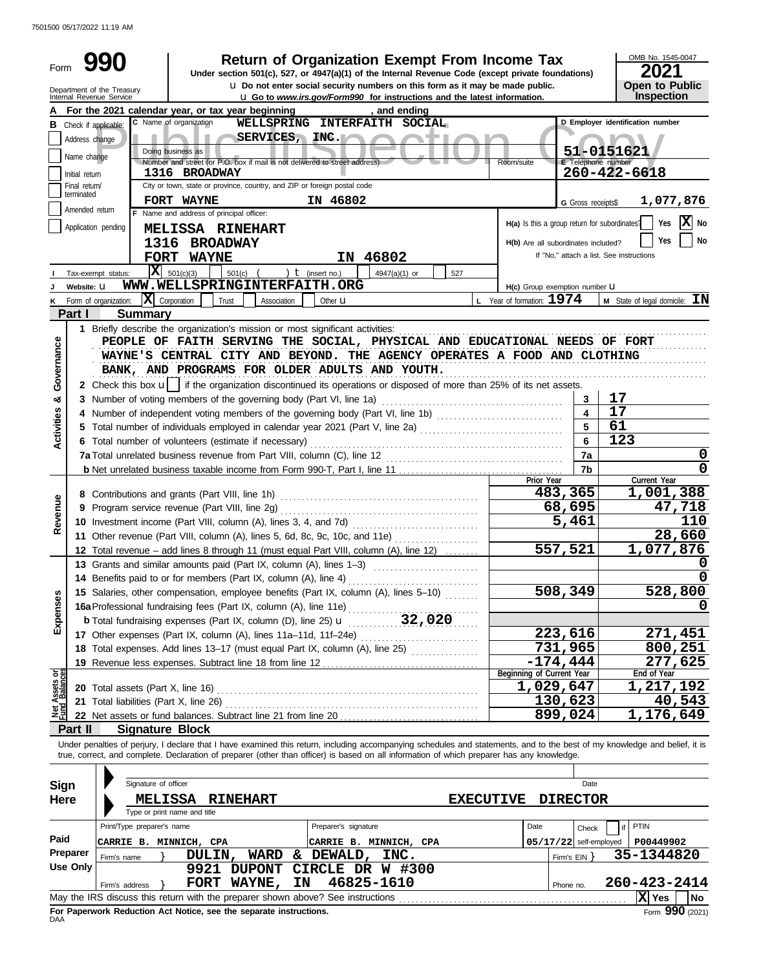7501500 05/17/2022 11:19 AM

| Form                  |                               |                                                                                 |                                          |                 |                |                                                                            | <b>Return of Organization Exempt From Income Tax</b><br>Under section 501(c), 527, or 4947(a)(1) of the Internal Revenue Code (except private foundations)                                                                                                                                                               |                                               |                           | OMB No. 1545-0047<br>2021                       |
|-----------------------|-------------------------------|---------------------------------------------------------------------------------|------------------------------------------|-----------------|----------------|----------------------------------------------------------------------------|--------------------------------------------------------------------------------------------------------------------------------------------------------------------------------------------------------------------------------------------------------------------------------------------------------------------------|-----------------------------------------------|---------------------------|-------------------------------------------------|
|                       |                               | Department of the Treasury<br>Internal Revenue Service                          |                                          |                 |                |                                                                            | <b>u</b> Do not enter social security numbers on this form as it may be made public.<br><b>u</b> Go to www.irs.gov/Form990 for instructions and the latest information.                                                                                                                                                  |                                               |                           | Open to Public<br>Inspection                    |
|                       |                               | For the 2021 calendar year, or tax year beginning                               |                                          |                 |                |                                                                            | , and ending                                                                                                                                                                                                                                                                                                             |                                               |                           |                                                 |
|                       | <b>B</b> Check if applicable: |                                                                                 | C Name of organization                   |                 |                |                                                                            | WELLSPRING INTERFAITH SOCIAL                                                                                                                                                                                                                                                                                             |                                               |                           | D Employer identification number                |
|                       | Address change                |                                                                                 |                                          |                 | SERVICES, INC. |                                                                            |                                                                                                                                                                                                                                                                                                                          |                                               |                           |                                                 |
|                       |                               |                                                                                 | Doing business as                        |                 |                |                                                                            |                                                                                                                                                                                                                                                                                                                          |                                               |                           | 51-0151621                                      |
|                       | Name change                   |                                                                                 |                                          |                 |                | Number and street (or P.O. box if mail is not delivered to street address) |                                                                                                                                                                                                                                                                                                                          | Room/suite                                    | <b>E</b> Telephone number |                                                 |
|                       | Initial return                |                                                                                 | 1316 BROADWAY                            |                 |                |                                                                            |                                                                                                                                                                                                                                                                                                                          |                                               |                           | $260 - 422 - 6618$                              |
|                       | Final return/<br>terminated   |                                                                                 |                                          |                 |                | City or town, state or province, country, and ZIP or foreign postal code   |                                                                                                                                                                                                                                                                                                                          |                                               |                           |                                                 |
|                       |                               |                                                                                 | FORT WAYNE                               |                 |                | IN 46802                                                                   |                                                                                                                                                                                                                                                                                                                          |                                               | <b>G</b> Gross receipts\$ | 1,077,876                                       |
|                       | Amended return                |                                                                                 | F Name and address of principal officer: |                 |                |                                                                            |                                                                                                                                                                                                                                                                                                                          |                                               |                           |                                                 |
|                       |                               | Application pending                                                             | MELISSA RINEHART                         |                 |                |                                                                            |                                                                                                                                                                                                                                                                                                                          | H(a) Is this a group return for subordinates? |                           | X <br>Yes<br>No                                 |
|                       |                               | 1316                                                                            |                                          | <b>BROADWAY</b> |                |                                                                            |                                                                                                                                                                                                                                                                                                                          | H(b) Are all subordinates included?           |                           | <b>Yes</b><br>No                                |
|                       |                               |                                                                                 | FORT WAYNE                               |                 |                |                                                                            | IN 46802                                                                                                                                                                                                                                                                                                                 |                                               |                           | If "No," attach a list. See instructions        |
|                       |                               | Tax-exempt status:                                                              | $\overline{\mathbf{X}}$ 501(c)(3)        | 501(c)          |                | ) $t$ (insert no.)                                                         | 4947(a)(1) or<br>527                                                                                                                                                                                                                                                                                                     |                                               |                           |                                                 |
|                       | Website: U                    |                                                                                 |                                          |                 |                | WWW.WELLSPRINGINTERFAITH.ORG                                               |                                                                                                                                                                                                                                                                                                                          | H(c) Group exemption number U                 |                           |                                                 |
|                       |                               |                                                                                 | $ \mathbf{X} $ Corporation               |                 |                |                                                                            |                                                                                                                                                                                                                                                                                                                          |                                               |                           |                                                 |
| κ                     |                               | Form of organization:                                                           |                                          | Trust           | Association    | Other <b>u</b>                                                             |                                                                                                                                                                                                                                                                                                                          | L Year of formation: $1974$                   |                           | <b>M</b> State of legal domicile: $\mathbf{IN}$ |
|                       | Part I                        | <b>Summary</b>                                                                  |                                          |                 |                |                                                                            |                                                                                                                                                                                                                                                                                                                          |                                               |                           |                                                 |
|                       |                               | 1 Briefly describe the organization's mission or most significant activities:   |                                          |                 |                |                                                                            |                                                                                                                                                                                                                                                                                                                          |                                               |                           |                                                 |
| Governance            |                               |                                                                                 |                                          |                 |                |                                                                            | PEOPLE OF FAITH SERVING THE SOCIAL, PHYSICAL AND EDUCATIONAL NEEDS OF FORT                                                                                                                                                                                                                                               |                                               |                           |                                                 |
|                       |                               |                                                                                 |                                          |                 |                |                                                                            | WAYNE'S CENTRAL CITY AND BEYOND. THE AGENCY OPERATES A FOOD AND CLOTHING                                                                                                                                                                                                                                                 |                                               |                           |                                                 |
|                       |                               |                                                                                 |                                          |                 |                |                                                                            | BANK, AND PROGRAMS FOR OLDER ADULTS AND YOUTH.                                                                                                                                                                                                                                                                           |                                               |                           |                                                 |
|                       |                               |                                                                                 |                                          |                 |                |                                                                            | 2 Check this box u   if the organization discontinued its operations or disposed of more than 25% of its net assets.                                                                                                                                                                                                     |                                               |                           |                                                 |
| ఱ                     |                               | 3 Number of voting members of the governing body (Part VI, line 1a)             |                                          |                 |                |                                                                            |                                                                                                                                                                                                                                                                                                                          |                                               | 3                         | 17                                              |
|                       |                               |                                                                                 |                                          |                 |                |                                                                            | 4 Number of independent voting members of the governing body (Part VI, line 1b)                                                                                                                                                                                                                                          |                                               | 4                         | 17                                              |
|                       |                               |                                                                                 |                                          |                 |                |                                                                            | 5 Total number of individuals employed in calendar year 2021 (Part V, line 2a) [[[[[[[[[[[[[[[[[[[[[[[[[[[[[[[                                                                                                                                                                                                           |                                               | 5                         | 61                                              |
| Activities            |                               |                                                                                 |                                          |                 |                |                                                                            |                                                                                                                                                                                                                                                                                                                          |                                               | 6                         | 123                                             |
|                       |                               | 6 Total number of volunteers (estimate if necessary)                            |                                          |                 |                |                                                                            |                                                                                                                                                                                                                                                                                                                          |                                               |                           |                                                 |
|                       |                               |                                                                                 |                                          |                 |                |                                                                            |                                                                                                                                                                                                                                                                                                                          |                                               | 7a                        | 0                                               |
|                       |                               |                                                                                 |                                          |                 |                |                                                                            |                                                                                                                                                                                                                                                                                                                          |                                               | 7b                        | 0                                               |
|                       |                               |                                                                                 |                                          |                 |                |                                                                            |                                                                                                                                                                                                                                                                                                                          | Prior Year                                    |                           | Current Year                                    |
|                       |                               | 8 Contributions and grants (Part VIII, line 1h)                                 |                                          |                 |                |                                                                            | 483,365                                                                                                                                                                                                                                                                                                                  |                                               | 1,001,388                 |                                                 |
| Revenue               |                               | 9 Program service revenue (Part VIII, line 2g)                                  |                                          |                 |                |                                                                            |                                                                                                                                                                                                                                                                                                                          |                                               | 68,695                    | 47,718                                          |
|                       |                               | 10 Investment income (Part VIII, column (A), lines 3, 4, and 7d)                |                                          |                 |                |                                                                            |                                                                                                                                                                                                                                                                                                                          |                                               | 5,461                     | 110                                             |
|                       |                               | 11 Other revenue (Part VIII, column (A), lines 5, 6d, 8c, 9c, 10c, and 11e)     |                                          |                 |                |                                                                            |                                                                                                                                                                                                                                                                                                                          |                                               |                           | 28,660                                          |
|                       |                               |                                                                                 |                                          |                 |                |                                                                            | 12 Total revenue – add lines 8 through 11 (must equal Part VIII, column (A), line 12)                                                                                                                                                                                                                                    |                                               | 557,521                   | 1,077,876                                       |
|                       |                               | 13 Grants and similar amounts paid (Part IX, column (A), lines 1-3)             |                                          |                 |                |                                                                            |                                                                                                                                                                                                                                                                                                                          |                                               |                           | 0                                               |
|                       |                               | 14 Benefits paid to or for members (Part IX, column (A), line 4)                |                                          |                 |                |                                                                            |                                                                                                                                                                                                                                                                                                                          |                                               |                           | 0                                               |
|                       |                               |                                                                                 |                                          |                 |                |                                                                            | 15 Salaries, other compensation, employee benefits (Part IX, column (A), lines 5-10)                                                                                                                                                                                                                                     |                                               | 508,349                   | 528,800                                         |
|                       |                               |                                                                                 |                                          |                 |                |                                                                            | 16a Professional fundraising fees (Part IX, column (A), line 11e)                                                                                                                                                                                                                                                        |                                               |                           | 0                                               |
| Expenses              |                               |                                                                                 |                                          |                 |                |                                                                            |                                                                                                                                                                                                                                                                                                                          |                                               |                           |                                                 |
|                       |                               |                                                                                 |                                          |                 |                |                                                                            |                                                                                                                                                                                                                                                                                                                          |                                               | 223,616                   | 271,451                                         |
|                       |                               |                                                                                 |                                          |                 |                |                                                                            | 18 Total expenses. Add lines 13-17 (must equal Part IX, column (A), line 25)                                                                                                                                                                                                                                             |                                               | 731,965                   | 800,251                                         |
|                       |                               |                                                                                 |                                          |                 |                |                                                                            |                                                                                                                                                                                                                                                                                                                          |                                               | $-174,444$                | 277,625                                         |
| ಕ್ಷ                   |                               |                                                                                 |                                          |                 |                |                                                                            |                                                                                                                                                                                                                                                                                                                          | Beginning of Current Year                     |                           | End of Year                                     |
| Assets<br>1<br>Balanc |                               |                                                                                 |                                          |                 |                |                                                                            |                                                                                                                                                                                                                                                                                                                          | 1,029,647                                     |                           | 1,217,192                                       |
|                       |                               |                                                                                 |                                          |                 |                |                                                                            |                                                                                                                                                                                                                                                                                                                          |                                               | 130,623                   | 40,543                                          |
| <b>Det</b><br>Pund    |                               |                                                                                 |                                          |                 |                |                                                                            | 22 Net assets or fund balances. Subtract line 21 from line 20                                                                                                                                                                                                                                                            |                                               | 899,024                   | 1,176,649                                       |
|                       | Part II                       | <b>Signature Block</b>                                                          |                                          |                 |                |                                                                            |                                                                                                                                                                                                                                                                                                                          |                                               |                           |                                                 |
|                       |                               |                                                                                 |                                          |                 |                |                                                                            |                                                                                                                                                                                                                                                                                                                          |                                               |                           |                                                 |
|                       |                               |                                                                                 |                                          |                 |                |                                                                            | Under penalties of perjury, I declare that I have examined this return, including accompanying schedules and statements, and to the best of my knowledge and belief, it is<br>true, correct, and complete. Declaration of preparer (other than officer) is based on all information of which preparer has any knowledge. |                                               |                           |                                                 |
|                       |                               |                                                                                 |                                          |                 |                |                                                                            |                                                                                                                                                                                                                                                                                                                          |                                               |                           |                                                 |
| Sign                  |                               | Signature of officer                                                            |                                          |                 |                |                                                                            |                                                                                                                                                                                                                                                                                                                          |                                               | Date                      |                                                 |
| Here                  |                               |                                                                                 | <b>MELISSA</b>                           | <b>RINEHART</b> |                |                                                                            |                                                                                                                                                                                                                                                                                                                          | <b>EXECUTIVE</b>                              | <b>DIRECTOR</b>           |                                                 |
|                       |                               |                                                                                 | Type or print name and title             |                 |                |                                                                            |                                                                                                                                                                                                                                                                                                                          |                                               |                           |                                                 |
|                       |                               | Print/Type preparer's name                                                      |                                          |                 |                | Preparer's signature                                                       |                                                                                                                                                                                                                                                                                                                          | Date                                          | Check                     | PTIN                                            |
| Paid                  |                               | CARRIE B. MINNICH, CPA                                                          |                                          |                 |                |                                                                            | CARRIE B. MINNICH, CPA                                                                                                                                                                                                                                                                                                   |                                               | $05/17/22$ self-employed  | P00449902                                       |
|                       | Preparer                      |                                                                                 | DULIN,                                   |                 | <b>WARD</b>    | & DEWALD,                                                                  | INC.                                                                                                                                                                                                                                                                                                                     |                                               |                           | 35-1344820                                      |
|                       | <b>Use Only</b>               | Firm's name                                                                     |                                          |                 |                |                                                                            |                                                                                                                                                                                                                                                                                                                          |                                               | Firm's $EIN$ }            |                                                 |
|                       |                               |                                                                                 |                                          | 9921 DUPONT     |                |                                                                            | CIRCLE DR W #300                                                                                                                                                                                                                                                                                                         |                                               |                           |                                                 |
|                       |                               | Firm's address                                                                  |                                          | FORT WAYNE,     | IN             |                                                                            | 46825-1610                                                                                                                                                                                                                                                                                                               |                                               | Phone no.                 | 260-423-2414                                    |
|                       |                               | May the IRS discuss this return with the preparer shown above? See instructions |                                          |                 |                |                                                                            |                                                                                                                                                                                                                                                                                                                          |                                               |                           | X Yes<br>No                                     |

| DAA | For Paperwork Reduction Act Notice, see the separate instructions. |  |
|-----|--------------------------------------------------------------------|--|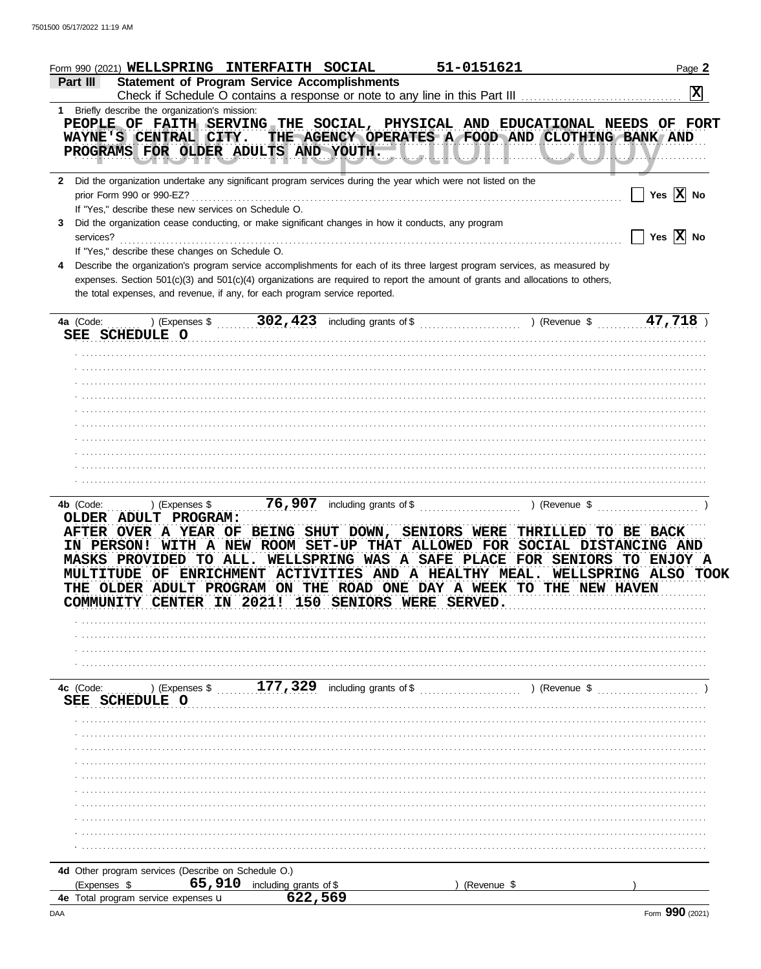| Form 990 (2021) WELLSPRING INTERFAITH SOCIAL                                                                                                                                                                                                                                                                                                     |                                                          | 51-0151621                               |               | Page 2                |
|--------------------------------------------------------------------------------------------------------------------------------------------------------------------------------------------------------------------------------------------------------------------------------------------------------------------------------------------------|----------------------------------------------------------|------------------------------------------|---------------|-----------------------|
| Part III                                                                                                                                                                                                                                                                                                                                         | <b>Statement of Program Service Accomplishments</b>      |                                          |               | $ \mathbf{x} $        |
| 1 Briefly describe the organization's mission:<br>PEOPLE OF FAITH SERVING THE SOCIAL, PHYSICAL AND EDUCATIONAL NEEDS OF FORT<br>WAYNE'S CENTRAL CITY. THE AGENCY OPERATES A FOOD AND CLOTHING BANK AND<br>PROGRAMS FOR OLDER ADULTS AND YOUTH, ILLULLALLALLALLALLALLALLA                                                                         |                                                          |                                          |               |                       |
| 2 Did the organization undertake any significant program services during the year which were not listed on the                                                                                                                                                                                                                                   |                                                          |                                          |               |                       |
| prior Form 990 or 990-EZ?<br>If "Yes," describe these new services on Schedule O.<br>Did the organization cease conducting, or make significant changes in how it conducts, any program<br>3                                                                                                                                                     |                                                          |                                          |               | Yes $\overline{X}$ No |
| services?<br>If "Yes," describe these changes on Schedule O.                                                                                                                                                                                                                                                                                     |                                                          |                                          |               | Yes $\overline{X}$ No |
| Describe the organization's program service accomplishments for each of its three largest program services, as measured by<br>4<br>expenses. Section 501(c)(3) and 501(c)(4) organizations are required to report the amount of grants and allocations to others,<br>the total expenses, and revenue, if any, for each program service reported. |                                                          |                                          |               |                       |
| SEE SCHEDULE O                                                                                                                                                                                                                                                                                                                                   |                                                          |                                          |               |                       |
|                                                                                                                                                                                                                                                                                                                                                  |                                                          |                                          |               |                       |
|                                                                                                                                                                                                                                                                                                                                                  |                                                          |                                          |               |                       |
|                                                                                                                                                                                                                                                                                                                                                  |                                                          |                                          |               |                       |
|                                                                                                                                                                                                                                                                                                                                                  |                                                          |                                          |               |                       |
|                                                                                                                                                                                                                                                                                                                                                  |                                                          |                                          |               |                       |
|                                                                                                                                                                                                                                                                                                                                                  |                                                          |                                          |               |                       |
|                                                                                                                                                                                                                                                                                                                                                  |                                                          |                                          |               |                       |
|                                                                                                                                                                                                                                                                                                                                                  |                                                          |                                          |               |                       |
| IN PERSON! WITH A NEW ROOM SET-UP THAT ALLOWED FOR SOCIAL DISTANCING AND<br>MASKS PROVIDED TO ALL.<br>MULTITUDE OF ENRICHMENT ACTIVITIES AND A HEALTHY MEAL. WELLSPRING ALSO TOOK<br><b>OLDER</b><br><b>PROGRAM</b>                                                                                                                              | WELLSPRING WAS A SAFE PLACE FOR SENIORS TO ENJOY A<br>ON | THE ROAD ONE DAY A WEEK TO THE NEW HAVEN |               |                       |
| <b>CENTER</b><br>COMMUNII                                                                                                                                                                                                                                                                                                                        | 2021!<br>150<br><b>SENIORS</b>                           | <b>SERVED.</b><br>WERE                   |               |                       |
|                                                                                                                                                                                                                                                                                                                                                  |                                                          |                                          |               |                       |
|                                                                                                                                                                                                                                                                                                                                                  |                                                          |                                          |               |                       |
|                                                                                                                                                                                                                                                                                                                                                  |                                                          |                                          |               |                       |
| 4c (Code:<br>) (Expenses \$<br><b>SEE SCHEDULE O</b>                                                                                                                                                                                                                                                                                             | 177,329<br>including grants of \$                        |                                          | ) (Revenue \$ |                       |
|                                                                                                                                                                                                                                                                                                                                                  |                                                          |                                          |               |                       |
|                                                                                                                                                                                                                                                                                                                                                  |                                                          |                                          |               |                       |
|                                                                                                                                                                                                                                                                                                                                                  |                                                          |                                          |               |                       |
|                                                                                                                                                                                                                                                                                                                                                  |                                                          |                                          |               |                       |
|                                                                                                                                                                                                                                                                                                                                                  |                                                          |                                          |               |                       |
|                                                                                                                                                                                                                                                                                                                                                  |                                                          |                                          |               |                       |
|                                                                                                                                                                                                                                                                                                                                                  |                                                          |                                          |               |                       |
|                                                                                                                                                                                                                                                                                                                                                  |                                                          |                                          |               |                       |
| 4d Other program services (Describe on Schedule O.)<br>65,910                                                                                                                                                                                                                                                                                    |                                                          |                                          |               |                       |
| (Expenses \$<br>Total program service expenses u<br>4е                                                                                                                                                                                                                                                                                           | including grants of \$<br>622,569                        | (Revenue \$                              |               |                       |
| DAA                                                                                                                                                                                                                                                                                                                                              |                                                          |                                          |               | Form 990 (2021)       |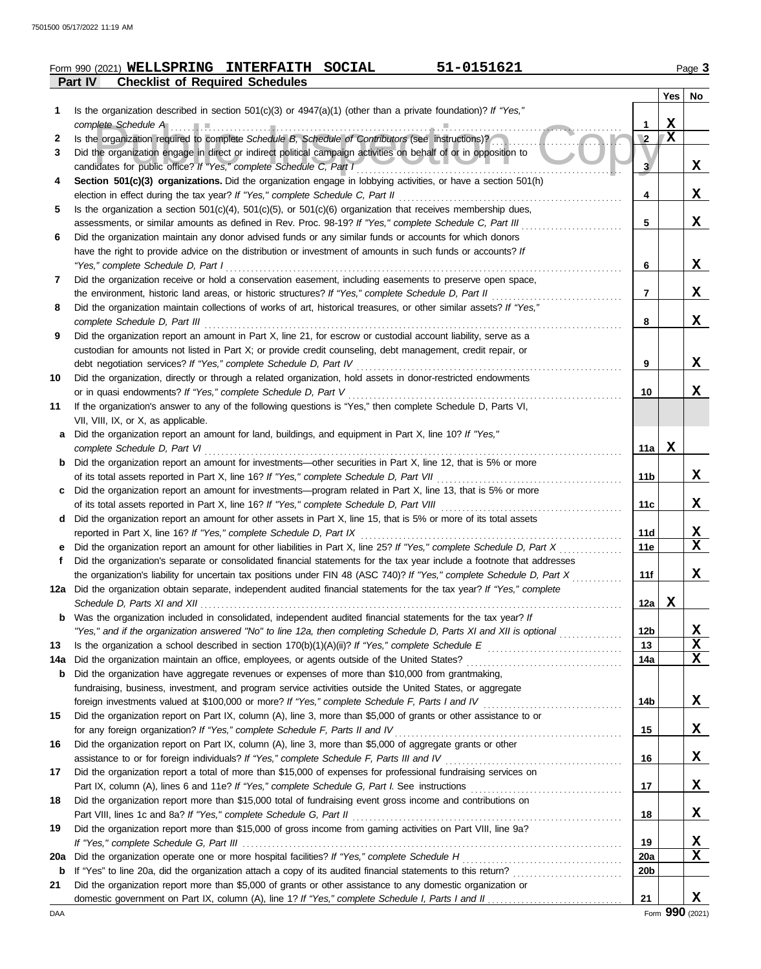|         | Form 990 (2021) WELLSPRING INTERFAITH SOCIAL |  | 51-0151621 | $P$ aqe $\ddot{\bullet}$ |
|---------|----------------------------------------------|--|------------|--------------------------|
| Part IV | <b>Checklist of Required Schedules</b>       |  |            |                          |

|             |                                                                                                                                                   |                 | Yes                     | No                                  |
|-------------|---------------------------------------------------------------------------------------------------------------------------------------------------|-----------------|-------------------------|-------------------------------------|
| 1           | Is the organization described in section $501(c)(3)$ or $4947(a)(1)$ (other than a private foundation)? If "Yes,"                                 |                 |                         |                                     |
|             | complete Schedule A example and the complete Schedule A and the complete Schedule A and the complete Schedule                                     | 1               | х                       |                                     |
| 2           | Is the organization required to complete Schedule B, Schedule of Contributors (see instructions)?                                                 | $\overline{2}$  | $\overline{\mathbf{x}}$ |                                     |
| 3           | Did the organization engage in direct or indirect political campaign activities on behalf of or in opposition to                                  |                 |                         |                                     |
|             | candidates for public office? If "Yes," complete Schedule C, Part I                                                                               | 3 <sub>l</sub>  |                         | X                                   |
| 4           | Section 501(c)(3) organizations. Did the organization engage in lobbying activities, or have a section 501(h)                                     |                 |                         |                                     |
|             | election in effect during the tax year? If "Yes," complete Schedule C, Part II                                                                    | 4               |                         | X                                   |
| 5           | Is the organization a section $501(c)(4)$ , $501(c)(5)$ , or $501(c)(6)$ organization that receives membership dues,                              |                 |                         |                                     |
|             | assessments, or similar amounts as defined in Rev. Proc. 98-19? If "Yes," complete Schedule C, Part III                                           | 5               |                         | X                                   |
| 6           | Did the organization maintain any donor advised funds or any similar funds or accounts for which donors                                           |                 |                         |                                     |
|             | have the right to provide advice on the distribution or investment of amounts in such funds or accounts? If<br>"Yes," complete Schedule D, Part I | 6               |                         | X                                   |
| 7           | Did the organization receive or hold a conservation easement, including easements to preserve open space,                                         |                 |                         |                                     |
|             | the environment, historic land areas, or historic structures? If "Yes," complete Schedule D, Part II                                              | 7               |                         | X                                   |
| 8           | Did the organization maintain collections of works of art, historical treasures, or other similar assets? If "Yes,"                               |                 |                         |                                     |
|             | complete Schedule D, Part III                                                                                                                     | 8               |                         | X                                   |
| 9           | Did the organization report an amount in Part X, line 21, for escrow or custodial account liability, serve as a                                   |                 |                         |                                     |
|             | custodian for amounts not listed in Part X; or provide credit counseling, debt management, credit repair, or                                      |                 |                         |                                     |
|             | debt negotiation services? If "Yes," complete Schedule D, Part IV                                                                                 | 9               |                         | X                                   |
| 10          | Did the organization, directly or through a related organization, hold assets in donor-restricted endowments                                      |                 |                         |                                     |
|             | or in quasi endowments? If "Yes," complete Schedule D, Part V                                                                                     | 10              |                         | x                                   |
| 11          | If the organization's answer to any of the following questions is "Yes," then complete Schedule D, Parts VI,                                      |                 |                         |                                     |
|             | VII, VIII, IX, or X, as applicable.                                                                                                               |                 |                         |                                     |
| a           | Did the organization report an amount for land, buildings, and equipment in Part X, line 10? If "Yes,"                                            |                 |                         |                                     |
|             | complete Schedule D, Part VI                                                                                                                      | 11a             | x                       |                                     |
| b           | Did the organization report an amount for investments—other securities in Part X, line 12, that is 5% or more                                     |                 |                         |                                     |
|             | of its total assets reported in Part X, line 16? If "Yes," complete Schedule D, Part VII                                                          | 11b             |                         | X                                   |
| c           | Did the organization report an amount for investments—program related in Part X, line 13, that is 5% or more                                      |                 |                         |                                     |
|             | of its total assets reported in Part X, line 16? If "Yes," complete Schedule D, Part VIII                                                         | 11c             |                         | X                                   |
| d           | Did the organization report an amount for other assets in Part X, line 15, that is 5% or more of its total assets                                 |                 |                         |                                     |
|             | reported in Part X, line 16? If "Yes," complete Schedule D, Part IX                                                                               | 11d             |                         | <u>x</u>                            |
| е           | Did the organization report an amount for other liabilities in Part X, line 25? If "Yes," complete Schedule D, Part X                             | 11e             |                         | $\overline{\mathbf{x}}$             |
| f           | Did the organization's separate or consolidated financial statements for the tax year include a footnote that addresses                           |                 |                         |                                     |
|             | the organization's liability for uncertain tax positions under FIN 48 (ASC 740)? If "Yes," complete Schedule D, Part X                            | 11f             |                         | X                                   |
|             | 12a Did the organization obtain separate, independent audited financial statements for the tax year? If "Yes," complete                           |                 |                         |                                     |
|             | Schedule D, Parts XI and XII                                                                                                                      | 12a             | X                       |                                     |
|             | Was the organization included in consolidated, independent audited financial statements for the tax year? If                                      |                 |                         |                                     |
|             | "Yes," and if the organization answered "No" to line 12a, then completing Schedule D, Parts XI and XII is optional                                | 12 <sub>b</sub> |                         | <u>x</u><br>$\overline{\mathbf{x}}$ |
| 13<br>14a   | Did the organization maintain an office, employees, or agents outside of the United States?                                                       | 13<br>14a       |                         | $\mathbf{x}$                        |
| b           | Did the organization have aggregate revenues or expenses of more than \$10,000 from grantmaking,                                                  |                 |                         |                                     |
|             | fundraising, business, investment, and program service activities outside the United States, or aggregate                                         |                 |                         |                                     |
|             |                                                                                                                                                   | 14b             |                         | X                                   |
| 15          | Did the organization report on Part IX, column (A), line 3, more than \$5,000 of grants or other assistance to or                                 |                 |                         |                                     |
|             | for any foreign organization? If "Yes," complete Schedule F, Parts II and IV [[[[[[[[[[[[[[[[[[[[[[[[[[[[[[[[[                                    | 15              |                         | X                                   |
| 16          | Did the organization report on Part IX, column (A), line 3, more than \$5,000 of aggregate grants or other                                        |                 |                         |                                     |
|             |                                                                                                                                                   | 16              |                         | X                                   |
| 17          | Did the organization report a total of more than \$15,000 of expenses for professional fundraising services on                                    |                 |                         |                                     |
|             |                                                                                                                                                   | 17              |                         | X                                   |
| 18          | Did the organization report more than \$15,000 total of fundraising event gross income and contributions on                                       |                 |                         |                                     |
|             | Part VIII, lines 1c and 8a? If "Yes," complete Schedule G, Part II                                                                                | 18              |                         | X                                   |
| 19          | Did the organization report more than \$15,000 of gross income from gaming activities on Part VIII, line 9a?                                      |                 |                         |                                     |
|             |                                                                                                                                                   | 19              |                         | <u>x</u>                            |
| 20a         |                                                                                                                                                   | 20a             |                         | $\overline{\mathbf{x}}$             |
| $\mathbf b$ |                                                                                                                                                   | 20 <sub>b</sub> |                         |                                     |
| 21          | Did the organization report more than \$5,000 of grants or other assistance to any domestic organization or                                       |                 |                         |                                     |
|             |                                                                                                                                                   | 21              |                         | X                                   |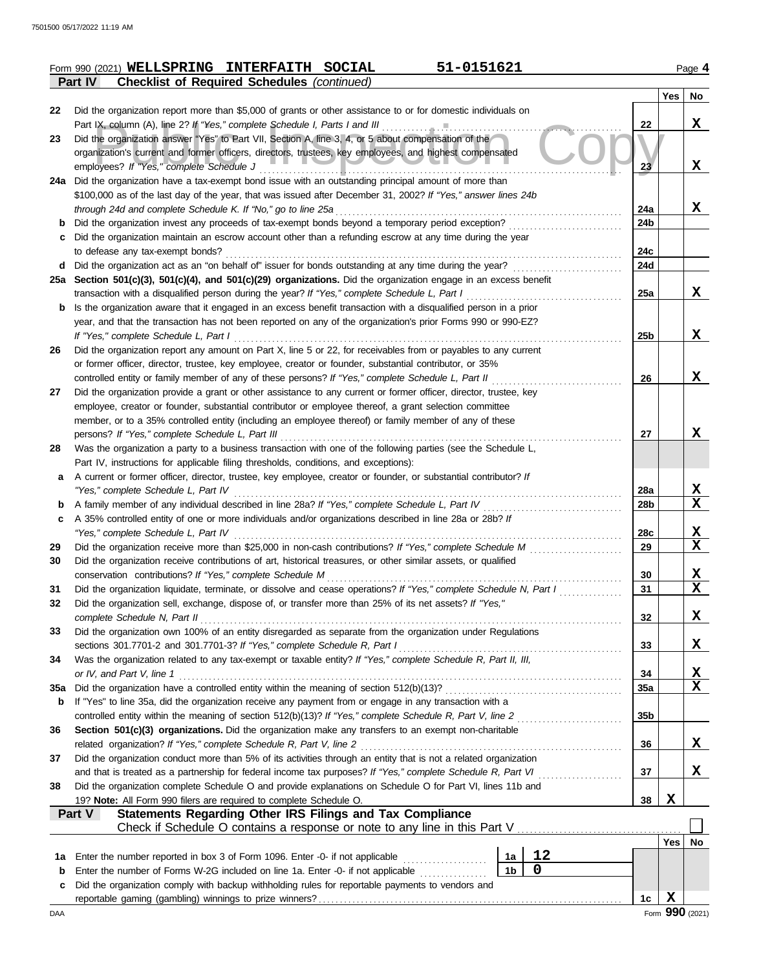|                | Form 990 (2021) WELLSPRING INTERFAITH SOCIAL       |  | 51-0151621 | Page 4 |
|----------------|----------------------------------------------------|--|------------|--------|
| <b>Part IV</b> | <b>Checklist of Required Schedules (continued)</b> |  |            |        |

|     |                                                                                                                                                                             |                 | Yes         | No     |
|-----|-----------------------------------------------------------------------------------------------------------------------------------------------------------------------------|-----------------|-------------|--------|
| 22  | Did the organization report more than \$5,000 of grants or other assistance to or for domestic individuals on                                                               |                 |             |        |
|     |                                                                                                                                                                             | 22              |             | X      |
| 23  | Did the organization answer "Yes" to Part VII, Section A, line 3, 4, or 5 about compensation of the                                                                         |                 |             |        |
|     | organization's current and former officers, directors, trustees, key employees, and highest compensated                                                                     |                 |             |        |
|     | employees? If "Yes," complete Schedule J                                                                                                                                    | 23              |             | X      |
|     | 24a Did the organization have a tax-exempt bond issue with an outstanding principal amount of more than                                                                     |                 |             |        |
|     | \$100,000 as of the last day of the year, that was issued after December 31, 2002? If "Yes," answer lines 24b                                                               |                 |             |        |
|     | through 24d and complete Schedule K. If "No," go to line 25a                                                                                                                | 24a             |             | X      |
| b   | Did the organization invest any proceeds of tax-exempt bonds beyond a temporary period exception?                                                                           | 24b             |             |        |
| c   | Did the organization maintain an escrow account other than a refunding escrow at any time during the year<br>to defease any tax-exempt bonds?                               | 24c             |             |        |
| d   |                                                                                                                                                                             | 24d             |             |        |
|     | 25a Section 501(c)(3), 501(c)(4), and 501(c)(29) organizations. Did the organization engage in an excess benefit                                                            |                 |             |        |
|     | transaction with a disqualified person during the year? If "Yes," complete Schedule L, Part I                                                                               | 25a             |             | X      |
| b   | Is the organization aware that it engaged in an excess benefit transaction with a disqualified person in a prior                                                            |                 |             |        |
|     | year, and that the transaction has not been reported on any of the organization's prior Forms 990 or 990-EZ?                                                                |                 |             |        |
|     | If "Yes," complete Schedule L, Part I                                                                                                                                       | 25b             |             | X      |
| 26  | Did the organization report any amount on Part X, line 5 or 22, for receivables from or payables to any current                                                             |                 |             |        |
|     | or former officer, director, trustee, key employee, creator or founder, substantial contributor, or 35%                                                                     |                 |             |        |
|     | controlled entity or family member of any of these persons? If "Yes," complete Schedule L, Part II                                                                          | 26              |             | X      |
| 27  | Did the organization provide a grant or other assistance to any current or former officer, director, trustee, key                                                           |                 |             |        |
|     | employee, creator or founder, substantial contributor or employee thereof, a grant selection committee                                                                      |                 |             |        |
|     | member, or to a 35% controlled entity (including an employee thereof) or family member of any of these                                                                      |                 |             |        |
|     |                                                                                                                                                                             | 27              |             | X      |
| 28  | Was the organization a party to a business transaction with one of the following parties (see the Schedule L,                                                               |                 |             |        |
|     | Part IV, instructions for applicable filing thresholds, conditions, and exceptions):                                                                                        |                 |             |        |
| a   | A current or former officer, director, trustee, key employee, creator or founder, or substantial contributor? If                                                            |                 |             |        |
|     | "Yes," complete Schedule L, Part IV                                                                                                                                         | 28a             |             | X<br>X |
| b   | A 35% controlled entity of one or more individuals and/or organizations described in line 28a or 28b? If                                                                    | 28 <sub>b</sub> |             |        |
| c   |                                                                                                                                                                             | 28c             |             | X      |
| 29  | Did the organization receive more than \$25,000 in non-cash contributions? If "Yes," complete Schedule M                                                                    | 29              |             | X      |
| 30  | Did the organization receive contributions of art, historical treasures, or other similar assets, or qualified                                                              |                 |             |        |
|     |                                                                                                                                                                             | 30              |             | X      |
| 31  | Did the organization liquidate, terminate, or dissolve and cease operations? If "Yes," complete Schedule N, Part I                                                          | 31              |             | X      |
| 32  | Did the organization sell, exchange, dispose of, or transfer more than 25% of its net assets? If "Yes,"                                                                     |                 |             |        |
|     | complete Schedule N, Part II                                                                                                                                                | 32              |             | X      |
| 33  | Did the organization own 100% of an entity disregarded as separate from the organization under Regulations                                                                  |                 |             |        |
|     |                                                                                                                                                                             | 33              |             | X      |
| 34  | Was the organization related to any tax-exempt or taxable entity? If "Yes," complete Schedule R, Part II, III,                                                              |                 |             |        |
|     | or IV, and Part V, line 1                                                                                                                                                   | 34              |             | X      |
| 35a |                                                                                                                                                                             | <b>35a</b>      |             | X      |
| b   | If "Yes" to line 35a, did the organization receive any payment from or engage in any transaction with a                                                                     |                 |             |        |
|     |                                                                                                                                                                             | 35 <sub>b</sub> |             |        |
| 36  | Section 501(c)(3) organizations. Did the organization make any transfers to an exempt non-charitable<br>related organization? If "Yes," complete Schedule R, Part V, line 2 | 36              |             | X      |
| 37  | Did the organization conduct more than 5% of its activities through an entity that is not a related organization                                                            |                 |             |        |
|     | and that is treated as a partnership for federal income tax purposes? If "Yes," complete Schedule R, Part VI                                                                | 37              |             | x      |
| 38  | Did the organization complete Schedule O and provide explanations on Schedule O for Part VI, lines 11b and                                                                  |                 |             |        |
|     | 19? Note: All Form 990 filers are required to complete Schedule O.                                                                                                          | 38              | X           |        |
|     | Statements Regarding Other IRS Filings and Tax Compliance<br>Part V                                                                                                         |                 |             |        |
|     | Check if Schedule O contains a response or note to any line in this Part V                                                                                                  |                 |             |        |
|     |                                                                                                                                                                             |                 | Yes         | No     |
| 1a  | 12<br>1a                                                                                                                                                                    |                 |             |        |
| b   | 0<br>1 <sub>b</sub><br>Enter the number of Forms W-2G included on line 1a. Enter -0- if not applicable                                                                      |                 |             |        |
| с   | Did the organization comply with backup withholding rules for reportable payments to vendors and                                                                            |                 |             |        |
|     |                                                                                                                                                                             | 1c              | $\mathbf x$ |        |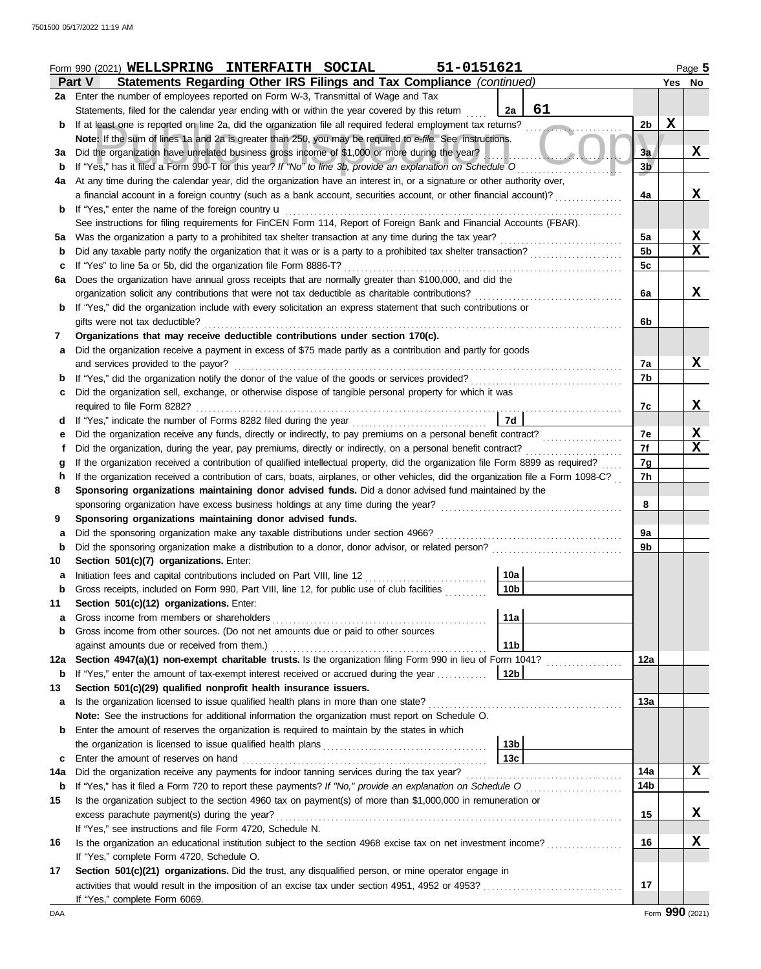|             | 51-0151621<br>Form 990 (2021) WELLSPRING INTERFAITH SOCIAL                                                                                                                                                                            |                |        | Page 5          |  |  |  |
|-------------|---------------------------------------------------------------------------------------------------------------------------------------------------------------------------------------------------------------------------------------|----------------|--------|-----------------|--|--|--|
|             | Statements Regarding Other IRS Filings and Tax Compliance (continued)<br>Part V                                                                                                                                                       |                | Yes No |                 |  |  |  |
|             | 2a Enter the number of employees reported on Form W-3, Transmittal of Wage and Tax                                                                                                                                                    |                |        |                 |  |  |  |
|             | 61<br>2a<br>Statements, filed for the calendar year ending with or within the year covered by this return                                                                                                                             |                |        |                 |  |  |  |
| b           | If at least one is reported on line 2a, did the organization file all required federal employment tax returns?                                                                                                                        | 2 <sub>b</sub> | X      |                 |  |  |  |
|             | Note: If the sum of lines 1a and 2a is greater than 250, you may be required to e-file. See instructions.                                                                                                                             |                |        |                 |  |  |  |
| За          | Did the organization have unrelated business gross income of \$1,000 or more during the year?                                                                                                                                         | 3a             |        | X               |  |  |  |
| b           | If "Yes," has it filed a Form 990-T for this year? If "No" to line 3b, provide an explanation on Schedule O                                                                                                                           | 3 <sub>b</sub> |        |                 |  |  |  |
| 4a          | At any time during the calendar year, did the organization have an interest in, or a signature or other authority over,                                                                                                               |                |        |                 |  |  |  |
|             | a financial account in a foreign country (such as a bank account, securities account, or other financial account)?                                                                                                                    | 4a             |        | X               |  |  |  |
| b           | If "Yes," enter the name of the foreign country <b>u</b>                                                                                                                                                                              |                |        |                 |  |  |  |
|             | See instructions for filing requirements for FinCEN Form 114, Report of Foreign Bank and Financial Accounts (FBAR).                                                                                                                   |                |        |                 |  |  |  |
| 5а          | Was the organization a party to a prohibited tax shelter transaction at any time during the tax year?                                                                                                                                 | 5a             |        | $\mathbf x$     |  |  |  |
| b           | Did any taxable party notify the organization that it was or is a party to a prohibited tax shelter transaction?                                                                                                                      | 5 <sub>b</sub> |        | $\mathbf x$     |  |  |  |
| с           | If "Yes" to line 5a or 5b, did the organization file Form 8886-T?                                                                                                                                                                     | 5 <sub>c</sub> |        |                 |  |  |  |
| 6a          | Does the organization have annual gross receipts that are normally greater than \$100,000, and did the                                                                                                                                |                |        |                 |  |  |  |
|             | organization solicit any contributions that were not tax deductible as charitable contributions?                                                                                                                                      | 6a             |        | X               |  |  |  |
| b           | If "Yes," did the organization include with every solicitation an express statement that such contributions or                                                                                                                        |                |        |                 |  |  |  |
|             | gifts were not tax deductible?                                                                                                                                                                                                        | 6b             |        |                 |  |  |  |
| 7           | Organizations that may receive deductible contributions under section 170(c).                                                                                                                                                         |                |        |                 |  |  |  |
| а           | Did the organization receive a payment in excess of \$75 made partly as a contribution and partly for goods                                                                                                                           |                |        |                 |  |  |  |
|             | and services provided to the payor?                                                                                                                                                                                                   | 7a             |        | X               |  |  |  |
| b           | If "Yes," did the organization notify the donor of the value of the goods or services provided?                                                                                                                                       | 7b             |        |                 |  |  |  |
| с           | Did the organization sell, exchange, or otherwise dispose of tangible personal property for which it was                                                                                                                              |                |        |                 |  |  |  |
|             | required to file Form 8282?                                                                                                                                                                                                           | 7c             |        | X               |  |  |  |
| d           | 7d                                                                                                                                                                                                                                    |                |        |                 |  |  |  |
| е           | Did the organization receive any funds, directly or indirectly, to pay premiums on a personal benefit contract?                                                                                                                       | 7e             |        | X               |  |  |  |
| t           | Did the organization, during the year, pay premiums, directly or indirectly, on a personal benefit contract?                                                                                                                          | 7f             |        | X               |  |  |  |
| g           | If the organization received a contribution of qualified intellectual property, did the organization file Form 8899 as required?                                                                                                      | 7g             |        |                 |  |  |  |
| h           | If the organization received a contribution of cars, boats, airplanes, or other vehicles, did the organization file a Form 1098-C?                                                                                                    | 7h             |        |                 |  |  |  |
| 8           | Sponsoring organizations maintaining donor advised funds. Did a donor advised fund maintained by the                                                                                                                                  |                |        |                 |  |  |  |
|             | sponsoring organization have excess business holdings at any time during the year?                                                                                                                                                    | 8              |        |                 |  |  |  |
| 9           | Sponsoring organizations maintaining donor advised funds.                                                                                                                                                                             |                |        |                 |  |  |  |
| а           | Did the sponsoring organization make any taxable distributions under section 4966?                                                                                                                                                    | 9a             |        |                 |  |  |  |
| $\mathbf b$ | Did the sponsoring organization make a distribution to a donor, donor advisor, or related person?                                                                                                                                     | 9b             |        |                 |  |  |  |
| 10          | Section 501(c)(7) organizations. Enter:                                                                                                                                                                                               |                |        |                 |  |  |  |
| а           | Initiation fees and capital contributions included on Part VIII, line 12 [100] [100] [100] [100] [100] [100] [100] [100] [100] [100] [100] [100] [100] [100] [100] [100] [100] [100] [100] [100] [100] [100] [100] [100] [100]<br>10a |                |        |                 |  |  |  |
| p           | Gross receipts, included on Form 990, Part VIII, line 12, for public use of club facilities<br> 10b                                                                                                                                   |                |        |                 |  |  |  |
| 11          | Section 501(c)(12) organizations. Enter:                                                                                                                                                                                              |                |        |                 |  |  |  |
| а           | Gross income from members or shareholders<br>11a                                                                                                                                                                                      |                |        |                 |  |  |  |
| b           | Gross income from other sources. (Do not net amounts due or paid to other sources                                                                                                                                                     |                |        |                 |  |  |  |
|             | against amounts due or received from them.)<br>11b                                                                                                                                                                                    |                |        |                 |  |  |  |
| 12a         | Section 4947(a)(1) non-exempt charitable trusts. Is the organization filing Form 990 in lieu of Form 1041?                                                                                                                            | 12a            |        |                 |  |  |  |
| b           | If "Yes," enter the amount of tax-exempt interest received or accrued during the year<br>12b                                                                                                                                          |                |        |                 |  |  |  |
| 13          | Section 501(c)(29) qualified nonprofit health insurance issuers.                                                                                                                                                                      |                |        |                 |  |  |  |
| а           | Is the organization licensed to issue qualified health plans in more than one state?                                                                                                                                                  | 13a            |        |                 |  |  |  |
|             | Note: See the instructions for additional information the organization must report on Schedule O.                                                                                                                                     |                |        |                 |  |  |  |
| b           | Enter the amount of reserves the organization is required to maintain by the states in which                                                                                                                                          |                |        |                 |  |  |  |
|             | 13 <sub>b</sub>                                                                                                                                                                                                                       |                |        |                 |  |  |  |
| c           | 13 <sub>c</sub><br>Enter the amount of reserves on hand                                                                                                                                                                               |                |        |                 |  |  |  |
| 14a         | Did the organization receive any payments for indoor tanning services during the tax year?                                                                                                                                            | 14a            |        | X               |  |  |  |
| b           | If "Yes," has it filed a Form 720 to report these payments? If "No," provide an explanation on Schedule O                                                                                                                             | 14b            |        |                 |  |  |  |
| 15          | Is the organization subject to the section 4960 tax on payment(s) of more than \$1,000,000 in remuneration or                                                                                                                         |                |        |                 |  |  |  |
|             | excess parachute payment(s) during the year?                                                                                                                                                                                          | 15             |        | X               |  |  |  |
|             | If "Yes," see instructions and file Form 4720, Schedule N.                                                                                                                                                                            |                |        |                 |  |  |  |
| 16          | Is the organization an educational institution subject to the section 4968 excise tax on net investment income?                                                                                                                       | 16             |        | X               |  |  |  |
|             | If "Yes," complete Form 4720, Schedule O.                                                                                                                                                                                             |                |        |                 |  |  |  |
| 17          | Section 501(c)(21) organizations. Did the trust, any disqualified person, or mine operator engage in                                                                                                                                  |                |        |                 |  |  |  |
|             |                                                                                                                                                                                                                                       | 17             |        |                 |  |  |  |
|             | If "Yes," complete Form 6069.                                                                                                                                                                                                         |                |        |                 |  |  |  |
| DAA         |                                                                                                                                                                                                                                       |                |        | Form 990 (2021) |  |  |  |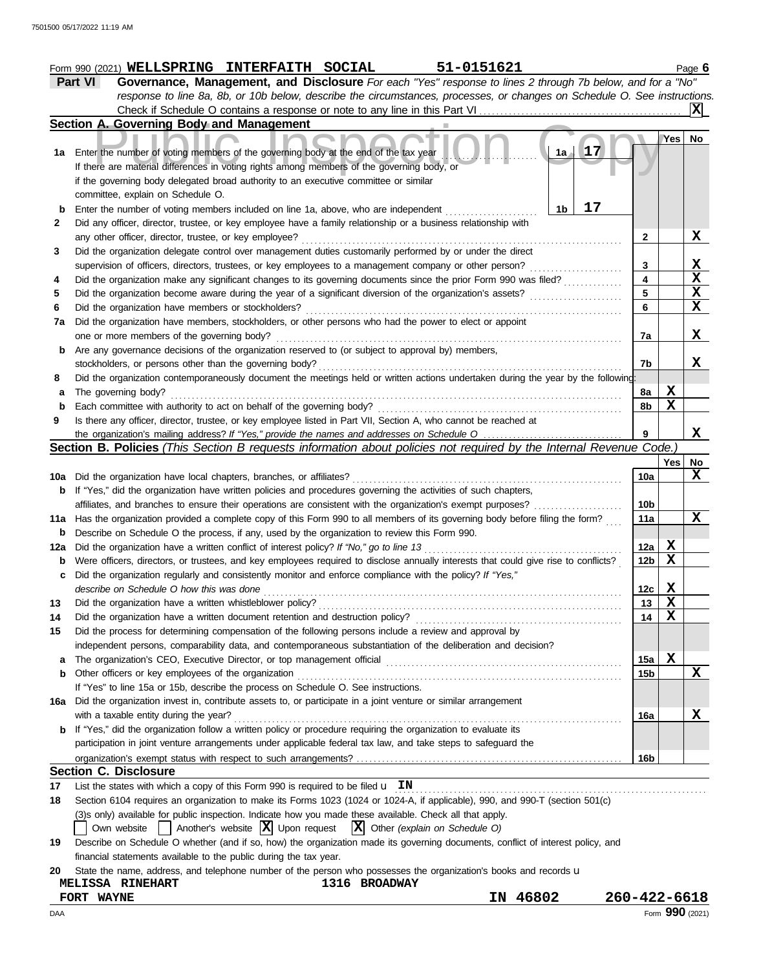|     | 1500 05/17/2022 11:19 AM                                                                                                                                                             |                 |                         |              |  |  |  |
|-----|--------------------------------------------------------------------------------------------------------------------------------------------------------------------------------------|-----------------|-------------------------|--------------|--|--|--|
|     |                                                                                                                                                                                      |                 |                         |              |  |  |  |
|     | 51-0151621<br>Form 990 (2021) WELLSPRING INTERFAITH SOCIAL<br>Governance, Management, and Disclosure For each "Yes" response to lines 2 through 7b below, and for a "No"<br>Part VI  |                 |                         | Page $6$     |  |  |  |
|     | response to line 8a, 8b, or 10b below, describe the circumstances, processes, or changes on Schedule O. See instructions.                                                            |                 |                         |              |  |  |  |
|     |                                                                                                                                                                                      |                 |                         | x            |  |  |  |
|     | Section A. Governing Body and Management                                                                                                                                             |                 |                         |              |  |  |  |
|     |                                                                                                                                                                                      |                 | Yes l                   | No           |  |  |  |
|     | $1a + 17$<br>1a Enter the number of voting members of the governing body at the end of the tax year                                                                                  |                 |                         |              |  |  |  |
|     | If there are material differences in voting rights among members of the governing body, or                                                                                           |                 |                         |              |  |  |  |
|     | if the governing body delegated broad authority to an executive committee or similar                                                                                                 |                 |                         |              |  |  |  |
|     | committee, explain on Schedule O.                                                                                                                                                    |                 |                         |              |  |  |  |
| b   | 17<br>Enter the number of voting members included on line 1a, above, who are independent<br>1b                                                                                       |                 |                         |              |  |  |  |
| 2   | Did any officer, director, trustee, or key employee have a family relationship or a business relationship with                                                                       |                 |                         |              |  |  |  |
|     |                                                                                                                                                                                      | $\mathbf{2}$    |                         | X            |  |  |  |
| 3   | Did the organization delegate control over management duties customarily performed by or under the direct                                                                            |                 |                         |              |  |  |  |
|     |                                                                                                                                                                                      | 3               |                         | X            |  |  |  |
| 4   | Did the organization make any significant changes to its governing documents since the prior Form 990 was filed?                                                                     |                 |                         |              |  |  |  |
| 5   | Did the organization become aware during the year of a significant diversion of the organization's assets?                                                                           |                 |                         |              |  |  |  |
| 6   | Did the organization have members or stockholders?                                                                                                                                   | 6               |                         | $\mathbf x$  |  |  |  |
| 7a  | Did the organization have members, stockholders, or other persons who had the power to elect or appoint                                                                              |                 |                         |              |  |  |  |
|     | one or more members of the governing body?                                                                                                                                           | 7a              |                         | X            |  |  |  |
| b   | Are any governance decisions of the organization reserved to (or subject to approval by) members,                                                                                    |                 |                         |              |  |  |  |
|     |                                                                                                                                                                                      | 7b              |                         | X            |  |  |  |
| 8   | Did the organization contemporaneously document the meetings held or written actions undertaken during the year by the following:                                                    |                 |                         |              |  |  |  |
| a   | The governing body?                                                                                                                                                                  | 8a              | X                       |              |  |  |  |
| b   | Each committee with authority to act on behalf of the governing body?                                                                                                                | 8b              | $\overline{\mathbf{x}}$ |              |  |  |  |
| 9   | Is there any officer, director, trustee, or key employee listed in Part VII, Section A, who cannot be reached at                                                                     |                 |                         |              |  |  |  |
|     |                                                                                                                                                                                      | 9               |                         | X            |  |  |  |
|     | Section B. Policies (This Section B requests information about policies not required by the Internal Revenue Code.)                                                                  |                 |                         |              |  |  |  |
|     |                                                                                                                                                                                      |                 | Yes                     | No           |  |  |  |
| 10a | Did the organization have local chapters, branches, or affiliates?                                                                                                                   | 10a             |                         | X            |  |  |  |
| b   | If "Yes," did the organization have written policies and procedures governing the activities of such chapters,                                                                       |                 |                         |              |  |  |  |
|     | affiliates, and branches to ensure their operations are consistent with the organization's exempt purposes?                                                                          | 10 <sub>b</sub> |                         |              |  |  |  |
|     | 11a Has the organization provided a complete copy of this Form 990 to all members of its governing body before filing the form?                                                      | 11a             |                         | $\mathbf{x}$ |  |  |  |
| b   | Describe on Schedule O the process, if any, used by the organization to review this Form 990.                                                                                        |                 |                         |              |  |  |  |
| 12a |                                                                                                                                                                                      | 12a             | X<br>$\mathbf X$        |              |  |  |  |
| b   | Were officers, directors, or trustees, and key employees required to disclose annually interests that could give rise to conflicts?<br><u>a ili iliyata waa kale maalada mooraad</u> | 12 <sub>b</sub> |                         |              |  |  |  |

|     | c Did the organization regularly and consistently monitor and enforce compliance with the policy? If "Yes,"             |     |   |   |
|-----|-------------------------------------------------------------------------------------------------------------------------|-----|---|---|
|     | describe on Schedule O how this was done                                                                                | 12с | х |   |
| 13  |                                                                                                                         | 13  | х |   |
| 14  | Did the organization have a written document retention and destruction policy?                                          | 14  |   |   |
| 15  | Did the process for determining compensation of the following persons include a review and approval by                  |     |   |   |
|     | independent persons, comparability data, and contemporaneous substantiation of the deliberation and decision?           |     |   |   |
|     | <b>a</b> The organization's CEO, Executive Director, or top management official                                         | 15a | х |   |
|     | <b>b</b> Other officers or key employees of the organization                                                            | 15b |   | x |
|     | If "Yes" to line 15a or 15b, describe the process on Schedule O. See instructions.                                      |     |   |   |
| 16а | Did the organization invest in, contribute assets to, or participate in a joint venture or similar arrangement          |     |   |   |
|     | with a taxable entity during the year?                                                                                  | 16a |   | x |
|     | <b>b</b> If "Yes," did the organization follow a written policy or procedure requiring the organization to evaluate its |     |   |   |
|     | participation in joint venture arrangements under applicable federal tax law, and take steps to safeguard the           |     |   |   |
|     |                                                                                                                         | 16b |   |   |

## **Section C. Disclosure**

17 List the states with which a copy of this Form 990 is required to be filed  $\bf{u}$   $\bf{IN}$   $\bf{I}$   $\bf{N}$   $\bf{I}$   $\bf{N}$   $\bf{I}$   $\bf{N}$   $\bf{N}$   $\bf{N}$   $\bf{N}$   $\bf{N}$   $\bf{N}$   $\bf{N}$   $\bf{N}$   $\bf{N}$   $\bf{N}$   $\bf{N}$ 

**18** Section 6104 requires an organization to make its Forms 1023 (1024 or 1024-A, if applicable), 990, and 990-T (section 501(c)

(3)s only) available for public inspection. Indicate how you made these available. Check all that apply.

Own website  $\Box$  Another's website  $\boxed{\mathbf{X}}$  Upon request  $\boxed{\mathbf{X}}$  Other *(explain on Schedule O)* 

| 19 Describe on Schedule O whether (and if so, how) the organization made its governing documents, conflict of interest policy, and |  |  |
|------------------------------------------------------------------------------------------------------------------------------------|--|--|
| financial statements available to the public during the tax year.                                                                  |  |  |

|  |  |  |  |  |  |  | 20 State the name, address, and telephone number of the person who possesses the organization's books and records u |  |  |
|--|--|--|--|--|--|--|---------------------------------------------------------------------------------------------------------------------|--|--|
|--|--|--|--|--|--|--|---------------------------------------------------------------------------------------------------------------------|--|--|

| <b>MELISSA</b><br><b>RINEHART</b> | 1316 BROADWAY |             |                 |
|-----------------------------------|---------------|-------------|-----------------|
| FORT WAYNE                        |               | 46802<br>IN | 260-422-6618    |
| DAA                               |               |             | Form 990 (2021) |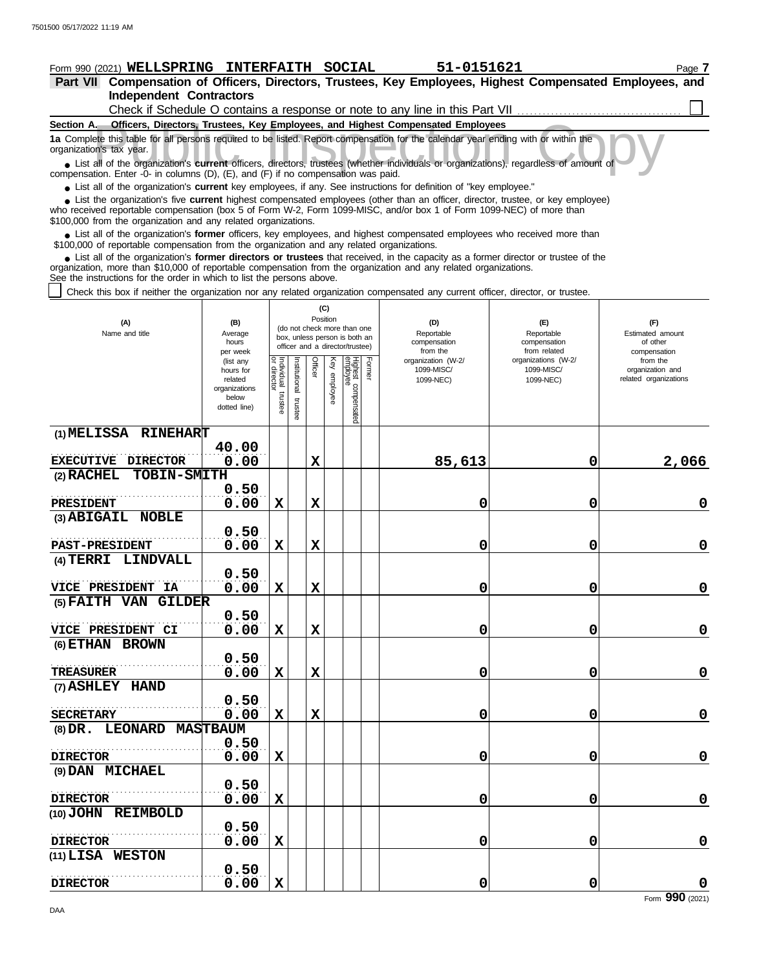**(1) MELISSA RINEHART**

**(3) ABIGAIL NOBLE**

**PAST-PRESIDENT**

**(4) TERRI LINDVALL**

**(6) ETHAN BROWN**

**(7) ASHLEY HAND**

**TREASURER**

**DIRECTOR**

**DIRECTOR**

**(9) DAN MICHAEL**

**(10) JOHN REIMBOLD**

**(11) LISA WESTON**

**(5) FAITH VAN GILDER**

**(8) DR. LEONARD MASTBAUM**

**VICE PRESIDENT CI** 0.00

. . . . . . . . . . . . . . . . . . . . . . . . . . . . . . . . . . . . . . . . . . . . . . . . . . . **0.50**

 $3 \texttt{ECRETARY} \over 0.00$ 

. . . . . . . . . . . . . . . . . . . . . . . . . . . . . . . . . . . . . . . . . . . . . . . . . . . **0.50**

. . . . . . . . . . . . . . . . . . . . . . . . . . . . . . . . . . . . . . . . . . . . . . . . . . . **DIRECTOR**

. . . . . . . . . . . . . . . . . . . . . . . . . . . . . . . . . . . . . . . . . . . . . . . . . . . **DIRECTOR**

. . . . . . . . . . . . . . . . . . . . . . . . . . . . . . . . . . . . . . . . . . . . . . . . . . . **0.50**

**VICE PRESIDENT IA**  $0.00$ 

. . . . . . . . . . . . . . . . . . . . . . . . . . . . . . . . . . . . . . . . . . . . . . . . . . . **0.50**

. . . . . . . . . . . . . . . . . . . . . . . . . . . . . . . . . . . . . . . . . . . . . . . . . . . **PRESIDENT**

. . . . . . . . . . . . . . . . . . . . . . . . . . . . . . . . . . . . . . . . . . . . . . . . . . . **EXECUTIVE DIRECTOR**

**40.00**

**0.50**

**0.50**

**0.50**

**0.50**

**0.50**

**0.50**

**(2) RACHEL TOBIN-SMITH**

| Form 990 (2021) WELLSPRING INTERFAITH SOCIAL                                                                                                                                                                                                                                                                                                                  |                                                                                                                                   |                                                                                                                                                                  |                            |                 |                                           | 51-0151621                                                                                       |                                                                                                     |                                                                                                              | Page 7 |
|---------------------------------------------------------------------------------------------------------------------------------------------------------------------------------------------------------------------------------------------------------------------------------------------------------------------------------------------------------------|-----------------------------------------------------------------------------------------------------------------------------------|------------------------------------------------------------------------------------------------------------------------------------------------------------------|----------------------------|-----------------|-------------------------------------------|--------------------------------------------------------------------------------------------------|-----------------------------------------------------------------------------------------------------|--------------------------------------------------------------------------------------------------------------|--------|
| <b>Part VII</b>                                                                                                                                                                                                                                                                                                                                               |                                                                                                                                   |                                                                                                                                                                  |                            |                 |                                           | Compensation of Officers, Directors, Trustees, Key Employees, Highest Compensated Employees, and |                                                                                                     |                                                                                                              |        |
| <b>Independent Contractors</b>                                                                                                                                                                                                                                                                                                                                |                                                                                                                                   |                                                                                                                                                                  |                            |                 |                                           |                                                                                                  |                                                                                                     |                                                                                                              |        |
|                                                                                                                                                                                                                                                                                                                                                               |                                                                                                                                   |                                                                                                                                                                  |                            |                 |                                           | Check if Schedule O contains a response or note to any line in this Part VII                     |                                                                                                     |                                                                                                              |        |
| Section A. Officers, Directors, Trustees, Key Employees, and Highest Compensated Employees                                                                                                                                                                                                                                                                    |                                                                                                                                   |                                                                                                                                                                  |                            |                 |                                           |                                                                                                  |                                                                                                     |                                                                                                              |        |
| organization's tax year.                                                                                                                                                                                                                                                                                                                                      | 1a Complete this table for all persons required to be listed. Report compensation for the calendar year ending with or within the |                                                                                                                                                                  |                            |                 |                                           |                                                                                                  |                                                                                                     |                                                                                                              |        |
| • List all of the organization's current officers, directors, trustees (whether individuals or organizations), regardless of amount of                                                                                                                                                                                                                        |                                                                                                                                   |                                                                                                                                                                  |                            |                 |                                           |                                                                                                  |                                                                                                     |                                                                                                              |        |
| compensation. Enter -0- in columns (D), (E), and (F) if no compensation was paid.                                                                                                                                                                                                                                                                             |                                                                                                                                   |                                                                                                                                                                  |                            |                 |                                           |                                                                                                  |                                                                                                     |                                                                                                              |        |
| • List all of the organization's <b>current</b> key employees, if any. See instructions for definition of "key employee."                                                                                                                                                                                                                                     |                                                                                                                                   |                                                                                                                                                                  |                            |                 |                                           |                                                                                                  |                                                                                                     |                                                                                                              |        |
| • List the organization's five current highest compensated employees (other than an officer, director, trustee, or key employee)<br>who received reportable compensation (box 5 of Form W-2, Form 1099-MISC, and/or box 1 of Form 1099-NEC) of more than<br>\$100,000 from the organization and any related organizations.                                    |                                                                                                                                   |                                                                                                                                                                  |                            |                 |                                           |                                                                                                  |                                                                                                     |                                                                                                              |        |
| • List all of the organization's former officers, key employees, and highest compensated employees who received more than<br>\$100,000 of reportable compensation from the organization and any related organizations.<br>• List all of the organization's former directors or trustees that received, in the capacity as a former director or trustee of the |                                                                                                                                   |                                                                                                                                                                  |                            |                 |                                           |                                                                                                  |                                                                                                     |                                                                                                              |        |
| organization, more than \$10,000 of reportable compensation from the organization and any related organizations.<br>See the instructions for the order in which to list the persons above.                                                                                                                                                                    |                                                                                                                                   |                                                                                                                                                                  |                            |                 |                                           |                                                                                                  |                                                                                                     |                                                                                                              |        |
| Check this box if neither the organization nor any related organization compensated any current officer, director, or trustee.                                                                                                                                                                                                                                |                                                                                                                                   |                                                                                                                                                                  |                            |                 |                                           |                                                                                                  |                                                                                                     |                                                                                                              |        |
| (A)<br>Name and title                                                                                                                                                                                                                                                                                                                                         | (B)<br>Average<br>hours<br>per week<br>(list any<br>hours for<br>related<br>organizations<br>below<br>dotted line)                | (do not check more than one<br>box, unless person is both an<br>officer and a director/trustee)<br>Individual trustee<br>or director<br>Institutional<br>trustee | (C)<br>Position<br>Officer | Ķey<br>enployee | Highest compensatec<br>employee<br>Former | (D)<br>Reportable<br>compensation<br>from the<br>organization (W-2/<br>1099-MISC/<br>1099-NEC)   | (E)<br>Reportable<br>compensation<br>from related<br>organizations (W-2/<br>1099-MISC/<br>1099-NEC) | (F)<br>Estimated amount<br>of other<br>compensation<br>from the<br>organization and<br>related organizations |        |

 $X$  | | | 85,613 0 2,066

**0.00 X X 0 0 0**

**0.00 X X 0 0 0**

**0.00 X X 0 0 0**

**0.00 X X 0 0 0**

**0.00 X X 0 0 0**

**0.00 X X 0 0 0**

**0.00 X 0 0 0**

**0.00 X 0 0 0**

**0.00 X 0 0 0**

Form **990** (2021) **0.00 X 0 0 0**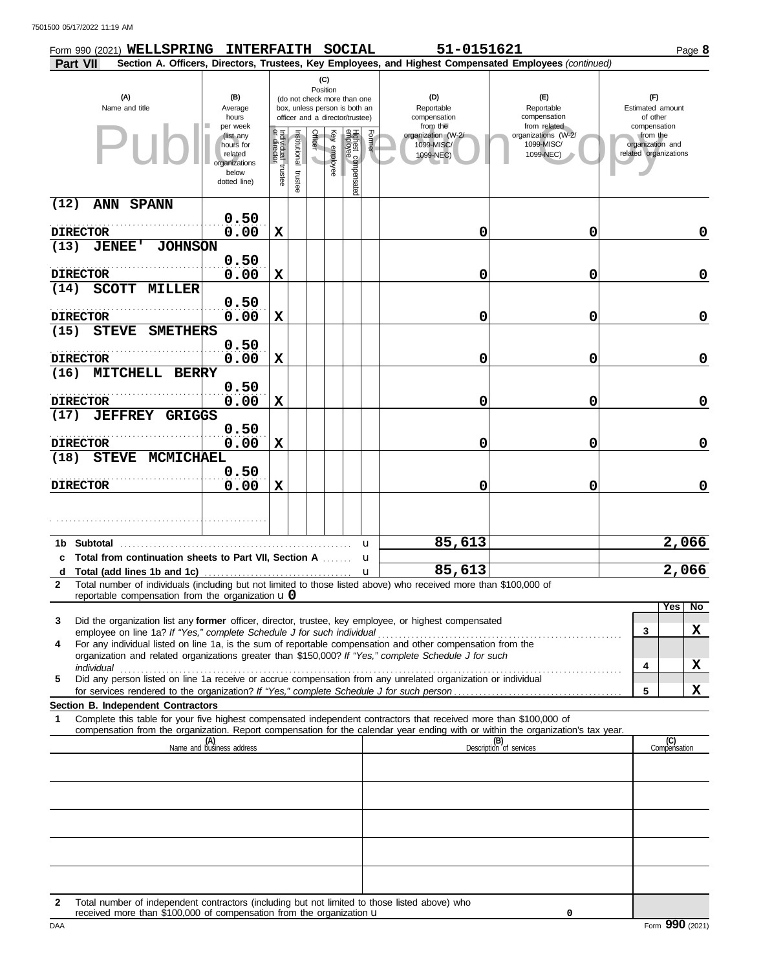7501500 05/17/2022 11:19 AM

| Form 990 (2021) WELLSPRING INTERFAITH SOCIAL                                                                                                                                                  |                                                                                         |                                   |                       |          |              |                                                                                                 |        | 51-0151621                                                |                                                                                                        | Page 8                                                                |
|-----------------------------------------------------------------------------------------------------------------------------------------------------------------------------------------------|-----------------------------------------------------------------------------------------|-----------------------------------|-----------------------|----------|--------------|-------------------------------------------------------------------------------------------------|--------|-----------------------------------------------------------|--------------------------------------------------------------------------------------------------------|-----------------------------------------------------------------------|
| Part VII                                                                                                                                                                                      |                                                                                         |                                   |                       | (C)      |              |                                                                                                 |        |                                                           | Section A. Officers, Directors, Trustees, Key Employees, and Highest Compensated Employees (continued) |                                                                       |
| (A)<br>Name and title                                                                                                                                                                         | (B)<br>Average<br>hours                                                                 |                                   |                       | Position |              | (do not check more than one<br>box, unless person is both an<br>officer and a director/trustee) |        | (D)<br>Reportable<br>compensation                         | (E)<br>Reportable<br>compensation                                                                      | (F)<br>Estimated amount<br>of other                                   |
|                                                                                                                                                                                               | per week<br>(list any<br>hours for<br>related<br>organizations<br>below<br>dotted line) | Individual trustee<br>or director | Institutional trustee | Officer  | Key employee | Highest compensated<br>employee                                                                 | Former | from the<br>organization (W-2/<br>1099-MISC/<br>1099-NEC) | from related<br>organizations (W-2/<br>1099-MISC/<br>1099-NEC)                                         | compensation<br>from the<br>organization and<br>related organizations |
| (12)<br>ANN SPANN                                                                                                                                                                             |                                                                                         |                                   |                       |          |              |                                                                                                 |        |                                                           |                                                                                                        |                                                                       |
| <b>DIRECTOR</b>                                                                                                                                                                               | 0.50<br>0.00                                                                            | X                                 |                       |          |              |                                                                                                 |        | 0                                                         | 0                                                                                                      | 0                                                                     |
| (13)<br><b>JENEE'</b><br><b>JOHNSON</b>                                                                                                                                                       |                                                                                         |                                   |                       |          |              |                                                                                                 |        |                                                           |                                                                                                        |                                                                       |
| <b>DIRECTOR</b>                                                                                                                                                                               | 0.50<br>0.00                                                                            | X                                 |                       |          |              |                                                                                                 |        | 0                                                         | 0                                                                                                      | $\mathbf 0$                                                           |
| (14)<br><b>SCOTT MILLER</b>                                                                                                                                                                   |                                                                                         |                                   |                       |          |              |                                                                                                 |        |                                                           |                                                                                                        |                                                                       |
|                                                                                                                                                                                               | 0.50                                                                                    |                                   |                       |          |              |                                                                                                 |        |                                                           |                                                                                                        |                                                                       |
| <b>DIRECTOR</b><br>(15)<br><b>STEVE</b><br><b>SMETHERS</b>                                                                                                                                    | 0.00                                                                                    | X                                 |                       |          |              |                                                                                                 |        | 0                                                         | 0                                                                                                      | $\mathbf 0$                                                           |
| <b>DIRECTOR</b>                                                                                                                                                                               | 0.50<br>0.00                                                                            | X                                 |                       |          |              |                                                                                                 |        | 0                                                         | 0                                                                                                      | $\mathbf 0$                                                           |
| (16)<br><b>MITCHELL BERRY</b>                                                                                                                                                                 |                                                                                         |                                   |                       |          |              |                                                                                                 |        |                                                           |                                                                                                        |                                                                       |
| <b>DIRECTOR</b>                                                                                                                                                                               | 0.50<br>0.00                                                                            | X                                 |                       |          |              |                                                                                                 |        | 0                                                         | 0                                                                                                      | $\mathbf 0$                                                           |
| (17)<br><b>JEFFREY GRIGGS</b>                                                                                                                                                                 |                                                                                         |                                   |                       |          |              |                                                                                                 |        |                                                           |                                                                                                        |                                                                       |
| <b>DIRECTOR</b>                                                                                                                                                                               | 0.50<br>0.00                                                                            | X                                 |                       |          |              |                                                                                                 |        | 0                                                         | 0                                                                                                      | $\mathbf 0$                                                           |
| (18)<br><b>STEVE</b><br><b>MCMICHAEL</b>                                                                                                                                                      |                                                                                         |                                   |                       |          |              |                                                                                                 |        |                                                           |                                                                                                        |                                                                       |
| <b>DIRECTOR</b>                                                                                                                                                                               | 0.50<br>0.00                                                                            | X                                 |                       |          |              |                                                                                                 |        | 0                                                         | 0                                                                                                      | 0                                                                     |
|                                                                                                                                                                                               |                                                                                         |                                   |                       |          |              |                                                                                                 |        |                                                           |                                                                                                        |                                                                       |
|                                                                                                                                                                                               |                                                                                         |                                   |                       |          |              |                                                                                                 |        | 85,613                                                    |                                                                                                        | 2,066                                                                 |
| <b>Subtotal</b><br>1b.<br>c Total from continuation sheets to Part VII, Section A                                                                                                             |                                                                                         |                                   |                       |          |              | u<br>u                                                                                          |        |                                                           |                                                                                                        |                                                                       |
| d                                                                                                                                                                                             |                                                                                         |                                   |                       |          |              | $\mathbf u$                                                                                     |        | 85,613                                                    |                                                                                                        | 2,066                                                                 |
| Total number of individuals (including but not limited to those listed above) who received more than \$100,000 of<br>$\mathbf{2}$<br>reportable compensation from the organization $\bf{u}$ 0 |                                                                                         |                                   |                       |          |              |                                                                                                 |        |                                                           |                                                                                                        |                                                                       |
| Did the organization list any former officer, director, trustee, key employee, or highest compensated<br>3                                                                                    |                                                                                         |                                   |                       |          |              |                                                                                                 |        |                                                           |                                                                                                        | Yes<br>No                                                             |
| For any individual listed on line 1a, is the sum of reportable compensation and other compensation from the<br>4                                                                              |                                                                                         |                                   |                       |          |              |                                                                                                 |        |                                                           |                                                                                                        | X<br>3                                                                |
| organization and related organizations greater than \$150,000? If "Yes," complete Schedule J for such                                                                                         |                                                                                         |                                   |                       |          |              |                                                                                                 |        |                                                           |                                                                                                        |                                                                       |
| individual<br>individual<br>Did any person listed on line 1a receive or accrue compensation from any unrelated organization or individual<br>5                                                |                                                                                         |                                   |                       |          |              |                                                                                                 |        |                                                           |                                                                                                        | X<br>4                                                                |
| <b>Section B. Independent Contractors</b>                                                                                                                                                     |                                                                                         |                                   |                       |          |              |                                                                                                 |        |                                                           |                                                                                                        | X<br>5                                                                |
| Complete this table for your five highest compensated independent contractors that received more than \$100,000 of<br>1                                                                       |                                                                                         |                                   |                       |          |              |                                                                                                 |        |                                                           |                                                                                                        |                                                                       |
| compensation from the organization. Report compensation for the calendar year ending with or within the organization's tax year.                                                              | (A)<br>Name and business address                                                        |                                   |                       |          |              |                                                                                                 |        |                                                           | (B)                                                                                                    | (C)<br>Compensation                                                   |
|                                                                                                                                                                                               |                                                                                         |                                   |                       |          |              |                                                                                                 |        |                                                           | Description of services                                                                                |                                                                       |
|                                                                                                                                                                                               |                                                                                         |                                   |                       |          |              |                                                                                                 |        |                                                           |                                                                                                        |                                                                       |
|                                                                                                                                                                                               |                                                                                         |                                   |                       |          |              |                                                                                                 |        |                                                           |                                                                                                        |                                                                       |
|                                                                                                                                                                                               |                                                                                         |                                   |                       |          |              |                                                                                                 |        |                                                           |                                                                                                        |                                                                       |
|                                                                                                                                                                                               |                                                                                         |                                   |                       |          |              |                                                                                                 |        |                                                           |                                                                                                        |                                                                       |
|                                                                                                                                                                                               |                                                                                         |                                   |                       |          |              |                                                                                                 |        |                                                           |                                                                                                        |                                                                       |
|                                                                                                                                                                                               |                                                                                         |                                   |                       |          |              |                                                                                                 |        |                                                           |                                                                                                        |                                                                       |
| Total number of independent contractors (including but not limited to those listed above) who<br>$\mathbf{2}$                                                                                 |                                                                                         |                                   |                       |          |              |                                                                                                 |        |                                                           |                                                                                                        |                                                                       |
| received more than \$100,000 of compensation from the organization $\mathbf u$<br>DAA                                                                                                         |                                                                                         |                                   |                       |          |              |                                                                                                 |        |                                                           | 0                                                                                                      | Form 990 (2021)                                                       |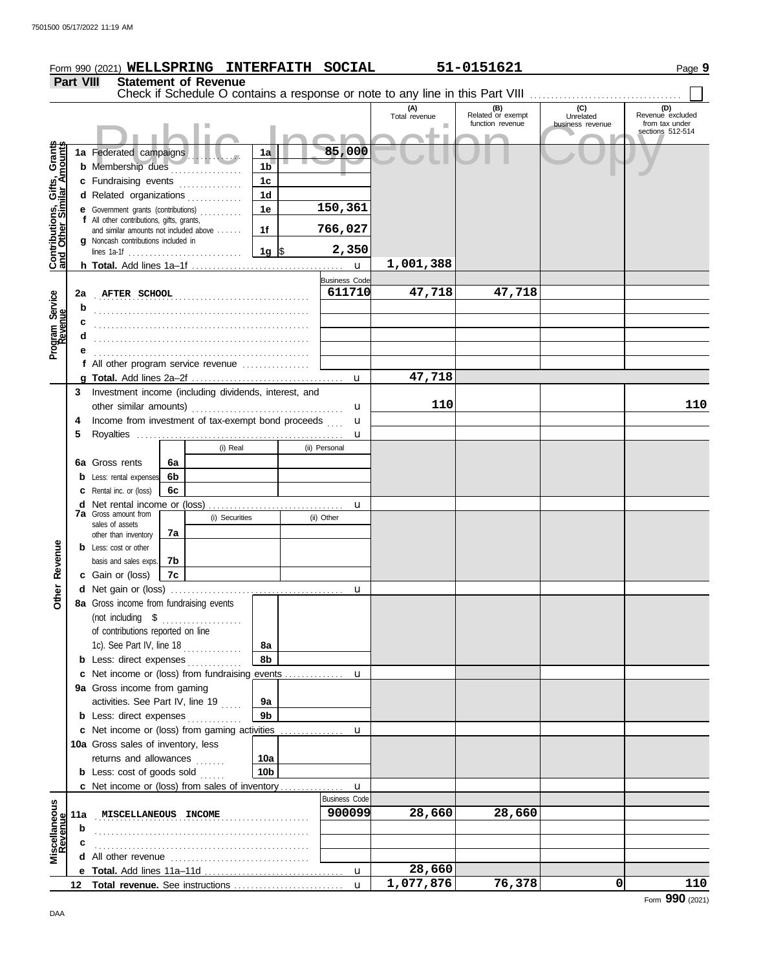|                                                           |                  | Form 990 (2021) WELLSPRING INTERFAITH SOCIAL          |    |   |                |                      |                      |                      | 51-0151621                                                                    |                                      | Page 9                                                        |
|-----------------------------------------------------------|------------------|-------------------------------------------------------|----|---|----------------|----------------------|----------------------|----------------------|-------------------------------------------------------------------------------|--------------------------------------|---------------------------------------------------------------|
|                                                           | <b>Part VIII</b> | <b>Statement of Revenue</b>                           |    |   |                |                      |                      |                      |                                                                               |                                      |                                                               |
|                                                           |                  |                                                       |    |   |                |                      |                      |                      | Check if Schedule O contains a response or note to any line in this Part VIII |                                      |                                                               |
|                                                           |                  |                                                       |    |   |                |                      |                      | (A)<br>Total revenue | (B)<br>Related or exempt<br>function revenue                                  | (C)<br>Unrelated<br>business revenue | (D)<br>Revenue excluded<br>from tax under<br>sections 512-514 |
|                                                           |                  |                                                       |    |   |                |                      | 85,000               |                      |                                                                               |                                      |                                                               |
| Contributions, Gifts, Grants<br>and Other Similar Amounts |                  | 1a Federated campaigns<br><b>b</b> Membership dues    |    |   |                | 1a<br>1 <sub>b</sub> |                      |                      |                                                                               |                                      |                                                               |
|                                                           |                  | c Fundraising events                                  |    |   |                | 1 <sub>c</sub>       |                      |                      |                                                                               |                                      |                                                               |
|                                                           |                  | d Related organizations                               |    |   |                | 1 <sub>d</sub>       |                      |                      |                                                                               |                                      |                                                               |
|                                                           |                  | e Government grants (contributions)                   |    |   |                | 1e                   | 150,361              |                      |                                                                               |                                      |                                                               |
|                                                           |                  | f All other contributions, gifts, grants,             |    |   |                |                      |                      |                      |                                                                               |                                      |                                                               |
|                                                           |                  | and similar amounts not included above                |    |   |                | 1f                   | 766,027              |                      |                                                                               |                                      |                                                               |
|                                                           |                  | g Noncash contributions included in                   |    |   |                | 1g ∣\$               | 2,350                |                      |                                                                               |                                      |                                                               |
|                                                           |                  |                                                       |    |   |                |                      | $\mathbf{u}$         | 1,001,388            |                                                                               |                                      |                                                               |
|                                                           |                  |                                                       |    |   |                |                      | <b>Business Code</b> |                      |                                                                               |                                      |                                                               |
|                                                           | 2a               | <b>AFTER SCHOOL</b>                                   |    |   |                |                      | 611710               | 47,718               | 47,718                                                                        |                                      |                                                               |
| Program Service<br>Revenue                                | b                |                                                       |    |   |                |                      |                      |                      |                                                                               |                                      |                                                               |
|                                                           | c                |                                                       |    |   |                |                      |                      |                      |                                                                               |                                      |                                                               |
|                                                           | d                |                                                       |    |   |                |                      |                      |                      |                                                                               |                                      |                                                               |
|                                                           |                  |                                                       |    |   |                |                      |                      |                      |                                                                               |                                      |                                                               |
|                                                           |                  | f All other program service revenue                   |    |   |                |                      |                      |                      |                                                                               |                                      |                                                               |
|                                                           |                  |                                                       |    |   |                |                      | $\mathbf{u}$         | 47,718               |                                                                               |                                      |                                                               |
|                                                           | 3                | Investment income (including dividends, interest, and |    |   |                |                      |                      |                      |                                                                               |                                      |                                                               |
|                                                           |                  | other similar amounts)                                |    |   |                |                      | u                    | 110                  |                                                                               |                                      | 110                                                           |
|                                                           | 4                | Income from investment of tax-exempt bond proceeds    |    |   |                |                      | u                    |                      |                                                                               |                                      |                                                               |
|                                                           | 5                |                                                       |    |   |                |                      | u                    |                      |                                                                               |                                      |                                                               |
|                                                           |                  |                                                       |    |   | (i) Real       |                      | (ii) Personal        |                      |                                                                               |                                      |                                                               |
|                                                           |                  | <b>6a</b> Gross rents                                 | 6a |   |                |                      |                      |                      |                                                                               |                                      |                                                               |
|                                                           |                  | <b>b</b> Less: rental expenses                        | 6b |   |                |                      |                      |                      |                                                                               |                                      |                                                               |
|                                                           |                  | <b>c</b> Rental inc. or (loss)                        | 6c |   |                |                      |                      |                      |                                                                               |                                      |                                                               |
|                                                           |                  | <b>7a</b> Gross amount from                           |    |   |                |                      | u                    |                      |                                                                               |                                      |                                                               |
|                                                           |                  | sales of assets                                       |    |   | (i) Securities |                      | (ii) Other           |                      |                                                                               |                                      |                                                               |
|                                                           |                  | other than inventory                                  | 7a |   |                |                      |                      |                      |                                                                               |                                      |                                                               |
| Revenue                                                   |                  | <b>b</b> Less: cost or other                          |    |   |                |                      |                      |                      |                                                                               |                                      |                                                               |
|                                                           |                  | basis and sales exps.                                 | 7b |   |                |                      |                      |                      |                                                                               |                                      |                                                               |
|                                                           |                  | c Gain or (loss)                                      | 7c |   |                |                      |                      |                      |                                                                               |                                      |                                                               |
| Othe                                                      |                  | 8a Gross income from fundraising events               |    |   |                |                      |                      |                      |                                                                               |                                      |                                                               |
|                                                           |                  | (not including \$                                     |    |   |                |                      |                      |                      |                                                                               |                                      |                                                               |
|                                                           |                  | of contributions reported on line                     |    | . |                |                      |                      |                      |                                                                               |                                      |                                                               |
|                                                           |                  | 1c). See Part IV, line 18                             |    |   |                | 8а                   |                      |                      |                                                                               |                                      |                                                               |
|                                                           |                  | <b>b</b> Less: direct expenses                        |    |   |                | 8b                   |                      |                      |                                                                               |                                      |                                                               |
|                                                           |                  |                                                       |    |   |                |                      |                      |                      |                                                                               |                                      |                                                               |
|                                                           |                  | 9a Gross income from gaming                           |    |   |                |                      |                      |                      |                                                                               |                                      |                                                               |
|                                                           |                  | activities. See Part IV, line 19                      |    |   |                | 9а                   |                      |                      |                                                                               |                                      |                                                               |
|                                                           |                  | <b>b</b> Less: direct expenses                        |    |   |                | 9 <sub>b</sub>       |                      |                      |                                                                               |                                      |                                                               |
|                                                           |                  |                                                       |    |   |                |                      |                      |                      |                                                                               |                                      |                                                               |
|                                                           |                  | 10a Gross sales of inventory, less                    |    |   |                |                      |                      |                      |                                                                               |                                      |                                                               |
|                                                           |                  | returns and allowances                                |    | . |                | 10a                  |                      |                      |                                                                               |                                      |                                                               |
|                                                           |                  | <b>b</b> Less: $cost$ of goods sold $\ldots$          |    |   |                | 10 <sub>b</sub>      |                      |                      |                                                                               |                                      |                                                               |
|                                                           |                  | <b>c</b> Net income or (loss) from sales of inventory |    |   |                |                      | $\mathbf{u}$         |                      |                                                                               |                                      |                                                               |
|                                                           |                  |                                                       |    |   |                |                      | <b>Business Code</b> |                      |                                                                               |                                      |                                                               |
|                                                           | 11a              | MISCELLANEOUS INCOME                                  |    |   |                |                      | 900099               | 28,660               | 28,660                                                                        |                                      |                                                               |
| Miscellaneous<br>Revenue                                  | b                |                                                       |    |   |                |                      |                      |                      |                                                                               |                                      |                                                               |
|                                                           |                  |                                                       |    |   |                |                      |                      |                      |                                                                               |                                      |                                                               |
|                                                           |                  |                                                       |    |   |                |                      |                      |                      |                                                                               |                                      |                                                               |
|                                                           |                  |                                                       |    |   |                |                      |                      | 28,660               |                                                                               |                                      |                                                               |

u

**1,077,876 76,378 0 110**

**Total revenue.** See instructions . . . . . . . . . . . . . . . . . . . . . . . . . . **12**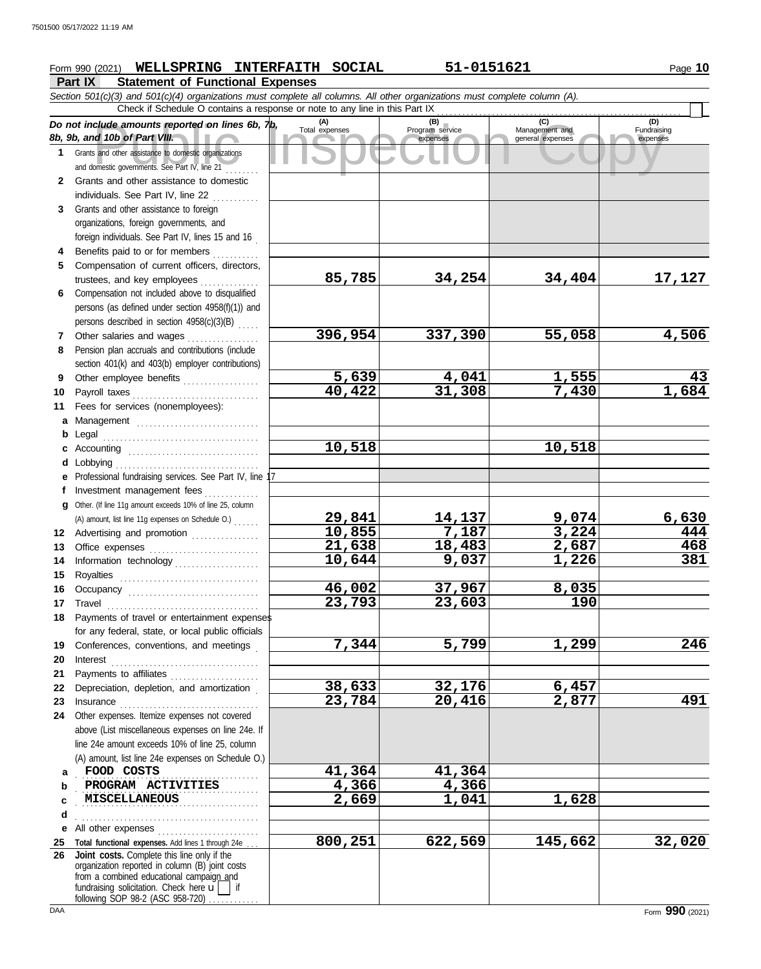## **Form 990 (2021) WELLSPRING INTERFAITH SOCIAL 51-0151621 Page 10** Page 10

**Part IX Statement of Functional Expenses**

Cuide amounts reported on lines 6b, 7b, Total expenses<br>
and 10b of Part VIII. Expenses one stic organizations<br>
Sand other assistance to domestic organizations<br>
Sand other assistance to domestic organizations<br>
Sand other as *Section 501(c)(3) and 501(c)(4) organizations must complete all columns. All other organizations must complete column (A). Do not include amounts reported on lines 6b, 7b, 8b, 9b, and 10b of Part VIII.* **1 2 3 4 5 6** Compensation not included above to disqualified **7 8 9 10** Payroll taxes . . . . . . . . . . . . . . . . . . . . . . . . . . . . . . **11 a** Management ............................. **b** Legal . . . . . . . . . . . . . . . . . . . . . . . . . . . . . . . . . . . . . **c** Accounting . . . . . . . . . . . . . . . . . . . . . . . . . . . . . . . **d** Lobbying . . . . . . . . . . . . . . . . . . . . . . . . . . . . . . . . . . **e** Professional fundraising services. See Part IV, line 17 **f g** Other. (If line 11g amount exceeds 10% of line 25, column **12** Advertising and promotion ................ **13** Office expenses **.......................**... **14 15 16** Occupancy .................................. **17** Travel . . . . . . . . . . . . . . . . . . . . . . . . . . . . . . . . . . . . **18 19 20 21 22** Depreciation, depletion, and amortization . **23** Insurance . . . . . . . . . . . . . . . . . . . . . . . . . . . . . . . . . **24** Other expenses. Itemize expenses not covered **a** FOOD COSTS **11,364 41,364 b c d e** All other expenses . . . . . . . . . . . . . . . . . . . . . . . . **25 Total functional expenses.** Add lines 1 through 24e . . . **26 Joint costs.** Complete this line only if the Grants and other assistance to domestic organizations and domestic governments. See Part IV, line 21 . . . . . . . . Grants and other assistance to domestic individuals. See Part IV, line 22 Grants and other assistance to foreign organizations, foreign governments, and foreign individuals. See Part IV, lines 15 and 16 Benefits paid to or for members . . . . . . . . . . . Compensation of current officers, directors, trustees, and key employees . . . . . . . . . . . . . persons (as defined under section 4958(f)(1)) and persons described in section  $4958(c)(3)(B)$  .... Other salaries and wages . . . . . . . . . . . . . . . . Pension plan accruals and contributions (include section 401(k) and 403(b) employer contributions) Other employee benefits .................. Fees for services (nonemployees): Investment management fees .............. Information technology Royalties . . . . . . . . . . . . . . . . . . . . . . . . . . . . . . . . . Payments of travel or entertainment expenses for any federal, state, or local public officials Conferences, conventions, and meetings . Interest . . . . . . . . . . . . . . . . . . . . . . . . . . . . . . . . . . . Payments to affiliates ...................... above (List miscellaneous expenses on line 24e. If line 24e amount exceeds 10% of line 25, column (A) amount, list line 24e expenses on Schedule O.) fundraising solicitation. Check here  $\mathbf{u}$  if organization reported in column (B) joint costs from a combined educational campaign and following SOP 98-2 (ASC 958-720) **(A) (B) (C) (D)** Total **(B)**<br>Program service<br>expenses expenses general expenses (D)<br>Fundraising expenses . . . . . . . . . . . . . . . . . . . . . . . . . . . . . . . . . . . . . . . . . . . . . . . . . . . . . . . . . . . . . . . . . . . . . . . . . . . . . . . . . . . . . . **MISCELLANEOUS 2,669 1,041 1,628** . . . . . . . . . . . . . . . . . . . . . . . . . . . . . . . . . . . . . . . . . . . Check if Schedule O contains a response or note to any line in this Part IX (A) amount, list line 11g expenses on Schedule O.) . . . . . . **85,785 34,254 34,404 17,127 396,954 337,390 55,058 4,506 5,639 4,041 1,555 43 40,422 31,308 7,430 1,684 10,518 10,518 29,841 14,137 9,074 6,630 10,855 7,187 3,224 444 21,638 18,483 2,687 468 10,644 9,037 1,226 381 46,002 37,967 8,035 23,793 23,603 190 7,344 5,799 1,299 246 38,633 32,176 6,457 23,784 20,416 2,877 491 PROGRAM ACTIVITIES 4,366 4,366 4,366 1,041 800,251 622,569 145,662 32,020**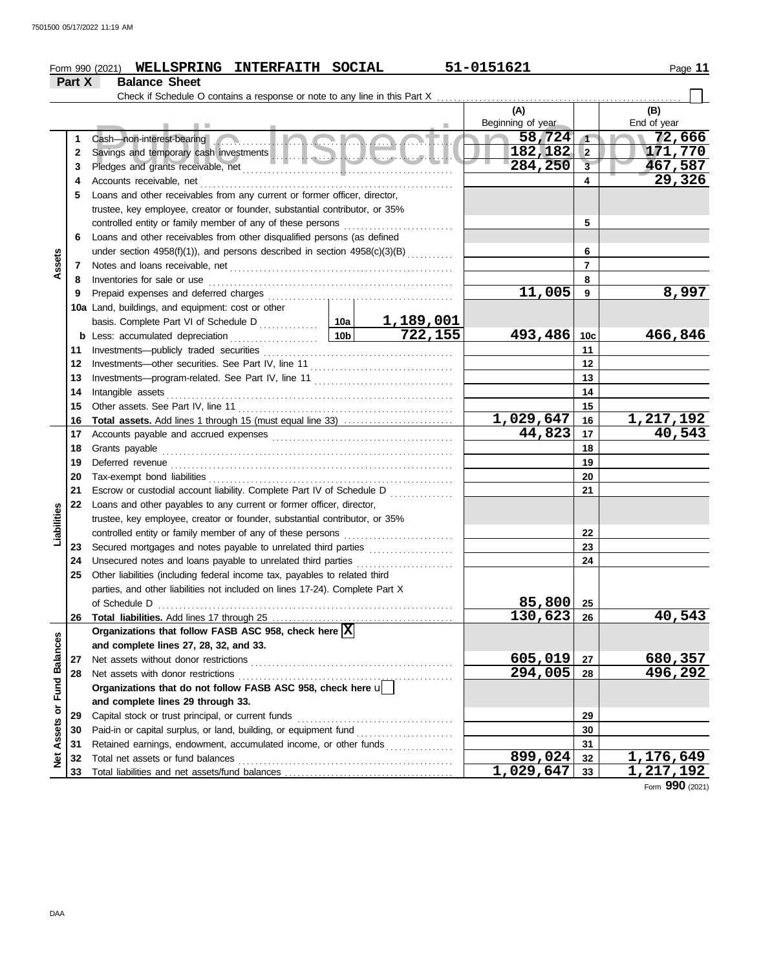## **Form 990 (2021) WELLSPRING INTERFAITH SOCIAL 51-0151621 120 11 120 1316 11** Page 11

**Part X Balance Sheet** Check if Schedule O contains a response or note to any line in this Part X **(A) (B)** Beginning of year | End of year Beginning of year<br>Savings and temporary cash investments<br>Pledges and grants receivable, net the contract of the contract of the contract of the contract of the contract of the contract of the contract of the contract of th Cash—non-interest-bearing ................ **58,724 72,666 1 1 182,182 2 171,770**<br>284,250 3 467,587 **2 2** Savings and temporary cash investments **with an advice the contract of the state of the state of the state of the state of the state of the state of the state of the state of the state of the state of the state of the 3 284,250 467,587 3** Pledges and grants receivable, net . . . . . . . . . . . . . . . . . . . . . . . . . . . . . . . . . . . . . . . . . . . . . . . . . . **29,326 4 4** Accounts receivable, net . . . . . . . . . . . . . . . . . . . . . . . . . . . . . . . . . . . . . . . . . . . . . . . . . . . . . . . . . . . . **5** Loans and other receivables from any current or former officer, director, trustee, key employee, creator or founder, substantial contributor, or 35% controlled entity or family member of any of these persons . . . . . . . . . . . . . . . . . . . . . . . . . . **5 6** Loans and other receivables from other disqualified persons (as defined **6 Assets** under section  $4958(f)(1)$ ), and persons described in section  $4958(c)(3)(B)$  .......... **7 7** Notes and loans receivable, net . . . . . . . . . . . . . . . . . . . . . . . . . . . . . . . . . . . . . . . . . . . . . . . . . . . . . Inventories for sale or use . . . . . . . . . . . . . . . . . . . . . . . . . . . . . . . . . . . . . . . . . . . . . . . . . . . . . . . . . . **8 8 11,005 8,997 9 9** Prepaid expenses and deferred charges . . . . . . . . . . . . . . . . . . . . . . . . . . . . . . . . . . . . . . . . . . . . **10a** Land, buildings, and equipment: cost or other basis. Complete Part VI of Schedule D . . . . . . . . . . . . **10a 1,189,001 722,155 493,486 466,846 10b 10c b** Less: accumulated depreciation . . . . . . . . . . . . . . . . . . . . . Investments—publicly traded securities . . . . . . . . . . . . . . . . . . . . . . . . . . . . . . . . . . . . . . . . . . . . . **11 11** Investments—other securities. See Part IV, line 11 **12 12** Investments—program-related. See Part IV, line 11 . . . . . . . . . . . . . . . . . . . . . . . . . . . . . . . . . **13 13** Intangible assets . . . . . . . . . . . . . . . . . . . . . . . . . . . . . . . . . . . . . . . . . . . . . . . . . . . . . . . . . . . . . . . . . . . . **14 14** Other assets. See Part IV, line 11 . . . . . . . . . . . . . . . . . . . . . . . . . . . . . . . . . . . . . . . . . . . . . . . . . . . **15 15 16 Total assets.** Add lines 1 through 15 (must equal line 33) . . . . . . . . . . . . . . . . . . . . . . . . . . **1,029,647 1,217,192 16** Accounts payable and accrued expenses . . . . . . . . . . . . . . . . . . . . . . . . . . . . . . . . . . . . . . . . . . . **44,823 40,543 17 17 18** Grants payable . . . . . . . . . . . . . . . . . . . . . . . . . . . . . . . . . . . . . . . . . . . . . . . . . . . . . . . . . . . . . . . . . . . . . **18 19** Deferred revenue . . . . . . . . . . . . . . . . . . . . . . . . . . . . . . . . . . . . . . . . . . . . . . . . . . . . . . . . . . . . . . . . . . . **19 20** Tax-exempt bond liabilities . . . . . . . . . . . . . . . . . . . . . . . . . . . . . . . . . . . . . . . . . . . . . . . . . . . . . . . . . . **20 21** Escrow or custodial account liability. Complete Part IV of Schedule D **21 22** Loans and other payables to any current or former officer, director, **Liabilities** trustee, key employee, creator or founder, substantial contributor, or 35% controlled entity or family member of any of these persons ........................... **22** Secured mortgages and notes payable to unrelated third parties . . . . . . . . . . . . . . . . . . . . **23 23** Unsecured notes and loans payable to unrelated third parties . . . . . . . . . . . . . . . . . . . . . . . **24 24 25** Other liabilities (including federal income tax, payables to related third parties, and other liabilities not included on lines 17-24). Complete Part X **85,800** of Schedule D . . . . . . . . . . . . . . . . . . . . . . . . . . . . . . . . . . . . . . . . . . . . . . . . . . . . . . . . . . . . . . . . . . . . . . **25 130,623 40,543 26** Total liabilities. Add lines 17 through 25 **26** Organizations that follow FASB ASC 958, check here  $\overline{\textbf{X}}$ Net Assets or Fund Balances **Net Assets or Fund Balances and complete lines 27, 28, 32, and 33.** Net assets without donor restrictions . . . . . . . . . . . . . . . . . . . . . . . . . . . . . . . . . . . . . . . . . . . . . . . . **605,019 680,357 27 27** Net assets with donor restrictions . . . . . . . . . . . . . . . . . . . . . . . . . . . . . . . . . . . . . . . . . . . . . . . . . . . **28 294,005 496,292 28 Organizations that do not follow FASB ASC 958, check here** u **and complete lines 29 through 33. 29 29** Capital stock or trust principal, or current funds **30** Paid-in or capital surplus, or land, building, or equipment fund **30** Retained earnings, endowment, accumulated income, or other funds . . . . . . . . . . . . . . . . . . **31 31**

Total net assets or fund balances . . . . . . . . . . . . . . . . . . . . . . . . . . . . . . . . . . . . . . . . . . . . . . . . . . .

Total liabilities and net assets/fund balances ...

Form **990** (2021)

**33 32**

**1,029,647 1,217,192**

**899,024** 32 1,176,649<br>029,647 33 1,217,192

**32 33**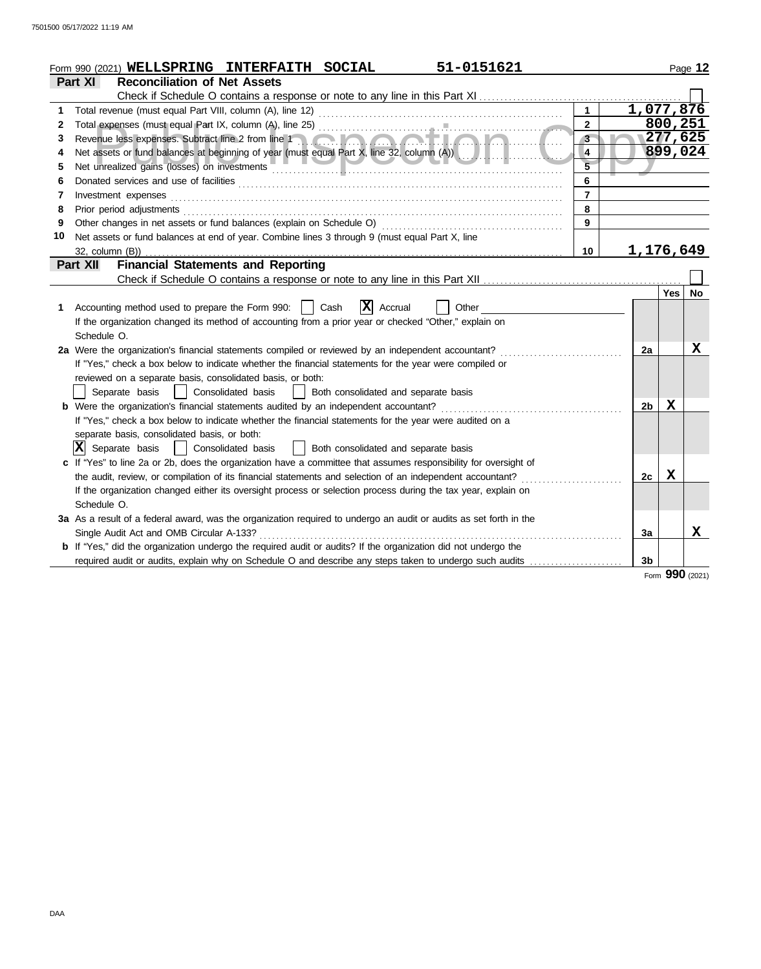|    | 51-0151621<br>Form 990 (2021) WELLSPRING INTERFAITH SOCIAL                                                            |                |                 | Page 12     |
|----|-----------------------------------------------------------------------------------------------------------------------|----------------|-----------------|-------------|
|    | Part XI<br><b>Reconciliation of Net Assets</b>                                                                        |                |                 |             |
|    | Check if Schedule O contains a response or note to any line in this Part XI                                           |                |                 |             |
| 1  | $\mathbf{1}$<br>Total revenue (must equal Part VIII, column (A), line 12)                                             | 1,077,876      |                 |             |
| 2  | $\overline{2}$                                                                                                        |                | 800, 251        |             |
| 3  | Revenue less expenses. Subtract line 2 from line 1<br>$3 -$                                                           |                | 277,625         |             |
| 4  | Net assets or fund balances at beginning of year (must equal Part X, line 32, column (A))<br>4                        |                | 899,024         |             |
| 5. | $\overline{5}$<br>Net unrealized gains (losses) on investments                                                        |                |                 |             |
| 6  | 6                                                                                                                     |                |                 |             |
| 7  | $\overline{7}$<br>Investment expenses                                                                                 |                |                 |             |
| 8  | 8<br>Prior period adjustments                                                                                         |                |                 |             |
| 9  | Other changes in net assets or fund balances (explain on Schedule O)<br>9                                             |                |                 |             |
| 10 | Net assets or fund balances at end of year. Combine lines 3 through 9 (must equal Part X, line                        |                |                 |             |
|    | $32$ , column $(B)$ )<br>10                                                                                           | 1,176,649      |                 |             |
|    | <b>Financial Statements and Reporting</b><br>Part XII                                                                 |                |                 |             |
|    | Check if Schedule O contains a response or note to any line in this Part XII                                          |                |                 |             |
|    |                                                                                                                       |                |                 | Yes   No    |
| 1. | ΙX<br>Accounting method used to prepare the Form 990:<br>Cash<br>Accrual<br>Other                                     |                |                 |             |
|    | If the organization changed its method of accounting from a prior year or checked "Other," explain on                 |                |                 |             |
|    | Schedule O.                                                                                                           |                |                 |             |
|    | 2a Were the organization's financial statements compiled or reviewed by an independent accountant?                    | 2a             |                 | $\mathbf x$ |
|    | If "Yes," check a box below to indicate whether the financial statements for the year were compiled or                |                |                 |             |
|    | reviewed on a separate basis, consolidated basis, or both:                                                            |                |                 |             |
|    | Consolidated basis<br>Separate basis<br>Both consolidated and separate basis                                          |                |                 |             |
|    | <b>b</b> Were the organization's financial statements audited by an independent accountant?                           | 2 <sub>b</sub> | $\mathbf X$     |             |
|    | If "Yes," check a box below to indicate whether the financial statements for the year were audited on a               |                |                 |             |
|    | separate basis, consolidated basis, or both:                                                                          |                |                 |             |
|    | $ \mathbf{X} $ Separate basis<br>Consolidated basis<br>Both consolidated and separate basis                           |                |                 |             |
|    | c If "Yes" to line 2a or 2b, does the organization have a committee that assumes responsibility for oversight of      |                |                 |             |
|    | the audit, review, or compilation of its financial statements and selection of an independent accountant?             | 2c             | х               |             |
|    | If the organization changed either its oversight process or selection process during the tax year, explain on         |                |                 |             |
|    | Schedule O.                                                                                                           |                |                 |             |
|    | 3a As a result of a federal award, was the organization required to undergo an audit or audits as set forth in the    |                |                 |             |
|    | Single Audit Act and OMB Circular A-133?<br><u>.</u>                                                                  | За             |                 | x           |
|    | <b>b</b> If "Yes," did the organization undergo the required audit or audits? If the organization did not undergo the |                |                 |             |
|    | required audit or audits, explain why on Schedule O and describe any steps taken to undergo such audits               | 3b             |                 |             |
|    |                                                                                                                       |                | Form 990 (2021) |             |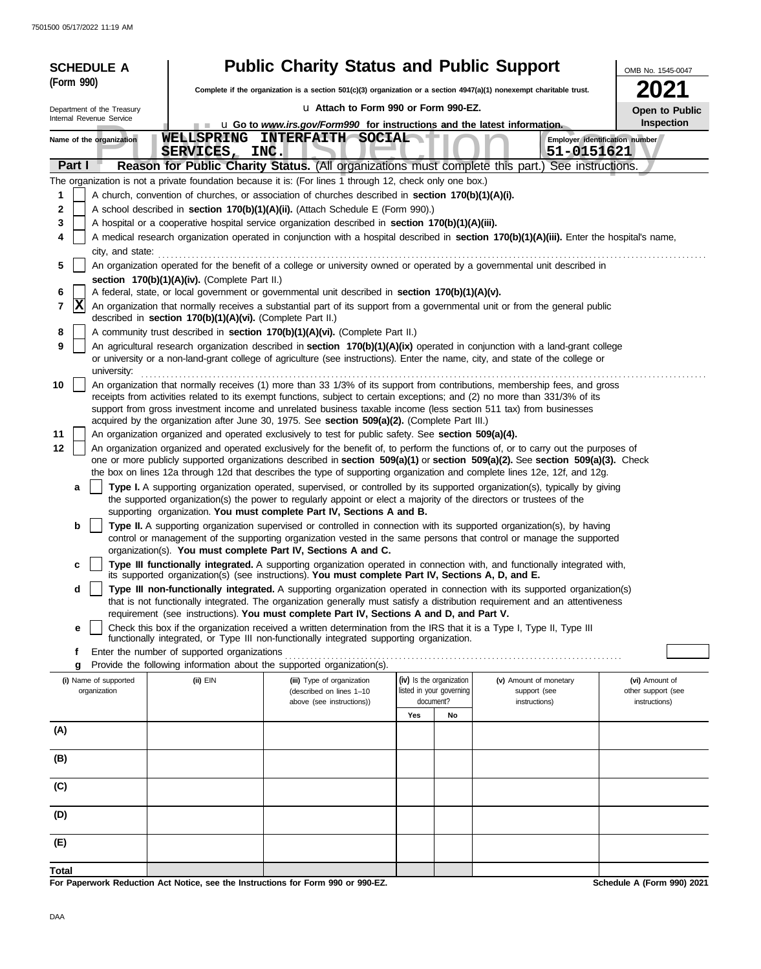| <b>SCHEDULE A</b>                                                                                                                                              |                                                            | <b>Public Charity Status and Public Support</b>                                                                      |                          |                                                                                                                                                                                                                                                                 | OMB No. 1545-0047              |  |  |  |  |
|----------------------------------------------------------------------------------------------------------------------------------------------------------------|------------------------------------------------------------|----------------------------------------------------------------------------------------------------------------------|--------------------------|-----------------------------------------------------------------------------------------------------------------------------------------------------------------------------------------------------------------------------------------------------------------|--------------------------------|--|--|--|--|
| (Form 990)                                                                                                                                                     |                                                            | Complete if the organization is a section 501(c)(3) organization or a section 4947(a)(1) nonexempt charitable trust. |                          |                                                                                                                                                                                                                                                                 |                                |  |  |  |  |
| Department of the Treasury                                                                                                                                     |                                                            | u Attach to Form 990 or Form 990-EZ.                                                                                 |                          |                                                                                                                                                                                                                                                                 | Open to Public                 |  |  |  |  |
| Internal Revenue Service                                                                                                                                       |                                                            | <b>u</b> Go to <i>www.irs.gov/Form990</i> for instructions and the latest information.                               |                          |                                                                                                                                                                                                                                                                 | Inspection                     |  |  |  |  |
| Name of the organization                                                                                                                                       | SERVICES, INC.                                             | WELLSPRING INTERFAITH SOCIAL                                                                                         |                          | 51-0151621                                                                                                                                                                                                                                                      | Employer identification number |  |  |  |  |
| Part I                                                                                                                                                         |                                                            |                                                                                                                      |                          | Reason for Public Charity Status. (All organizations must complete this part.) See instructions.                                                                                                                                                                |                                |  |  |  |  |
|                                                                                                                                                                |                                                            | The organization is not a private foundation because it is: (For lines 1 through 12, check only one box.)            |                          |                                                                                                                                                                                                                                                                 |                                |  |  |  |  |
| 1                                                                                                                                                              |                                                            | A church, convention of churches, or association of churches described in section 170(b)(1)(A)(i).                   |                          |                                                                                                                                                                                                                                                                 |                                |  |  |  |  |
| 2<br>3                                                                                                                                                         |                                                            | A school described in section 170(b)(1)(A)(ii). (Attach Schedule E (Form 990).)                                      |                          |                                                                                                                                                                                                                                                                 |                                |  |  |  |  |
| 4                                                                                                                                                              |                                                            | A hospital or a cooperative hospital service organization described in section 170(b)(1)(A)(iii).                    |                          |                                                                                                                                                                                                                                                                 |                                |  |  |  |  |
| A medical research organization operated in conjunction with a hospital described in section 170(b)(1)(A)(iii). Enter the hospital's name,<br>city, and state: |                                                            |                                                                                                                      |                          |                                                                                                                                                                                                                                                                 |                                |  |  |  |  |
| 5                                                                                                                                                              |                                                            |                                                                                                                      |                          | An organization operated for the benefit of a college or university owned or operated by a governmental unit described in                                                                                                                                       |                                |  |  |  |  |
|                                                                                                                                                                | section 170(b)(1)(A)(iv). (Complete Part II.)              |                                                                                                                      |                          |                                                                                                                                                                                                                                                                 |                                |  |  |  |  |
| 6<br>$ {\bf X} $<br>7                                                                                                                                          |                                                            | A federal, state, or local government or governmental unit described in section 170(b)(1)(A)(v).                     |                          | An organization that normally receives a substantial part of its support from a governmental unit or from the general public                                                                                                                                    |                                |  |  |  |  |
|                                                                                                                                                                | described in section 170(b)(1)(A)(vi). (Complete Part II.) |                                                                                                                      |                          |                                                                                                                                                                                                                                                                 |                                |  |  |  |  |
| 8                                                                                                                                                              |                                                            | A community trust described in section 170(b)(1)(A)(vi). (Complete Part II.)                                         |                          |                                                                                                                                                                                                                                                                 |                                |  |  |  |  |
| 9<br>university:                                                                                                                                               |                                                            |                                                                                                                      |                          | An agricultural research organization described in section 170(b)(1)(A)(ix) operated in conjunction with a land-grant college<br>or university or a non-land-grant college of agriculture (see instructions). Enter the name, city, and state of the college or |                                |  |  |  |  |
| 10                                                                                                                                                             |                                                            |                                                                                                                      |                          | An organization that normally receives (1) more than 33 1/3% of its support from contributions, membership fees, and gross                                                                                                                                      |                                |  |  |  |  |
|                                                                                                                                                                |                                                            |                                                                                                                      |                          | receipts from activities related to its exempt functions, subject to certain exceptions; and (2) no more than 331/3% of its                                                                                                                                     |                                |  |  |  |  |
|                                                                                                                                                                |                                                            | acquired by the organization after June 30, 1975. See section 509(a)(2). (Complete Part III.)                        |                          | support from gross investment income and unrelated business taxable income (less section 511 tax) from businesses                                                                                                                                               |                                |  |  |  |  |
| 11                                                                                                                                                             |                                                            | An organization organized and operated exclusively to test for public safety. See section 509(a)(4).                 |                          |                                                                                                                                                                                                                                                                 |                                |  |  |  |  |
| 12                                                                                                                                                             |                                                            |                                                                                                                      |                          | An organization organized and operated exclusively for the benefit of, to perform the functions of, or to carry out the purposes of                                                                                                                             |                                |  |  |  |  |
|                                                                                                                                                                |                                                            |                                                                                                                      |                          | one or more publicly supported organizations described in section 509(a)(1) or section 509(a)(2). See section 509(a)(3). Check<br>the box on lines 12a through 12d that describes the type of supporting organization and complete lines 12e, 12f, and 12g.     |                                |  |  |  |  |
| a                                                                                                                                                              |                                                            |                                                                                                                      |                          | Type I. A supporting organization operated, supervised, or controlled by its supported organization(s), typically by giving                                                                                                                                     |                                |  |  |  |  |
|                                                                                                                                                                |                                                            | the supported organization(s) the power to regularly appoint or elect a majority of the directors or trustees of the |                          |                                                                                                                                                                                                                                                                 |                                |  |  |  |  |
|                                                                                                                                                                |                                                            | supporting organization. You must complete Part IV, Sections A and B.                                                |                          |                                                                                                                                                                                                                                                                 |                                |  |  |  |  |
| b                                                                                                                                                              |                                                            |                                                                                                                      |                          | Type II. A supporting organization supervised or controlled in connection with its supported organization(s), by having<br>control or management of the supporting organization vested in the same persons that control or manage the supported                 |                                |  |  |  |  |
|                                                                                                                                                                |                                                            | organization(s). You must complete Part IV, Sections A and C.                                                        |                          |                                                                                                                                                                                                                                                                 |                                |  |  |  |  |
| c                                                                                                                                                              |                                                            | its supported organization(s) (see instructions). You must complete Part IV, Sections A, D, and E.                   |                          | Type III functionally integrated. A supporting organization operated in connection with, and functionally integrated with,                                                                                                                                      |                                |  |  |  |  |
| d                                                                                                                                                              |                                                            |                                                                                                                      |                          | Type III non-functionally integrated. A supporting organization operated in connection with its supported organization(s)<br>that is not functionally integrated. The organization generally must satisfy a distribution requirement and an attentiveness       |                                |  |  |  |  |
| е                                                                                                                                                              |                                                            | requirement (see instructions). You must complete Part IV, Sections A and D, and Part V.                             |                          | Check this box if the organization received a written determination from the IRS that it is a Type I, Type II, Type III                                                                                                                                         |                                |  |  |  |  |
|                                                                                                                                                                |                                                            | functionally integrated, or Type III non-functionally integrated supporting organization.                            |                          |                                                                                                                                                                                                                                                                 |                                |  |  |  |  |
| f                                                                                                                                                              | Enter the number of supported organizations                |                                                                                                                      |                          |                                                                                                                                                                                                                                                                 |                                |  |  |  |  |
| g<br>(i) Name of supported                                                                                                                                     | (ii) EIN                                                   | Provide the following information about the supported organization(s).<br>(iii) Type of organization                 | (iv) Is the organization | (v) Amount of monetary                                                                                                                                                                                                                                          | (vi) Amount of                 |  |  |  |  |
| organization                                                                                                                                                   |                                                            | (described on lines 1-10                                                                                             | listed in your governing | support (see                                                                                                                                                                                                                                                    | other support (see             |  |  |  |  |
|                                                                                                                                                                |                                                            | above (see instructions))                                                                                            | document?<br>Yes<br>No   | instructions)                                                                                                                                                                                                                                                   | instructions)                  |  |  |  |  |
| (A)                                                                                                                                                            |                                                            |                                                                                                                      |                          |                                                                                                                                                                                                                                                                 |                                |  |  |  |  |
|                                                                                                                                                                |                                                            |                                                                                                                      |                          |                                                                                                                                                                                                                                                                 |                                |  |  |  |  |
| (B)                                                                                                                                                            |                                                            |                                                                                                                      |                          |                                                                                                                                                                                                                                                                 |                                |  |  |  |  |
| (C)                                                                                                                                                            |                                                            |                                                                                                                      |                          |                                                                                                                                                                                                                                                                 |                                |  |  |  |  |
| (D)                                                                                                                                                            |                                                            |                                                                                                                      |                          |                                                                                                                                                                                                                                                                 |                                |  |  |  |  |
| (E)                                                                                                                                                            |                                                            |                                                                                                                      |                          |                                                                                                                                                                                                                                                                 |                                |  |  |  |  |
|                                                                                                                                                                |                                                            |                                                                                                                      |                          |                                                                                                                                                                                                                                                                 |                                |  |  |  |  |
| Total                                                                                                                                                          |                                                            | For Paperwork Reduction Act Notice, see the Instructions for Form 990 or 990-EZ.                                     |                          |                                                                                                                                                                                                                                                                 | Schedule A (Form 990) 2021     |  |  |  |  |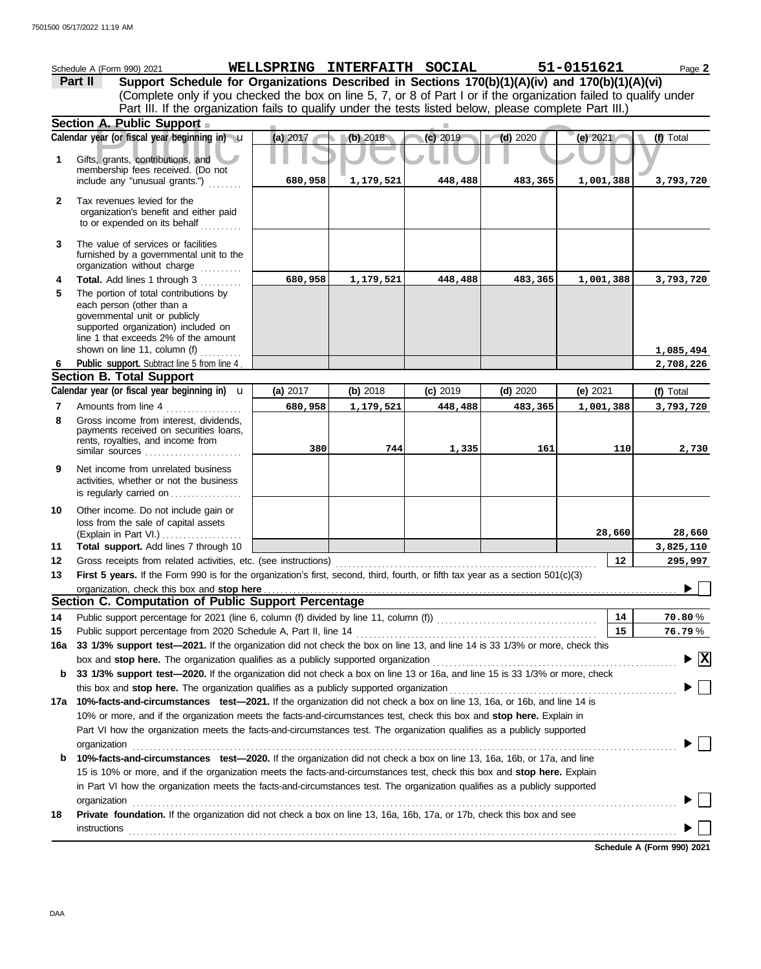|              | Schedule A (Form 990) 2021                                                                                                                                                                                                    |          | WELLSPRING INTERFAITH SOCIAL |            |            | 51-0151621 | Page 2                             |
|--------------|-------------------------------------------------------------------------------------------------------------------------------------------------------------------------------------------------------------------------------|----------|------------------------------|------------|------------|------------|------------------------------------|
|              | Support Schedule for Organizations Described in Sections 170(b)(1)(A)(iv) and 170(b)(1)(A)(vi)<br>Part II                                                                                                                     |          |                              |            |            |            |                                    |
|              | (Complete only if you checked the box on line 5, 7, or 8 of Part I or if the organization failed to qualify under                                                                                                             |          |                              |            |            |            |                                    |
|              | Part III. If the organization fails to qualify under the tests listed below, please complete Part III.)                                                                                                                       |          |                              |            |            |            |                                    |
|              | Section A. Public Support                                                                                                                                                                                                     |          |                              |            |            |            |                                    |
|              | Calendar year (or fiscal year beginning in) u                                                                                                                                                                                 | (a) 2017 | (b) 2018                     | (c) 2019   | $(d)$ 2020 | (e) 2021   | (f) Total                          |
| 1            | Gifts, grants, contributions, and<br>membership fees received. (Do not                                                                                                                                                        |          |                              |            |            |            |                                    |
|              | include any "unusual grants.")                                                                                                                                                                                                | 680,958  | 1,179,521                    | 448,488    | 483,365    | 1,001,388  | 3,793,720                          |
| $\mathbf{2}$ | Tax revenues levied for the<br>organization's benefit and either paid<br>to or expended on its behalf                                                                                                                         |          |                              |            |            |            |                                    |
| 3            | The value of services or facilities<br>furnished by a governmental unit to the<br>organization without charge                                                                                                                 |          |                              |            |            |            |                                    |
| 4            | Total. Add lines 1 through 3                                                                                                                                                                                                  | 680,958  | 1,179,521                    | 448,488    | 483,365    | 1,001,388  | 3,793,720                          |
| 5            | The portion of total contributions by<br>each person (other than a<br>governmental unit or publicly<br>supported organization) included on<br>line 1 that exceeds 2% of the amount                                            |          |                              |            |            |            |                                    |
|              | shown on line 11, column (f) $\ldots$<br>Public support. Subtract line 5 from line 4                                                                                                                                          |          |                              |            |            |            | 1,085,494                          |
| 6            | <b>Section B. Total Support</b>                                                                                                                                                                                               |          |                              |            |            |            | 2,708,226                          |
|              | Calendar year (or fiscal year beginning in) $\mathbf u$                                                                                                                                                                       | (a) 2017 | (b) 2018                     | $(c)$ 2019 | $(d)$ 2020 | (e) $2021$ | (f) Total                          |
| 7            | Amounts from line 4                                                                                                                                                                                                           | 680,958  | 1,179,521                    | 448,488    | 483,365    | 1,001,388  | 3,793,720                          |
| 8            | Gross income from interest, dividends,<br>payments received on securities loans,<br>rents, royalties, and income from<br>similar sources                                                                                      | 380      | 744                          | 1,335      | 161        | 110        | 2,730                              |
| 9            | Net income from unrelated business<br>activities, whether or not the business<br>is regularly carried on                                                                                                                      |          |                              |            |            |            |                                    |
| 10           | Other income. Do not include gain or<br>loss from the sale of capital assets<br>(Explain in Part VI.)                                                                                                                         |          |                              |            |            | 28,660     | 28,660                             |
| 11           | Total support. Add lines 7 through 10                                                                                                                                                                                         |          |                              |            |            |            | 3,825,110                          |
| 12           | Gross receipts from related activities, etc. (see instructions)                                                                                                                                                               |          |                              |            |            | 12         | 295,997                            |
| 13           | First 5 years. If the Form 990 is for the organization's first, second, third, fourth, or fifth tax year as a section 501(c)(3)                                                                                               |          |                              |            |            |            | $\sim$ $\Box$                      |
|              |                                                                                                                                                                                                                               |          |                              |            |            |            |                                    |
|              | Section C. Computation of Public Support Percentage                                                                                                                                                                           |          |                              |            |            |            |                                    |
| 14           |                                                                                                                                                                                                                               |          |                              |            |            | 14         | 70.80%                             |
| 15           | 33 1/3% support test-2021. If the organization did not check the box on line 13, and line 14 is 33 1/3% or more, check this                                                                                                   |          |                              |            |            | 15         | 76.79%                             |
| 16a          | box and stop here. The organization qualifies as a publicly supported organization [11] content content content content content of the state of the state of the state or and state or an analyze or an analyze or an analyze |          |                              |            |            |            | $\blacktriangleright \overline{X}$ |
| b            | 33 1/3% support test-2020. If the organization did not check a box on line 13 or 16a, and line 15 is 33 1/3% or more, check                                                                                                   |          |                              |            |            |            |                                    |
|              |                                                                                                                                                                                                                               |          |                              |            |            |            |                                    |
|              | 17a 10%-facts-and-circumstances test-2021. If the organization did not check a box on line 13, 16a, or 16b, and line 14 is                                                                                                    |          |                              |            |            |            |                                    |
|              | 10% or more, and if the organization meets the facts-and-circumstances test, check this box and stop here. Explain in                                                                                                         |          |                              |            |            |            |                                    |
|              | Part VI how the organization meets the facts-and-circumstances test. The organization qualifies as a publicly supported                                                                                                       |          |                              |            |            |            |                                    |
|              | organization www.commutation.commutation.com/www.commutation.com/www.commutation.com/www.commutation.com/www.com                                                                                                              |          |                              |            |            |            |                                    |
| b            | 10%-facts-and-circumstances test-2020. If the organization did not check a box on line 13, 16a, 16b, or 17a, and line                                                                                                         |          |                              |            |            |            |                                    |
|              | 15 is 10% or more, and if the organization meets the facts-and-circumstances test, check this box and stop here. Explain                                                                                                      |          |                              |            |            |            |                                    |
|              | in Part VI how the organization meets the facts-and-circumstances test. The organization qualifies as a publicly supported                                                                                                    |          |                              |            |            |            |                                    |
|              |                                                                                                                                                                                                                               |          |                              |            |            |            |                                    |
| 18           | Private foundation. If the organization did not check a box on line 13, 16a, 16b, 17a, or 17b, check this box and see                                                                                                         |          |                              |            |            |            |                                    |
|              |                                                                                                                                                                                                                               |          |                              |            |            |            |                                    |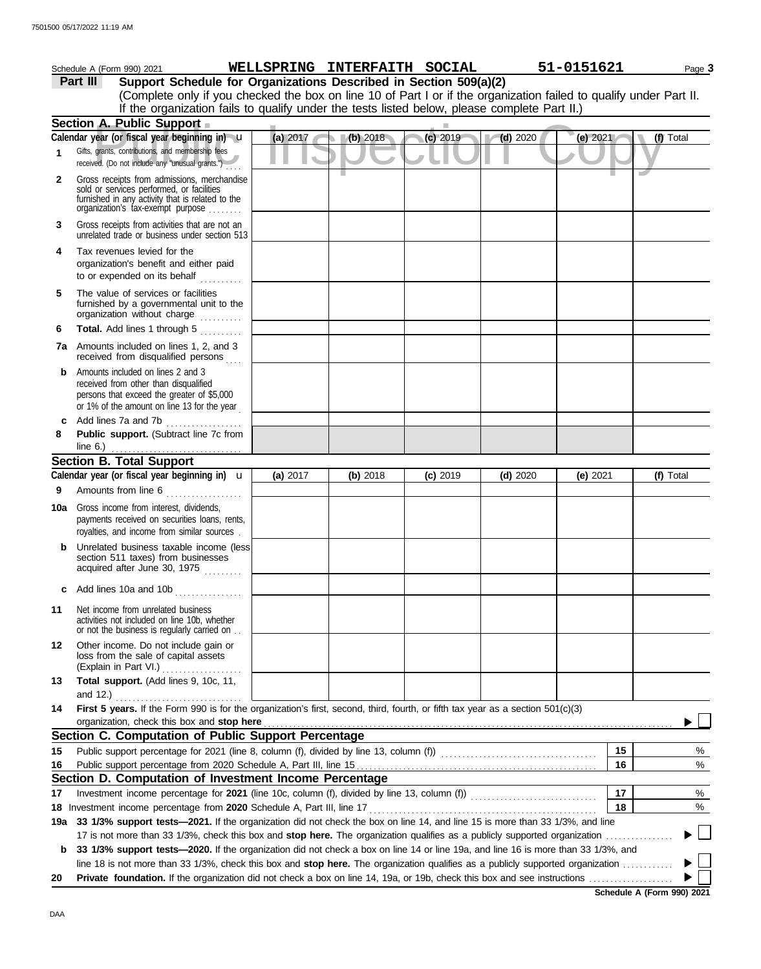|     | Schedule A (Form 990) 2021                                                                                                                                                        | WELLSPRING INTERFAITH SOCIAL |            |            |            | 51-0151621 | Page 3    |
|-----|-----------------------------------------------------------------------------------------------------------------------------------------------------------------------------------|------------------------------|------------|------------|------------|------------|-----------|
|     | Support Schedule for Organizations Described in Section 509(a)(2)<br>Part III                                                                                                     |                              |            |            |            |            |           |
|     | (Complete only if you checked the box on line 10 of Part I or if the organization failed to qualify under Part II.                                                                |                              |            |            |            |            |           |
|     | If the organization fails to qualify under the tests listed below, please complete Part II.)                                                                                      |                              |            |            |            |            |           |
|     | Section A. Public Support                                                                                                                                                         |                              |            |            |            |            |           |
|     | Calendar year (or fiscal year beginning in) u                                                                                                                                     | (a) 2017                     | (b) 2018   | (c) 2019   | $(d)$ 2020 | (e) $2021$ | (f) Total |
| 1   | Gifts, grants, contributions, and membership fees<br>received. (Do not include any "unusual grants.")                                                                             |                              |            |            |            |            |           |
| 2   | Gross receipts from admissions, merchandise<br>sold or services performed, or facilities<br>furnished in any activity that is related to the<br>organization's fax-exempt purpose |                              |            |            |            |            |           |
| 3   | Gross receipts from activities that are not an<br>unrelated trade or business under section 513                                                                                   |                              |            |            |            |            |           |
| 4   | Tax revenues levied for the<br>organization's benefit and either paid<br>to or expended on its behalf<br>in de Berger                                                             |                              |            |            |            |            |           |
| 5   | The value of services or facilities<br>furnished by a governmental unit to the<br>organization without charge                                                                     |                              |            |            |            |            |           |
| 6   | Total. Add lines 1 through 5                                                                                                                                                      |                              |            |            |            |            |           |
| 7a  | Amounts included on lines 1, 2, and 3<br>received from disqualified persons                                                                                                       |                              |            |            |            |            |           |
| b   | Amounts included on lines 2 and 3<br>received from other than disqualified<br>persons that exceed the greater of \$5,000<br>or 1% of the amount on line 13 for the year           |                              |            |            |            |            |           |
| c   | Add lines 7a and 7b<br>.                                                                                                                                                          |                              |            |            |            |            |           |
| 8   | Public support. (Subtract line 7c from                                                                                                                                            |                              |            |            |            |            |           |
|     | line $6.$ )                                                                                                                                                                       |                              |            |            |            |            |           |
|     | <b>Section B. Total Support</b><br>Calendar year (or fiscal year beginning in) $\mathbf u$                                                                                        |                              |            |            |            |            |           |
| 9   | Amounts from line 6                                                                                                                                                               | (a) 2017                     | $(b)$ 2018 | $(c)$ 2019 | $(d)$ 2020 | (e) 2021   | (f) Total |
| 10a | Gross income from interest, dividends,<br>payments received on securities loans, rents,<br>royalties, and income from similar sources.                                            |                              |            |            |            |            |           |
|     | Unrelated business taxable income (less<br>section 511 taxes) from businesses<br>acquired after June 30, 1975                                                                     |                              |            |            |            |            |           |
| c   | Add lines 10a and 10b                                                                                                                                                             |                              |            |            |            |            |           |
| 11  | Net income from unrelated business<br>activities not included on line 10b, whether<br>or not the business is regularly carried on                                                 |                              |            |            |            |            |           |
| 12  | Other income. Do not include gain or<br>loss from the sale of capital assets<br>(Explain in Part VI.)                                                                             |                              |            |            |            |            |           |
| 13  | Total support. (Add lines 9, 10c, 11,<br>and $12.$ )                                                                                                                              |                              |            |            |            |            |           |
| 14  | First 5 years. If the Form 990 is for the organization's first, second, third, fourth, or fifth tax year as a section 501(c)(3)<br>organization, check this box and stop here     |                              |            |            |            |            |           |
|     | Section C. Computation of Public Support Percentage                                                                                                                               |                              |            |            |            |            |           |
| 15  |                                                                                                                                                                                   |                              |            |            |            | 15         | %         |
| 16  |                                                                                                                                                                                   |                              |            |            |            | 16         | $\%$      |
|     | Section D. Computation of Investment Income Percentage                                                                                                                            |                              |            |            |            |            |           |
| 17  |                                                                                                                                                                                   |                              |            |            |            | 17         | %         |
|     |                                                                                                                                                                                   |                              |            |            |            | 18         | $\%$      |
| 19а | 33 1/3% support tests-2021. If the organization did not check the box on line 14, and line 15 is more than 33 1/3%, and line                                                      |                              |            |            |            |            |           |
|     | 17 is not more than 33 1/3%, check this box and stop here. The organization qualifies as a publicly supported organization                                                        |                              |            |            |            |            |           |
| b   | 33 1/3% support tests—2020. If the organization did not check a box on line 14 or line 19a, and line 16 is more than 33 1/3%, and                                                 |                              |            |            |            |            |           |
| 20  | line 18 is not more than 33 1/3%, check this box and stop here. The organization qualifies as a publicly supported organization                                                   |                              |            |            |            |            |           |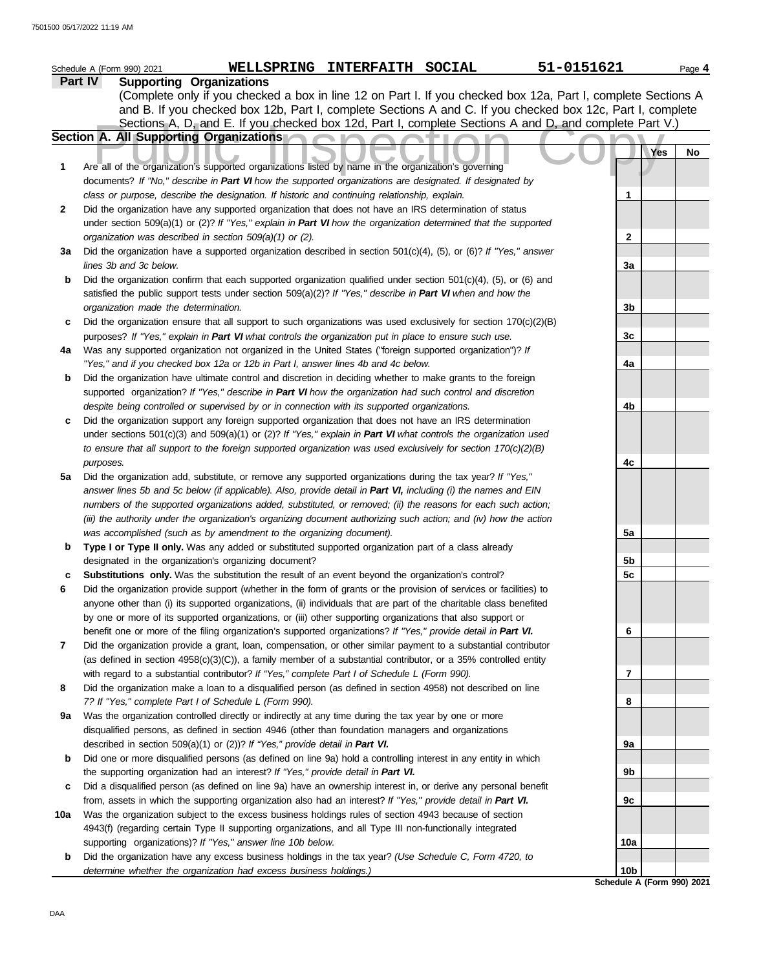|     | 51-0151621<br>WELLSPRING INTERFAITH SOCIAL<br>Schedule A (Form 990) 2021                                                  |                            | Page 4 |
|-----|---------------------------------------------------------------------------------------------------------------------------|----------------------------|--------|
|     | <b>Supporting Organizations</b><br>Part IV                                                                                |                            |        |
|     | (Complete only if you checked a box in line 12 on Part I. If you checked box 12a, Part I, complete Sections A             |                            |        |
|     | and B. If you checked box 12b, Part I, complete Sections A and C. If you checked box 12c, Part I, complete                |                            |        |
|     | Sections A, D, and E. If you checked box 12d, Part I, complete Sections A and D, and complete Part V.)                    |                            |        |
|     | Section A. All Supporting Organizations                                                                                   |                            |        |
|     |                                                                                                                           | Yes                        | No     |
| 1   | Are all of the organization's supported organizations listed by name in the organization's governing                      |                            |        |
|     | documents? If "No," describe in Part VI how the supported organizations are designated. If designated by                  |                            |        |
|     | class or purpose, describe the designation. If historic and continuing relationship, explain.                             | 1                          |        |
| 2   | Did the organization have any supported organization that does not have an IRS determination of status                    |                            |        |
|     | under section 509(a)(1) or (2)? If "Yes," explain in Part VI how the organization determined that the supported           |                            |        |
|     | organization was described in section 509(a)(1) or (2).                                                                   | $\mathbf{2}$               |        |
| За  | Did the organization have a supported organization described in section $501(c)(4)$ , $(5)$ , or $(6)$ ? If "Yes," answer |                            |        |
|     | lines 3b and 3c below.                                                                                                    | 3a                         |        |
| b   | Did the organization confirm that each supported organization qualified under section $501(c)(4)$ , $(5)$ , or $(6)$ and  |                            |        |
|     | satisfied the public support tests under section 509(a)(2)? If "Yes," describe in Part VI when and how the                |                            |        |
|     | organization made the determination.                                                                                      | 3b                         |        |
| c   | Did the organization ensure that all support to such organizations was used exclusively for section $170(c)(2)(B)$        |                            |        |
|     | purposes? If "Yes," explain in Part VI what controls the organization put in place to ensure such use.                    | 3c                         |        |
| 4a  | Was any supported organization not organized in the United States ("foreign supported organization")? If                  |                            |        |
|     | "Yes," and if you checked box 12a or 12b in Part I, answer lines 4b and 4c below.                                         | 4a                         |        |
| b   | Did the organization have ultimate control and discretion in deciding whether to make grants to the foreign               |                            |        |
|     | supported organization? If "Yes," describe in Part VI how the organization had such control and discretion                |                            |        |
|     | despite being controlled or supervised by or in connection with its supported organizations.                              | 4b                         |        |
| c   | Did the organization support any foreign supported organization that does not have an IRS determination                   |                            |        |
|     | under sections $501(c)(3)$ and $509(a)(1)$ or $(2)?$ If "Yes," explain in Part VI what controls the organization used     |                            |        |
|     | to ensure that all support to the foreign supported organization was used exclusively for section $170(c)(2)(B)$          |                            |        |
|     | purposes.                                                                                                                 | 4c                         |        |
| 5a  | Did the organization add, substitute, or remove any supported organizations during the tax year? If "Yes,"                |                            |        |
|     | answer lines 5b and 5c below (if applicable). Also, provide detail in Part VI, including (i) the names and EIN            |                            |        |
|     | numbers of the supported organizations added, substituted, or removed; (ii) the reasons for each such action;             |                            |        |
|     | (iii) the authority under the organization's organizing document authorizing such action; and (iv) how the action         |                            |        |
|     | was accomplished (such as by amendment to the organizing document).                                                       | 5a                         |        |
| b   | Type I or Type II only. Was any added or substituted supported organization part of a class already                       |                            |        |
|     | designated in the organization's organizing document?                                                                     | 5b                         |        |
| c   | Substitutions only. Was the substitution the result of an event beyond the organization's control?                        | 5c                         |        |
| 6   | Did the organization provide support (whether in the form of grants or the provision of services or facilities) to        |                            |        |
|     | anyone other than (i) its supported organizations, (ii) individuals that are part of the charitable class benefited       |                            |        |
|     | by one or more of its supported organizations, or (iii) other supporting organizations that also support or               |                            |        |
|     | benefit one or more of the filing organization's supported organizations? If "Yes," provide detail in Part VI.            | 6                          |        |
| 7   | Did the organization provide a grant, loan, compensation, or other similar payment to a substantial contributor           |                            |        |
|     | (as defined in section $4958(c)(3)(C)$ ), a family member of a substantial contributor, or a 35% controlled entity        |                            |        |
|     | with regard to a substantial contributor? If "Yes," complete Part I of Schedule L (Form 990).                             | 7                          |        |
| 8   | Did the organization make a loan to a disqualified person (as defined in section 4958) not described on line              |                            |        |
|     | 7? If "Yes," complete Part I of Schedule L (Form 990).                                                                    | 8                          |        |
| 9а  | Was the organization controlled directly or indirectly at any time during the tax year by one or more                     |                            |        |
|     | disqualified persons, as defined in section 4946 (other than foundation managers and organizations                        |                            |        |
|     | described in section 509(a)(1) or (2))? If "Yes," provide detail in Part VI.                                              | 9а                         |        |
| b   | Did one or more disqualified persons (as defined on line 9a) hold a controlling interest in any entity in which           |                            |        |
|     | the supporting organization had an interest? If "Yes," provide detail in Part VI.                                         | 9b                         |        |
| c   | Did a disqualified person (as defined on line 9a) have an ownership interest in, or derive any personal benefit           |                            |        |
|     | from, assets in which the supporting organization also had an interest? If "Yes," provide detail in Part VI.              | 9c                         |        |
| 10a | Was the organization subject to the excess business holdings rules of section 4943 because of section                     |                            |        |
|     | 4943(f) (regarding certain Type II supporting organizations, and all Type III non-functionally integrated                 |                            |        |
|     | supporting organizations)? If "Yes," answer line 10b below.                                                               | 10a                        |        |
| b   | Did the organization have any excess business holdings in the tax year? (Use Schedule C, Form 4720, to                    |                            |        |
|     | determine whether the organization had excess business holdings.)                                                         | 10b                        |        |
|     |                                                                                                                           | Schedule A (Form 990) 2021 |        |

DAA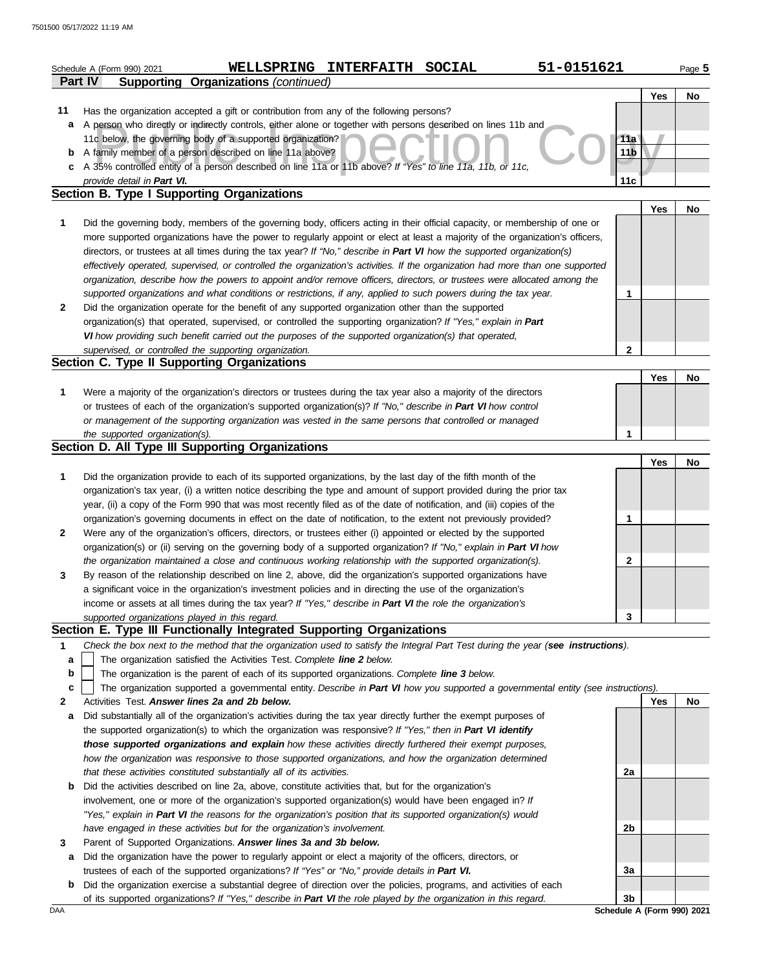|                | Schedule A (Form 990) 2021                     |                                                                                                                                   | WELLSPRING INTERFAITH SOCIAL | 51-0151621 |                 |            | Page 5 |
|----------------|------------------------------------------------|-----------------------------------------------------------------------------------------------------------------------------------|------------------------------|------------|-----------------|------------|--------|
| <b>Part IV</b> |                                                | <b>Supporting Organizations (continued)</b>                                                                                       |                              |            |                 |            |        |
|                |                                                |                                                                                                                                   |                              |            |                 | Yes        | No     |
| 11             |                                                | Has the organization accepted a gift or contribution from any of the following persons?                                           |                              |            |                 |            |        |
| a              |                                                | A person who directly or indirectly controls, either alone or together with persons described on lines 11b and                    |                              |            |                 |            |        |
|                |                                                | 11c below, the governing body of a supported organization?                                                                        |                              |            | 11a             |            |        |
| b              |                                                | A family member of a person described on line 11a above?                                                                          |                              |            | 11 <sub>b</sub> |            |        |
| c              |                                                | A 35% controlled entity of a person described on line 11a or 11b above? If "Yes" to line 11a, 11b, or 11c,                        |                              |            |                 |            |        |
|                | provide detail in Part VI.                     |                                                                                                                                   |                              |            | 11c             |            |        |
|                |                                                | <b>Section B. Type I Supporting Organizations</b>                                                                                 |                              |            |                 |            |        |
|                |                                                |                                                                                                                                   |                              |            |                 | <b>Yes</b> | No     |
| 1              |                                                | Did the governing body, members of the governing body, officers acting in their official capacity, or membership of one or        |                              |            |                 |            |        |
|                |                                                | more supported organizations have the power to regularly appoint or elect at least a majority of the organization's officers,     |                              |            |                 |            |        |
|                |                                                | directors, or trustees at all times during the tax year? If "No," describe in Part VI how the supported organization(s)           |                              |            |                 |            |        |
|                |                                                | effectively operated, supervised, or controlled the organization's activities. If the organization had more than one supported    |                              |            |                 |            |        |
|                |                                                | organization, describe how the powers to appoint and/or remove officers, directors, or trustees were allocated among the          |                              |            |                 |            |        |
|                |                                                | supported organizations and what conditions or restrictions, if any, applied to such powers during the tax year.                  |                              |            | 1               |            |        |
| $\mathbf{2}$   |                                                | Did the organization operate for the benefit of any supported organization other than the supported                               |                              |            |                 |            |        |
|                |                                                | organization(s) that operated, supervised, or controlled the supporting organization? If "Yes," explain in Part                   |                              |            |                 |            |        |
|                |                                                | VI how providing such benefit carried out the purposes of the supported organization(s) that operated,                            |                              |            |                 |            |        |
|                |                                                | supervised, or controlled the supporting organization.                                                                            |                              |            | $\mathbf{2}$    |            |        |
|                |                                                | Section C. Type II Supporting Organizations                                                                                       |                              |            |                 | Yes        | No     |
| 1              |                                                | Were a majority of the organization's directors or trustees during the tax year also a majority of the directors                  |                              |            |                 |            |        |
|                |                                                | or trustees of each of the organization's supported organization(s)? If "No," describe in Part VI how control                     |                              |            |                 |            |        |
|                |                                                | or management of the supporting organization was vested in the same persons that controlled or managed                            |                              |            |                 |            |        |
|                | the supported organization(s).                 |                                                                                                                                   |                              |            | $\mathbf{1}$    |            |        |
|                |                                                | Section D. All Type III Supporting Organizations                                                                                  |                              |            |                 |            |        |
|                |                                                |                                                                                                                                   |                              |            |                 | Yes        | No     |
| 1              |                                                | Did the organization provide to each of its supported organizations, by the last day of the fifth month of the                    |                              |            |                 |            |        |
|                |                                                | organization's tax year, (i) a written notice describing the type and amount of support provided during the prior tax             |                              |            |                 |            |        |
|                |                                                | year, (ii) a copy of the Form 990 that was most recently filed as of the date of notification, and (iii) copies of the            |                              |            |                 |            |        |
|                |                                                | organization's governing documents in effect on the date of notification, to the extent not previously provided?                  |                              |            | 1               |            |        |
| 2              |                                                | Were any of the organization's officers, directors, or trustees either (i) appointed or elected by the supported                  |                              |            |                 |            |        |
|                |                                                | organization(s) or (ii) serving on the governing body of a supported organization? If "No," explain in Part VI how                |                              |            |                 |            |        |
|                |                                                | the organization maintained a close and continuous working relationship with the supported organization(s).                       |                              |            | 2               |            |        |
| 3              |                                                | By reason of the relationship described on line 2, above, did the organization's supported organizations have                     |                              |            |                 |            |        |
|                |                                                | a significant voice in the organization's investment policies and in directing the use of the organization's                      |                              |            |                 |            |        |
|                |                                                | income or assets at all times during the tax year? If "Yes," describe in Part VI the role the organization's                      |                              |            |                 |            |        |
|                | supported organizations played in this regard. |                                                                                                                                   |                              |            | 3               |            |        |
|                |                                                | Section E. Type III Functionally Integrated Supporting Organizations                                                              |                              |            |                 |            |        |
| 1              |                                                | Check the box next to the method that the organization used to satisfy the Integral Part Test during the year (see instructions). |                              |            |                 |            |        |
| а              |                                                | The organization satisfied the Activities Test. Complete line 2 below.                                                            |                              |            |                 |            |        |
| b              |                                                | The organization is the parent of each of its supported organizations. Complete line 3 below.                                     |                              |            |                 |            |        |
| c              |                                                | The organization supported a governmental entity. Describe in Part VI how you supported a governmental entity (see instructions). |                              |            |                 |            |        |
| 2              |                                                | Activities Test. Answer lines 2a and 2b below.                                                                                    |                              |            |                 | Yes        | No     |
| a              |                                                | Did substantially all of the organization's activities during the tax year directly further the exempt purposes of                |                              |            |                 |            |        |
|                |                                                | the supported organization(s) to which the organization was responsive? If "Yes," then in Part VI identify                        |                              |            |                 |            |        |
|                |                                                | those supported organizations and explain how these activities directly furthered their exempt purposes,                          |                              |            |                 |            |        |
|                |                                                | how the organization was responsive to those supported organizations, and how the organization determined                         |                              |            |                 |            |        |
|                |                                                | that these activities constituted substantially all of its activities.                                                            |                              |            | 2a              |            |        |
| b              |                                                | Did the activities described on line 2a, above, constitute activities that, but for the organization's                            |                              |            |                 |            |        |
|                |                                                | involvement, one or more of the organization's supported organization(s) would have been engaged in? If                           |                              |            |                 |            |        |
|                |                                                | "Yes," explain in Part VI the reasons for the organization's position that its supported organization(s) would                    |                              |            |                 |            |        |
|                |                                                | have engaged in these activities but for the organization's involvement.                                                          |                              |            | 2b              |            |        |
| 3              |                                                | Parent of Supported Organizations. Answer lines 3a and 3b below.                                                                  |                              |            |                 |            |        |
| a              |                                                | Did the organization have the power to regularly appoint or elect a majority of the officers, directors, or                       |                              |            |                 |            |        |
|                |                                                | trustees of each of the supported organizations? If "Yes" or "No," provide details in Part VI.                                    |                              |            | 3a              |            |        |
| b              |                                                | Did the organization exercise a substantial degree of direction over the policies, programs, and activities of each               |                              |            |                 |            |        |
|                |                                                | of its supported organizations? If "Yes," describe in Part VI the role played by the organization in this regard.                 |                              |            | 3 <sub>b</sub>  |            |        |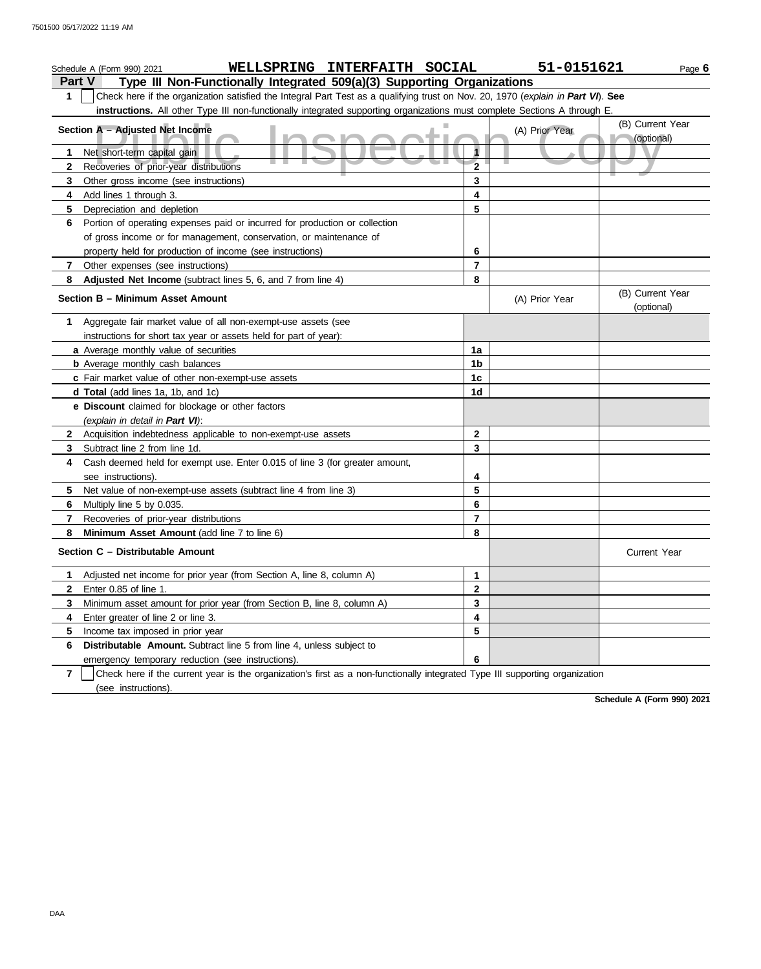|                | WELLSPRING INTERFAITH SOCIAL<br>Schedule A (Form 990) 2021                                                                       |                | 51-0151621     | Page 6                         |
|----------------|----------------------------------------------------------------------------------------------------------------------------------|----------------|----------------|--------------------------------|
| <b>Part V</b>  | Type III Non-Functionally Integrated 509(a)(3) Supporting Organizations                                                          |                |                |                                |
| 1              | Check here if the organization satisfied the Integral Part Test as a qualifying trust on Nov. 20, 1970 (explain in Part VI). See |                |                |                                |
|                | instructions. All other Type III non-functionally integrated supporting organizations must complete Sections A through E.        |                |                |                                |
|                | Section A - Adjusted Net Income                                                                                                  |                | (A) Prior Year | (B) Current Year               |
|                |                                                                                                                                  |                |                | (optional)                     |
| 1              | Net short-term capital gain                                                                                                      | 1              |                |                                |
| $\mathbf{2}$   | Recoveries of prior-year distributions                                                                                           | $\overline{2}$ |                |                                |
| 3              | Other gross income (see instructions)                                                                                            | 3              |                |                                |
| 4              | Add lines 1 through 3.                                                                                                           | 4              |                |                                |
| 5              | Depreciation and depletion                                                                                                       | 5              |                |                                |
| 6              | Portion of operating expenses paid or incurred for production or collection                                                      |                |                |                                |
|                | of gross income or for management, conservation, or maintenance of                                                               |                |                |                                |
|                | property held for production of income (see instructions)                                                                        | 6              |                |                                |
| 7              | Other expenses (see instructions)                                                                                                | 7              |                |                                |
| 8              | Adjusted Net Income (subtract lines 5, 6, and 7 from line 4)                                                                     | 8              |                |                                |
|                | Section B - Minimum Asset Amount                                                                                                 |                | (A) Prior Year | (B) Current Year<br>(optional) |
| 1              | Aggregate fair market value of all non-exempt-use assets (see                                                                    |                |                |                                |
|                | instructions for short tax year or assets held for part of year):                                                                |                |                |                                |
|                | a Average monthly value of securities                                                                                            | 1a             |                |                                |
|                | <b>b</b> Average monthly cash balances                                                                                           | 1b             |                |                                |
|                | c Fair market value of other non-exempt-use assets                                                                               | 1c             |                |                                |
|                | d Total (add lines 1a, 1b, and 1c)                                                                                               | 1d             |                |                                |
|                | e Discount claimed for blockage or other factors                                                                                 |                |                |                                |
|                | (explain in detail in Part VI):                                                                                                  |                |                |                                |
| $\mathbf{2}$   | Acquisition indebtedness applicable to non-exempt-use assets                                                                     | $\mathbf{2}$   |                |                                |
| 3              | Subtract line 2 from line 1d.                                                                                                    | 3              |                |                                |
| 4              | Cash deemed held for exempt use. Enter 0.015 of line 3 (for greater amount,                                                      |                |                |                                |
|                | see instructions).                                                                                                               | 4              |                |                                |
| 5              | Net value of non-exempt-use assets (subtract line 4 from line 3)                                                                 | 5              |                |                                |
| 6              | Multiply line 5 by 0.035.                                                                                                        | 6              |                |                                |
| 7              | Recoveries of prior-year distributions                                                                                           | 7              |                |                                |
| 8              | Minimum Asset Amount (add line 7 to line 6)                                                                                      | 8              |                |                                |
|                | Section C - Distributable Amount                                                                                                 |                |                | <b>Current Year</b>            |
| 1              | Adjusted net income for prior year (from Section A, line 8, column A)                                                            | 1              |                |                                |
| $\mathbf{2}$   | Enter 0.85 of line 1.                                                                                                            | 2              |                |                                |
| 3              | Minimum asset amount for prior year (from Section B, line 8, column A)                                                           | 3              |                |                                |
| 4              | Enter greater of line 2 or line 3.                                                                                               | 4              |                |                                |
| 5              | Income tax imposed in prior year                                                                                                 | 5              |                |                                |
| 6              | Distributable Amount. Subtract line 5 from line 4, unless subject to                                                             |                |                |                                |
|                | emergency temporary reduction (see instructions)                                                                                 | 6              |                |                                |
| $\overline{7}$ | Check here if the current year is the organization's first as a non-functionally integrated Type III supporting organization     |                |                |                                |
|                | (see instructions).                                                                                                              |                |                |                                |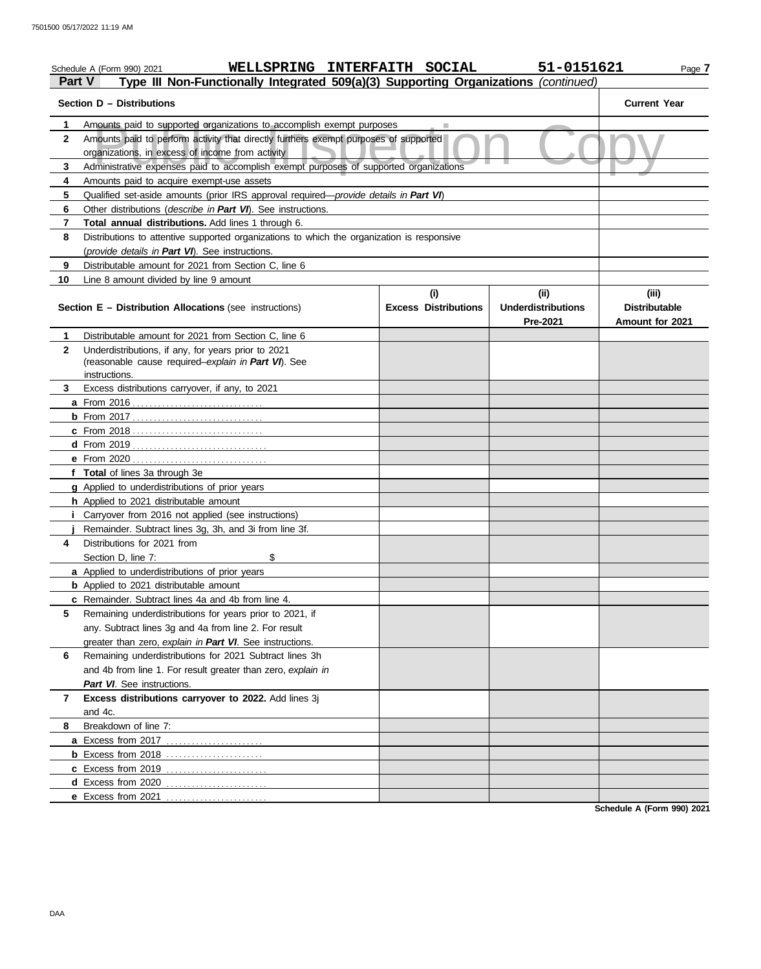| Part V         | WELLSPRING INTERFAITH SOCIAL<br>Schedule A (Form 990) 2021<br>Type III Non-Functionally Integrated 509(a)(3) Supporting Organizations (continued) |                                    | 51-0151621                                          | Page 7                                           |  |  |  |  |
|----------------|---------------------------------------------------------------------------------------------------------------------------------------------------|------------------------------------|-----------------------------------------------------|--------------------------------------------------|--|--|--|--|
|                | Section D - Distributions                                                                                                                         |                                    |                                                     | <b>Current Year</b>                              |  |  |  |  |
| 1              | Amounts paid to supported organizations to accomplish exempt purposes                                                                             |                                    |                                                     |                                                  |  |  |  |  |
| $\mathbf{2}$   | Amounts paid to perform activity that directly furthers exempt purposes of supported<br>organizations, in excess of income from activity          |                                    |                                                     |                                                  |  |  |  |  |
| 3              | Administrative expenses paid to accomplish exempt purposes of supported organizations                                                             |                                    |                                                     |                                                  |  |  |  |  |
| 4              | Amounts paid to acquire exempt-use assets                                                                                                         |                                    |                                                     |                                                  |  |  |  |  |
| 5              | Qualified set-aside amounts (prior IRS approval required-provide details in Part VI)                                                              |                                    |                                                     |                                                  |  |  |  |  |
| 6              |                                                                                                                                                   |                                    |                                                     |                                                  |  |  |  |  |
| $\overline{7}$ |                                                                                                                                                   |                                    |                                                     |                                                  |  |  |  |  |
| 8              |                                                                                                                                                   |                                    |                                                     |                                                  |  |  |  |  |
|                | (provide details in Part VI). See instructions.                                                                                                   |                                    |                                                     |                                                  |  |  |  |  |
| 9              | Distributable amount for 2021 from Section C, line 6                                                                                              |                                    |                                                     |                                                  |  |  |  |  |
| 10             | Line 8 amount divided by line 9 amount                                                                                                            |                                    |                                                     |                                                  |  |  |  |  |
|                | <b>Section E - Distribution Allocations (see instructions)</b>                                                                                    | (i)<br><b>Excess Distributions</b> | (i)<br><b>Underdistributions</b><br><b>Pre-2021</b> | (iii)<br><b>Distributable</b><br>Amount for 2021 |  |  |  |  |
| 1              | Distributable amount for 2021 from Section C, line 6                                                                                              |                                    |                                                     |                                                  |  |  |  |  |
| $\mathbf{2}$   | Underdistributions, if any, for years prior to 2021<br>(reasonable cause required-explain in Part VI). See<br>instructions.                       |                                    |                                                     |                                                  |  |  |  |  |
| 3              | Excess distributions carryover, if any, to 2021                                                                                                   |                                    |                                                     |                                                  |  |  |  |  |
|                |                                                                                                                                                   |                                    |                                                     |                                                  |  |  |  |  |
|                |                                                                                                                                                   |                                    |                                                     |                                                  |  |  |  |  |
|                |                                                                                                                                                   |                                    |                                                     |                                                  |  |  |  |  |
|                |                                                                                                                                                   |                                    |                                                     |                                                  |  |  |  |  |
|                | <b>e</b> From 2020                                                                                                                                |                                    |                                                     |                                                  |  |  |  |  |
|                | f Total of lines 3a through 3e                                                                                                                    |                                    |                                                     |                                                  |  |  |  |  |
|                | <b>g</b> Applied to underdistributions of prior years                                                                                             |                                    |                                                     |                                                  |  |  |  |  |
|                | h Applied to 2021 distributable amount                                                                                                            |                                    |                                                     |                                                  |  |  |  |  |
|                | Carryover from 2016 not applied (see instructions)                                                                                                |                                    |                                                     |                                                  |  |  |  |  |
|                | Remainder. Subtract lines 3g, 3h, and 3i from line 3f.                                                                                            |                                    |                                                     |                                                  |  |  |  |  |
| 4              | Distributions for 2021 from                                                                                                                       |                                    |                                                     |                                                  |  |  |  |  |
|                | \$<br>Section D, line 7:                                                                                                                          |                                    |                                                     |                                                  |  |  |  |  |
|                | <b>a</b> Applied to underdistributions of prior years                                                                                             |                                    |                                                     |                                                  |  |  |  |  |
|                | <b>b</b> Applied to 2021 distributable amount                                                                                                     |                                    |                                                     |                                                  |  |  |  |  |
|                | <b>c</b> Remainder. Subtract lines 4a and 4b from line 4.                                                                                         |                                    |                                                     |                                                  |  |  |  |  |
| 5              | Remaining underdistributions for years prior to 2021, if                                                                                          |                                    |                                                     |                                                  |  |  |  |  |
|                | any. Subtract lines 3g and 4a from line 2. For result                                                                                             |                                    |                                                     |                                                  |  |  |  |  |
|                | greater than zero, explain in Part VI. See instructions.                                                                                          |                                    |                                                     |                                                  |  |  |  |  |
| 6              | Remaining underdistributions for 2021 Subtract lines 3h                                                                                           |                                    |                                                     |                                                  |  |  |  |  |
|                | and 4b from line 1. For result greater than zero, explain in                                                                                      |                                    |                                                     |                                                  |  |  |  |  |
|                | Part VI. See instructions.                                                                                                                        |                                    |                                                     |                                                  |  |  |  |  |
| 7              | Excess distributions carryover to 2022. Add lines 3j                                                                                              |                                    |                                                     |                                                  |  |  |  |  |
|                | and 4c.                                                                                                                                           |                                    |                                                     |                                                  |  |  |  |  |
| 8              | Breakdown of line 7:                                                                                                                              |                                    |                                                     |                                                  |  |  |  |  |
|                |                                                                                                                                                   |                                    |                                                     |                                                  |  |  |  |  |
|                | <b>b</b> Excess from 2018                                                                                                                         |                                    |                                                     |                                                  |  |  |  |  |
|                |                                                                                                                                                   |                                    |                                                     |                                                  |  |  |  |  |
|                | <b>d</b> Excess from 2020<br>.                                                                                                                    |                                    |                                                     |                                                  |  |  |  |  |
|                | e Excess from 2021                                                                                                                                |                                    |                                                     |                                                  |  |  |  |  |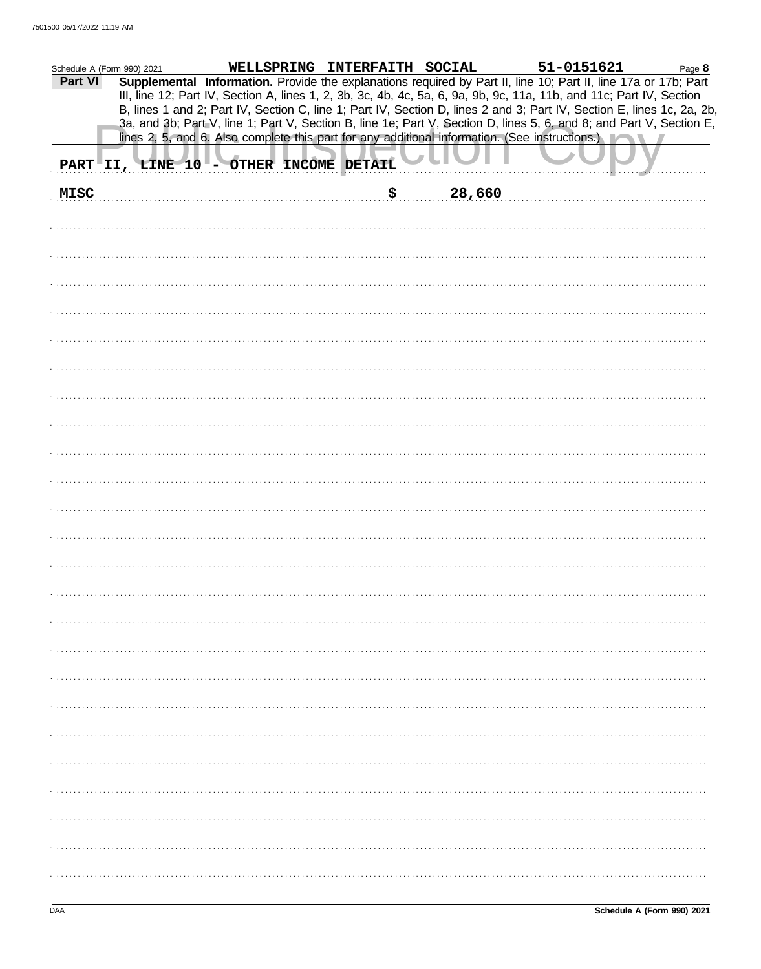| Schedule A (Form 990) 2021 |                                        | WELLSPRING INTERFAITH SOCIAL |  |    |        | 51-0151621                                                                                                                                                                                                                                     | Page 8 |
|----------------------------|----------------------------------------|------------------------------|--|----|--------|------------------------------------------------------------------------------------------------------------------------------------------------------------------------------------------------------------------------------------------------|--------|
| Part VI                    |                                        |                              |  |    |        | Supplemental Information. Provide the explanations required by Part II, line 10; Part II, line 17a or 17b; Part                                                                                                                                |        |
|                            |                                        |                              |  |    |        | III, line 12; Part IV, Section A, lines 1, 2, 3b, 3c, 4b, 4c, 5a, 6, 9a, 9b, 9c, 11a, 11b, and 11c; Part IV, Section                                                                                                                           |        |
|                            |                                        |                              |  |    |        | B, lines 1 and 2; Part IV, Section C, line 1; Part IV, Section D, lines 2 and 3; Part IV, Section E, lines 1c, 2a, 2b,<br>3a, and 3b; Part V, line 1; Part V, Section B, line 1e; Part V, Section D, lines 5, 6, and 8; and Part V, Section E, |        |
|                            |                                        |                              |  |    |        | lines 2, 5, and 6. Also complete this part for any additional information. (See instructions.)                                                                                                                                                 |        |
|                            |                                        |                              |  |    |        |                                                                                                                                                                                                                                                |        |
|                            | PART II, LINE 10 - OTHER INCOME DETAIL |                              |  |    |        |                                                                                                                                                                                                                                                |        |
| <b>MISC</b>                |                                        |                              |  | \$ | 28,660 |                                                                                                                                                                                                                                                |        |
|                            |                                        |                              |  |    |        |                                                                                                                                                                                                                                                |        |
|                            |                                        |                              |  |    |        |                                                                                                                                                                                                                                                |        |
|                            |                                        |                              |  |    |        |                                                                                                                                                                                                                                                |        |
|                            |                                        |                              |  |    |        |                                                                                                                                                                                                                                                |        |
|                            |                                        |                              |  |    |        |                                                                                                                                                                                                                                                |        |
|                            |                                        |                              |  |    |        |                                                                                                                                                                                                                                                |        |
|                            |                                        |                              |  |    |        |                                                                                                                                                                                                                                                |        |
|                            |                                        |                              |  |    |        |                                                                                                                                                                                                                                                |        |
|                            |                                        |                              |  |    |        |                                                                                                                                                                                                                                                |        |
|                            |                                        |                              |  |    |        |                                                                                                                                                                                                                                                |        |
|                            |                                        |                              |  |    |        |                                                                                                                                                                                                                                                |        |
|                            |                                        |                              |  |    |        |                                                                                                                                                                                                                                                |        |
|                            |                                        |                              |  |    |        |                                                                                                                                                                                                                                                |        |
|                            |                                        |                              |  |    |        |                                                                                                                                                                                                                                                |        |
|                            |                                        |                              |  |    |        |                                                                                                                                                                                                                                                |        |
|                            |                                        |                              |  |    |        |                                                                                                                                                                                                                                                |        |
|                            |                                        |                              |  |    |        |                                                                                                                                                                                                                                                |        |
|                            |                                        |                              |  |    |        |                                                                                                                                                                                                                                                |        |
|                            |                                        |                              |  |    |        |                                                                                                                                                                                                                                                |        |
|                            |                                        |                              |  |    |        |                                                                                                                                                                                                                                                |        |
|                            |                                        |                              |  |    |        |                                                                                                                                                                                                                                                |        |
|                            |                                        |                              |  |    |        |                                                                                                                                                                                                                                                |        |
|                            |                                        |                              |  |    |        |                                                                                                                                                                                                                                                |        |
|                            |                                        |                              |  |    |        |                                                                                                                                                                                                                                                |        |
|                            |                                        |                              |  |    |        |                                                                                                                                                                                                                                                |        |
|                            |                                        |                              |  |    |        |                                                                                                                                                                                                                                                |        |
|                            |                                        |                              |  |    |        |                                                                                                                                                                                                                                                |        |
|                            |                                        |                              |  |    |        |                                                                                                                                                                                                                                                |        |
|                            |                                        |                              |  |    |        |                                                                                                                                                                                                                                                |        |
|                            |                                        |                              |  |    |        |                                                                                                                                                                                                                                                |        |
|                            |                                        |                              |  |    |        |                                                                                                                                                                                                                                                |        |
|                            |                                        |                              |  |    |        |                                                                                                                                                                                                                                                |        |
|                            |                                        |                              |  |    |        |                                                                                                                                                                                                                                                |        |
|                            |                                        |                              |  |    |        |                                                                                                                                                                                                                                                |        |
|                            |                                        |                              |  |    |        |                                                                                                                                                                                                                                                |        |
|                            |                                        |                              |  |    |        |                                                                                                                                                                                                                                                |        |
|                            |                                        |                              |  |    |        |                                                                                                                                                                                                                                                |        |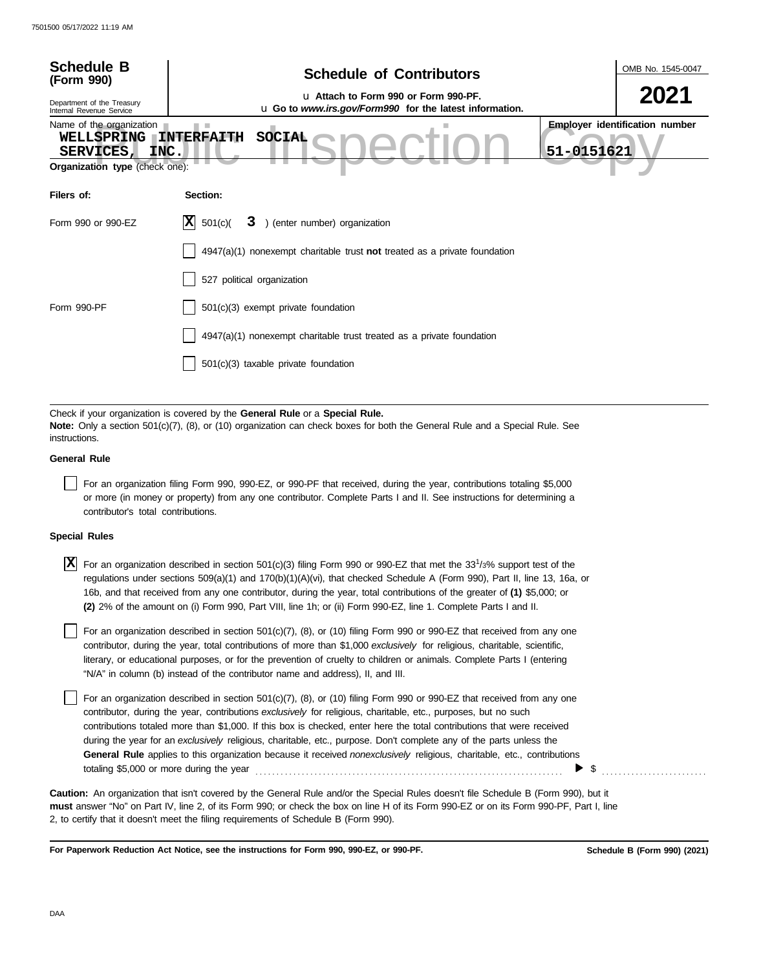| <b>Schedule B</b><br>(Form 990)<br>Department of the Treasury<br>Internal Revenue Service | OMB No. 1545-0047<br><b>Schedule of Contributors</b><br>u Attach to Form 990 or Form 990-PF.<br>u Go to www.irs.gov/Form990 for the latest information.                                                                                                                                                                                                                                                                                                                                                     |
|-------------------------------------------------------------------------------------------|-------------------------------------------------------------------------------------------------------------------------------------------------------------------------------------------------------------------------------------------------------------------------------------------------------------------------------------------------------------------------------------------------------------------------------------------------------------------------------------------------------------|
| Name of the organization<br>WELLSPRING<br><b>SERVICES</b><br>INC.                         | <b>Employer identification number</b><br><b>SOCIAL</b><br><b>INTERFAITH</b><br>51-0151621                                                                                                                                                                                                                                                                                                                                                                                                                   |
| Organization type (check one):                                                            |                                                                                                                                                                                                                                                                                                                                                                                                                                                                                                             |
| Filers of:                                                                                | Section:                                                                                                                                                                                                                                                                                                                                                                                                                                                                                                    |
| Form 990 or 990-EZ                                                                        | IхI<br>3 ) (enter number) organization<br>501(c)                                                                                                                                                                                                                                                                                                                                                                                                                                                            |
|                                                                                           | $4947(a)(1)$ nonexempt charitable trust not treated as a private foundation                                                                                                                                                                                                                                                                                                                                                                                                                                 |
|                                                                                           | 527 political organization                                                                                                                                                                                                                                                                                                                                                                                                                                                                                  |
| Form 990-PF                                                                               | 501(c)(3) exempt private foundation                                                                                                                                                                                                                                                                                                                                                                                                                                                                         |
|                                                                                           | 4947(a)(1) nonexempt charitable trust treated as a private foundation                                                                                                                                                                                                                                                                                                                                                                                                                                       |
|                                                                                           | 501(c)(3) taxable private foundation                                                                                                                                                                                                                                                                                                                                                                                                                                                                        |
|                                                                                           | Check if your organization is covered by the General Rule or a Special Rule.                                                                                                                                                                                                                                                                                                                                                                                                                                |
| instructions.                                                                             | Note: Only a section 501(c)(7), (8), or (10) organization can check boxes for both the General Rule and a Special Rule. See                                                                                                                                                                                                                                                                                                                                                                                 |
| <b>General Rule</b>                                                                       |                                                                                                                                                                                                                                                                                                                                                                                                                                                                                                             |
| contributor's total contributions.                                                        | For an organization filing Form 990, 990-EZ, or 990-PF that received, during the year, contributions totaling \$5,000<br>or more (in money or property) from any one contributor. Complete Parts I and II. See instructions for determining a                                                                                                                                                                                                                                                               |
| <b>Special Rules</b>                                                                      |                                                                                                                                                                                                                                                                                                                                                                                                                                                                                                             |
| X                                                                                         | For an organization described in section 501(c)(3) filing Form 990 or 990-EZ that met the 33 <sup>1</sup> /3% support test of the<br>regulations under sections 509(a)(1) and 170(b)(1)(A)(vi), that checked Schedule A (Form 990), Part II, line 13, 16a, or<br>16b, and that received from any one contributor, during the year, total contributions of the greater of (1) \$5,000; or<br>(2) 2% of the amount on (i) Form 990, Part VIII, line 1h; or (ii) Form 990-EZ, line 1. Complete Parts I and II. |
|                                                                                           | For an organization described in section 501(c)(7), (8), or (10) filing Form 990 or 990-EZ that received from any one<br>contributor, during the year, total contributions of more than \$1,000 exclusively for religious, charitable, scientific,<br>literary, or educational purposes, or for the prevention of cruelty to children or animals. Complete Parts I (entering<br>"N/A" in column (b) instead of the contributor name and address), II, and III.                                              |

For an organization described in section 501(c)(7), (8), or (10) filing Form 990 or 990-EZ that received from any one contributor, during the year, contributions *exclusively* for religious, charitable, etc., purposes, but no such contributions totaled more than \$1,000. If this box is checked, enter here the total contributions that were received during the year for an *exclusively* religious, charitable, etc., purpose. Don't complete any of the parts unless the **General Rule** applies to this organization because it received *nonexclusively* religious, charitable, etc., contributions totaling \$5,000 or more during the year  $\ldots \ldots \ldots \ldots \ldots \ldots \ldots \ldots \ldots \ldots \ldots \ldots \ldots \qquad \blacktriangleright \;$  \$  $\ldots \ldots \ldots \ldots \ldots \ldots \ldots \ldots$ 

**must** answer "No" on Part IV, line 2, of its Form 990; or check the box on line H of its Form 990-EZ or on its Form 990-PF, Part I, line 2, to certify that it doesn't meet the filing requirements of Schedule B (Form 990). **Caution:** An organization that isn't covered by the General Rule and/or the Special Rules doesn't file Schedule B (Form 990), but it

**For Paperwork Reduction Act Notice, see the instructions for Form 990, 990-EZ, or 990-PF.**

**Schedule B (Form 990) (2021)**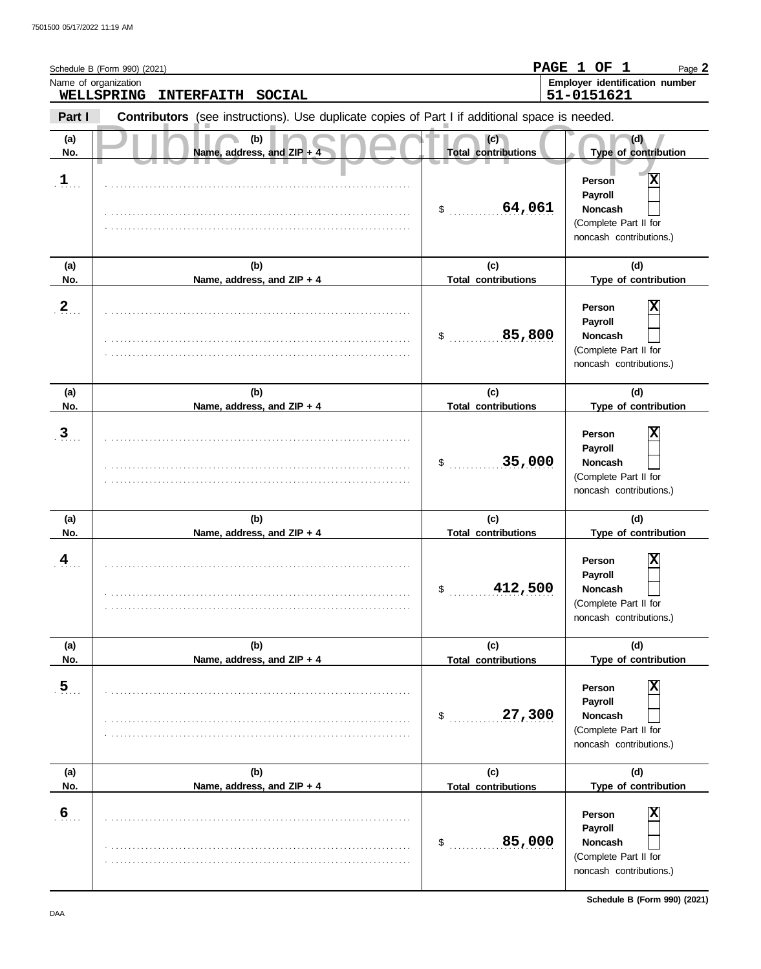|                      | Schedule B (Form 990) (2021)                                                                   |                                   | PAGE 1 OF 1<br>Page 2                                                                                              |
|----------------------|------------------------------------------------------------------------------------------------|-----------------------------------|--------------------------------------------------------------------------------------------------------------------|
|                      | Name of organization<br>WELLSPRING<br><b>INTERFAITH</b><br><b>SOCIAL</b>                       |                                   | Employer identification number<br>51-0151621                                                                       |
| Part I               | Contributors (see instructions). Use duplicate copies of Part I if additional space is needed. |                                   |                                                                                                                    |
| (a)<br>No.           | (b)<br>Name, address, and ZIP + 4                                                              | (c)<br><b>Total contributions</b> | (d)<br>Type of contribution                                                                                        |
| $\mathbf{1}_{\dots}$ |                                                                                                | 64,061<br>\$                      | $\overline{\mathbf{x}}$<br>Person<br>Payroll<br><b>Noncash</b><br>(Complete Part II for<br>noncash contributions.) |
| (a)<br>No.           | (b)<br>Name, address, and ZIP + 4                                                              | (c)<br><b>Total contributions</b> | (d)<br>Type of contribution                                                                                        |
| $\frac{2}{\pi}$      |                                                                                                | 85,800<br>\$                      | Χ<br>Person<br>Payroll<br><b>Noncash</b><br>(Complete Part II for<br>noncash contributions.)                       |
| (a)<br>No.           | (b)<br>Name, address, and ZIP + 4                                                              | (c)<br><b>Total contributions</b> | (d)<br>Type of contribution                                                                                        |
| $\overline{3}$       |                                                                                                | 35,000<br>\$                      | Χ<br>Person<br>Payroll<br><b>Noncash</b><br>(Complete Part II for<br>noncash contributions.)                       |
| (a)<br>No.           | (b)<br>Name, address, and ZIP + 4                                                              | (c)<br><b>Total contributions</b> | (d)<br>Type of contribution                                                                                        |
| $\overline{4}$       |                                                                                                | 412,500<br>\$                     | Χ<br>Person<br>Payroll<br>Noncash<br>(Complete Part II for<br>noncash contributions.)                              |
| (a)<br>No.           | (b)<br>Name, address, and ZIP + 4                                                              | (c)<br><b>Total contributions</b> | (d)<br>Type of contribution                                                                                        |
| $5$ .                |                                                                                                | 27,300<br>\$                      | X<br>Person<br>Payroll<br>Noncash<br>(Complete Part II for<br>noncash contributions.)                              |
| (a)<br>No.           | (b)<br>Name, address, and ZIP + 4                                                              | (c)<br><b>Total contributions</b> | (d)<br>Type of contribution                                                                                        |
| $6 \frac{6}{3}$      |                                                                                                | 85,000<br>\$                      | Χ<br>Person<br>Payroll<br>Noncash<br>(Complete Part II for<br>noncash contributions.)                              |

**Schedule B (Form 990) (2021)**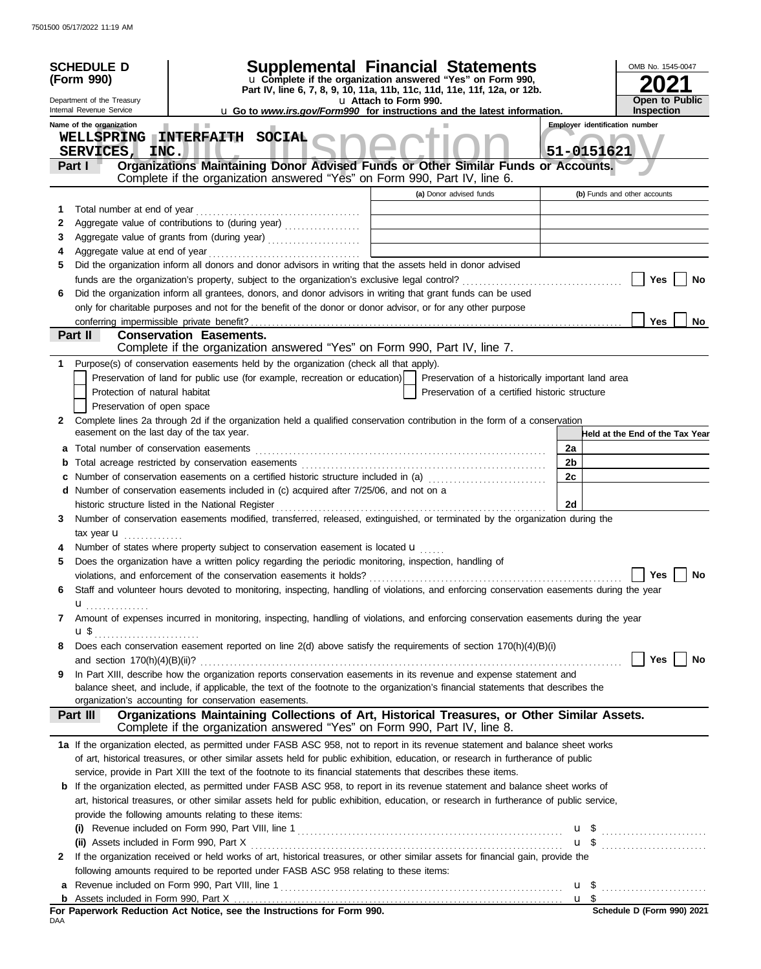|              | <b>SCHEDULE D</b><br>(Form 990)                        |                                | <b>Supplemental Financial Statements</b><br>u Complete if the organization answered "Yes" on Form 990,<br>Part IV, line 6, 7, 8, 9, 10, 11a, 11b, 11c, 11d, 11e, 11f, 12a, or 12b. |                       |                                                    |        | OMB No. 1545-0047                     |    |
|--------------|--------------------------------------------------------|--------------------------------|------------------------------------------------------------------------------------------------------------------------------------------------------------------------------------|-----------------------|----------------------------------------------------|--------|---------------------------------------|----|
|              | Department of the Treasury                             |                                |                                                                                                                                                                                    | u Attach to Form 990. |                                                    |        | <b>Open to Public</b>                 |    |
|              | Internal Revenue Service                               |                                | u Go to www.irs.gov/Form990 for instructions and the latest information.                                                                                                           |                       |                                                    |        | <b>Inspection</b>                     |    |
|              | Name of the organization                               | <b>Contract</b>                |                                                                                                                                                                                    |                       |                                                    |        | <b>Employer identification number</b> |    |
|              | <b>WELLSPRING</b><br><b>SERVICES,</b><br>INC.          | INTERFAITH SOCIAL              |                                                                                                                                                                                    |                       |                                                    |        | 51-0151621                            |    |
|              | Part I                                                 |                                | Organizations Maintaining Donor Advised Funds or Other Similar Funds or Accounts.                                                                                                  |                       |                                                    |        |                                       |    |
|              |                                                        |                                | Complete if the organization answered "Yes" on Form 990, Part IV, line 6.                                                                                                          |                       |                                                    |        |                                       |    |
|              |                                                        |                                |                                                                                                                                                                                    |                       | (a) Donor advised funds                            |        | (b) Funds and other accounts          |    |
| 1            | Total number at end of year                            |                                |                                                                                                                                                                                    |                       |                                                    |        |                                       |    |
| 2            |                                                        |                                | Aggregate value of contributions to (during year) [11] [11] Aggregate value of contributions to (during year)                                                                      |                       |                                                    |        |                                       |    |
| 3            |                                                        |                                |                                                                                                                                                                                    |                       |                                                    |        |                                       |    |
| 4            |                                                        |                                |                                                                                                                                                                                    |                       |                                                    |        |                                       |    |
| 5            |                                                        |                                | Did the organization inform all donors and donor advisors in writing that the assets held in donor advised                                                                         |                       |                                                    |        |                                       |    |
|              |                                                        |                                |                                                                                                                                                                                    |                       |                                                    |        | Yes                                   | No |
| 6            |                                                        |                                | Did the organization inform all grantees, donors, and donor advisors in writing that grant funds can be used                                                                       |                       |                                                    |        |                                       |    |
|              |                                                        |                                | only for charitable purposes and not for the benefit of the donor or donor advisor, or for any other purpose                                                                       |                       |                                                    |        |                                       |    |
|              | conferring impermissible private benefit?              |                                |                                                                                                                                                                                    |                       |                                                    |        | <b>Yes</b>                            | No |
|              | Part II                                                | <b>Conservation Easements.</b> |                                                                                                                                                                                    |                       |                                                    |        |                                       |    |
|              |                                                        |                                | Complete if the organization answered "Yes" on Form 990, Part IV, line 7.                                                                                                          |                       |                                                    |        |                                       |    |
| 1            |                                                        |                                | Purpose(s) of conservation easements held by the organization (check all that apply).                                                                                              |                       |                                                    |        |                                       |    |
|              |                                                        |                                | Preservation of land for public use (for example, recreation or education)                                                                                                         |                       | Preservation of a historically important land area |        |                                       |    |
|              | Protection of natural habitat                          |                                |                                                                                                                                                                                    |                       | Preservation of a certified historic structure     |        |                                       |    |
|              | Preservation of open space                             |                                |                                                                                                                                                                                    |                       |                                                    |        |                                       |    |
| 2            |                                                        |                                | Complete lines 2a through 2d if the organization held a qualified conservation contribution in the form of a conservation                                                          |                       |                                                    |        |                                       |    |
|              | easement on the last day of the tax year.              |                                |                                                                                                                                                                                    |                       |                                                    |        | Held at the End of the Tax Year       |    |
| a            |                                                        |                                |                                                                                                                                                                                    |                       |                                                    | 2a     |                                       |    |
| b            |                                                        |                                |                                                                                                                                                                                    |                       |                                                    | 2b     |                                       |    |
|              |                                                        |                                | Number of conservation easements on a certified historic structure included in (a)                                                                                                 |                       |                                                    | 2c     |                                       |    |
|              |                                                        |                                | d Number of conservation easements included in (c) acquired after 7/25/06, and not on a                                                                                            |                       |                                                    |        |                                       |    |
|              |                                                        |                                |                                                                                                                                                                                    |                       |                                                    | 2d     |                                       |    |
| 3            |                                                        |                                | Number of conservation easements modified, transferred, released, extinguished, or terminated by the organization during the                                                       |                       |                                                    |        |                                       |    |
|              | tax year $\mathbf{u}$                                  |                                |                                                                                                                                                                                    |                       |                                                    |        |                                       |    |
|              |                                                        |                                | Number of states where property subject to conservation easement is located $\mathbf u$                                                                                            |                       |                                                    |        |                                       |    |
|              |                                                        |                                |                                                                                                                                                                                    |                       |                                                    |        |                                       |    |
| 5            |                                                        |                                | Does the organization have a written policy regarding the periodic monitoring, inspection, handling of                                                                             |                       |                                                    |        |                                       |    |
|              |                                                        |                                | violations, and enforcement of the conservation easements it holds?                                                                                                                |                       |                                                    |        | Yes                                   | No |
| 6            |                                                        |                                | Staff and volunteer hours devoted to monitoring, inspecting, handling of violations, and enforcing conservation easements during the year                                          |                       |                                                    |        |                                       |    |
|              | ${\bf u}$                                              |                                |                                                                                                                                                                                    |                       |                                                    |        |                                       |    |
| 7            |                                                        |                                | Amount of expenses incurred in monitoring, inspecting, handling of violations, and enforcing conservation easements during the year                                                |                       |                                                    |        |                                       |    |
|              |                                                        |                                |                                                                                                                                                                                    |                       |                                                    |        |                                       |    |
| 8            |                                                        |                                | Does each conservation easement reported on line 2(d) above satisfy the requirements of section 170(h)(4)(B)(i)                                                                    |                       |                                                    |        |                                       |    |
|              |                                                        |                                |                                                                                                                                                                                    |                       |                                                    |        | Yes $\vert \ \vert$                   | No |
| 9            |                                                        |                                | In Part XIII, describe how the organization reports conservation easements in its revenue and expense statement and                                                                |                       |                                                    |        |                                       |    |
|              |                                                        |                                | balance sheet, and include, if applicable, the text of the footnote to the organization's financial statements that describes the                                                  |                       |                                                    |        |                                       |    |
|              | organization's accounting for conservation easements.  |                                |                                                                                                                                                                                    |                       |                                                    |        |                                       |    |
|              | Part III                                               |                                | Organizations Maintaining Collections of Art, Historical Treasures, or Other Similar Assets.                                                                                       |                       |                                                    |        |                                       |    |
|              |                                                        |                                | Complete if the organization answered "Yes" on Form 990, Part IV, line 8.                                                                                                          |                       |                                                    |        |                                       |    |
|              |                                                        |                                | 1a If the organization elected, as permitted under FASB ASC 958, not to report in its revenue statement and balance sheet works                                                    |                       |                                                    |        |                                       |    |
|              |                                                        |                                | of art, historical treasures, or other similar assets held for public exhibition, education, or research in furtherance of public                                                  |                       |                                                    |        |                                       |    |
|              |                                                        |                                | service, provide in Part XIII the text of the footnote to its financial statements that describes these items.                                                                     |                       |                                                    |        |                                       |    |
|              |                                                        |                                | <b>b</b> If the organization elected, as permitted under FASB ASC 958, to report in its revenue statement and balance sheet works of                                               |                       |                                                    |        |                                       |    |
|              |                                                        |                                | art, historical treasures, or other similar assets held for public exhibition, education, or research in furtherance of public service,                                            |                       |                                                    |        |                                       |    |
|              | provide the following amounts relating to these items: |                                |                                                                                                                                                                                    |                       |                                                    |        |                                       |    |
|              |                                                        |                                |                                                                                                                                                                                    |                       |                                                    |        | $\mathbf{u}$ \$                       |    |
|              |                                                        |                                |                                                                                                                                                                                    |                       |                                                    |        | $\mathbf{u}$ \$                       |    |
| $\mathbf{2}$ |                                                        |                                | If the organization received or held works of art, historical treasures, or other similar assets for financial gain, provide the                                                   |                       |                                                    |        |                                       |    |
|              |                                                        |                                | following amounts required to be reported under FASB ASC 958 relating to these items:                                                                                              |                       |                                                    |        |                                       |    |
|              |                                                        |                                |                                                                                                                                                                                    |                       |                                                    |        |                                       |    |
| b            |                                                        |                                |                                                                                                                                                                                    |                       |                                                    | $u$ \$ |                                       |    |
|              |                                                        |                                | For Paperwork Reduction Act Notice, see the Instructions for Form 990.                                                                                                             |                       |                                                    |        | Schedule D (Form 990) 2021            |    |
| DAA          |                                                        |                                |                                                                                                                                                                                    |                       |                                                    |        |                                       |    |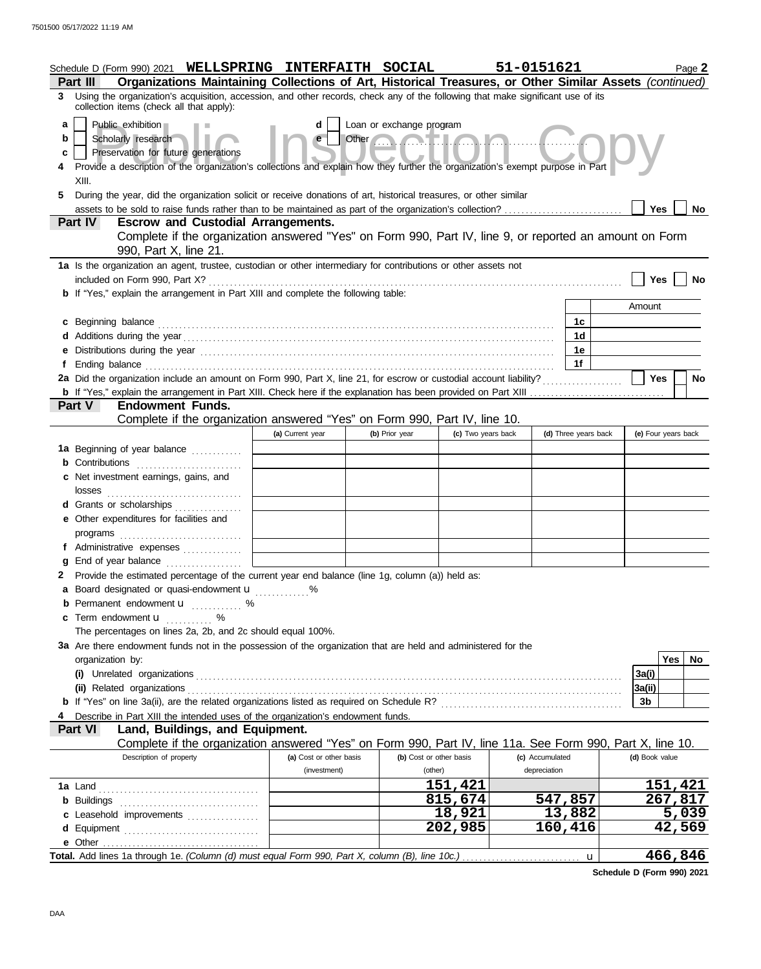|             |                                                  | Schedule D (Form 990) 2021 WELLSPRING INTERFAITH SOCIAL                                                                                                                                                                        |                         |                                                                                                                                                                                                                                                                 |                    | 51-0151621      |         |                      |                     |     | Page 2    |
|-------------|--------------------------------------------------|--------------------------------------------------------------------------------------------------------------------------------------------------------------------------------------------------------------------------------|-------------------------|-----------------------------------------------------------------------------------------------------------------------------------------------------------------------------------------------------------------------------------------------------------------|--------------------|-----------------|---------|----------------------|---------------------|-----|-----------|
|             | Part III                                         | Organizations Maintaining Collections of Art, Historical Treasures, or Other Similar Assets (continued)                                                                                                                        |                         |                                                                                                                                                                                                                                                                 |                    |                 |         |                      |                     |     |           |
| 3.          |                                                  | Using the organization's acquisition, accession, and other records, check any of the following that make significant use of its<br>collection items (check all that apply):                                                    |                         |                                                                                                                                                                                                                                                                 |                    |                 |         |                      |                     |     |           |
| a<br>b<br>с | Public exhibition<br>Scholarly research<br>XIII. | Preservation for future generations<br>Provide a description of the organization's collections and explain how they further the organization's exempt purpose in Part                                                          | d                       | Loan or exchange program<br>Other <b>Communication</b> in the local base of the local base of the local base of the local base of the local base of the local base of the local base of the local base of the local base of the local base of the local base of |                    |                 |         |                      |                     |     |           |
| 5           |                                                  | During the year, did the organization solicit or receive donations of art, historical treasures, or other similar                                                                                                              |                         |                                                                                                                                                                                                                                                                 |                    |                 |         |                      |                     | Yes | No        |
|             | <b>Part IV</b>                                   | <b>Escrow and Custodial Arrangements.</b>                                                                                                                                                                                      |                         |                                                                                                                                                                                                                                                                 |                    |                 |         |                      |                     |     |           |
|             |                                                  | Complete if the organization answered "Yes" on Form 990, Part IV, line 9, or reported an amount on Form                                                                                                                        |                         |                                                                                                                                                                                                                                                                 |                    |                 |         |                      |                     |     |           |
|             |                                                  | 990, Part X, line 21.                                                                                                                                                                                                          |                         |                                                                                                                                                                                                                                                                 |                    |                 |         |                      |                     |     |           |
|             | included on Form 990, Part X?                    | 1a Is the organization an agent, trustee, custodian or other intermediary for contributions or other assets not                                                                                                                |                         |                                                                                                                                                                                                                                                                 |                    |                 |         |                      |                     | Yes | No        |
|             |                                                  | <b>b</b> If "Yes," explain the arrangement in Part XIII and complete the following table:                                                                                                                                      |                         |                                                                                                                                                                                                                                                                 |                    |                 |         |                      |                     |     |           |
|             |                                                  |                                                                                                                                                                                                                                |                         |                                                                                                                                                                                                                                                                 |                    |                 |         |                      | Amount              |     |           |
|             |                                                  | c Beginning balance expressions and the contract of the contract of the contract of the contract of the contract of the contract of the contract of the contract of the contract of the contract of the contract of the contra |                         |                                                                                                                                                                                                                                                                 |                    |                 |         | 1c                   |                     |     |           |
|             |                                                  |                                                                                                                                                                                                                                |                         |                                                                                                                                                                                                                                                                 |                    |                 |         | 1 <sub>d</sub>       |                     |     |           |
|             |                                                  |                                                                                                                                                                                                                                |                         |                                                                                                                                                                                                                                                                 |                    |                 |         | 1e                   |                     |     |           |
|             |                                                  |                                                                                                                                                                                                                                |                         |                                                                                                                                                                                                                                                                 |                    |                 |         | 1f                   |                     |     |           |
|             |                                                  | 2a Did the organization include an amount on Form 990, Part X, line 21, for escrow or custodial account liability?                                                                                                             |                         |                                                                                                                                                                                                                                                                 |                    |                 |         |                      |                     | Yes | <b>No</b> |
|             |                                                  |                                                                                                                                                                                                                                |                         |                                                                                                                                                                                                                                                                 |                    |                 |         |                      |                     |     |           |
|             | Part V                                           | <b>Endowment Funds.</b>                                                                                                                                                                                                        |                         |                                                                                                                                                                                                                                                                 |                    |                 |         |                      |                     |     |           |
|             |                                                  | Complete if the organization answered "Yes" on Form 990, Part IV, line 10.                                                                                                                                                     |                         |                                                                                                                                                                                                                                                                 |                    |                 |         |                      |                     |     |           |
|             |                                                  |                                                                                                                                                                                                                                | (a) Current year        | (b) Prior year                                                                                                                                                                                                                                                  | (c) Two years back |                 |         | (d) Three years back | (e) Four years back |     |           |
|             |                                                  | 1a Beginning of year balance                                                                                                                                                                                                   |                         |                                                                                                                                                                                                                                                                 |                    |                 |         |                      |                     |     |           |
|             |                                                  |                                                                                                                                                                                                                                |                         |                                                                                                                                                                                                                                                                 |                    |                 |         |                      |                     |     |           |
|             | Net investment earnings, gains, and              |                                                                                                                                                                                                                                |                         |                                                                                                                                                                                                                                                                 |                    |                 |         |                      |                     |     |           |
|             | losses                                           |                                                                                                                                                                                                                                |                         |                                                                                                                                                                                                                                                                 |                    |                 |         |                      |                     |     |           |
|             |                                                  | d Grants or scholarships                                                                                                                                                                                                       |                         |                                                                                                                                                                                                                                                                 |                    |                 |         |                      |                     |     |           |
|             | e Other expenditures for facilities and          |                                                                                                                                                                                                                                |                         |                                                                                                                                                                                                                                                                 |                    |                 |         |                      |                     |     |           |
|             |                                                  |                                                                                                                                                                                                                                |                         |                                                                                                                                                                                                                                                                 |                    |                 |         |                      |                     |     |           |
|             |                                                  | f Administrative expenses                                                                                                                                                                                                      |                         |                                                                                                                                                                                                                                                                 |                    |                 |         |                      |                     |     |           |
|             |                                                  |                                                                                                                                                                                                                                |                         |                                                                                                                                                                                                                                                                 |                    |                 |         |                      |                     |     |           |
|             |                                                  | End of year balance<br>Provide the estimated percentage of the current year end balance (line 1g, column (a)) held as:                                                                                                         |                         |                                                                                                                                                                                                                                                                 |                    |                 |         |                      |                     |     |           |
|             |                                                  |                                                                                                                                                                                                                                |                         |                                                                                                                                                                                                                                                                 |                    |                 |         |                      |                     |     |           |
|             |                                                  | a Board designated or quasi-endowment <b>u</b> %                                                                                                                                                                               |                         |                                                                                                                                                                                                                                                                 |                    |                 |         |                      |                     |     |           |
|             |                                                  | <b>b</b> Permanent endowment <b>u</b> %                                                                                                                                                                                        |                         |                                                                                                                                                                                                                                                                 |                    |                 |         |                      |                     |     |           |
|             | c Term endowment <b>u</b> %                      |                                                                                                                                                                                                                                |                         |                                                                                                                                                                                                                                                                 |                    |                 |         |                      |                     |     |           |
|             |                                                  | The percentages on lines 2a, 2b, and 2c should equal 100%.                                                                                                                                                                     |                         |                                                                                                                                                                                                                                                                 |                    |                 |         |                      |                     |     |           |
|             |                                                  | 3a Are there endowment funds not in the possession of the organization that are held and administered for the                                                                                                                  |                         |                                                                                                                                                                                                                                                                 |                    |                 |         |                      |                     |     |           |
|             | organization by:                                 |                                                                                                                                                                                                                                |                         |                                                                                                                                                                                                                                                                 |                    |                 |         |                      |                     | Yes | No        |
|             |                                                  |                                                                                                                                                                                                                                |                         |                                                                                                                                                                                                                                                                 |                    |                 |         |                      | 3a(i)               |     |           |
|             |                                                  |                                                                                                                                                                                                                                |                         |                                                                                                                                                                                                                                                                 |                    |                 |         |                      | 3a(ii)              |     |           |
|             |                                                  |                                                                                                                                                                                                                                |                         |                                                                                                                                                                                                                                                                 |                    |                 |         |                      | 3b                  |     |           |
|             |                                                  | Describe in Part XIII the intended uses of the organization's endowment funds.                                                                                                                                                 |                         |                                                                                                                                                                                                                                                                 |                    |                 |         |                      |                     |     |           |
|             | Part VI                                          | Land, Buildings, and Equipment.                                                                                                                                                                                                |                         |                                                                                                                                                                                                                                                                 |                    |                 |         |                      |                     |     |           |
|             |                                                  | Complete if the organization answered "Yes" on Form 990, Part IV, line 11a. See Form 990, Part X, line 10.                                                                                                                     |                         |                                                                                                                                                                                                                                                                 |                    |                 |         |                      |                     |     |           |
|             |                                                  | Description of property                                                                                                                                                                                                        | (a) Cost or other basis | (b) Cost or other basis                                                                                                                                                                                                                                         |                    | (c) Accumulated |         |                      | (d) Book value      |     |           |
|             |                                                  |                                                                                                                                                                                                                                | (investment)            | (other)                                                                                                                                                                                                                                                         |                    | depreciation    |         |                      |                     |     |           |
|             |                                                  |                                                                                                                                                                                                                                |                         |                                                                                                                                                                                                                                                                 | 151,421            |                 |         |                      |                     |     | 151,421   |
|             |                                                  |                                                                                                                                                                                                                                |                         |                                                                                                                                                                                                                                                                 | 815,674            |                 | 547,857 |                      |                     |     | 267,817   |
|             |                                                  | c Leasehold improvements                                                                                                                                                                                                       |                         |                                                                                                                                                                                                                                                                 | 18,921             |                 | 13,882  |                      |                     |     | 5,039     |
|             |                                                  | d Equipment                                                                                                                                                                                                                    |                         |                                                                                                                                                                                                                                                                 | 202,985            |                 | 160,416 |                      |                     |     | 42,569    |
|             |                                                  |                                                                                                                                                                                                                                |                         |                                                                                                                                                                                                                                                                 |                    |                 |         |                      |                     |     |           |
|             |                                                  |                                                                                                                                                                                                                                |                         |                                                                                                                                                                                                                                                                 |                    |                 |         | $\mathbf u$          |                     |     | 466,846   |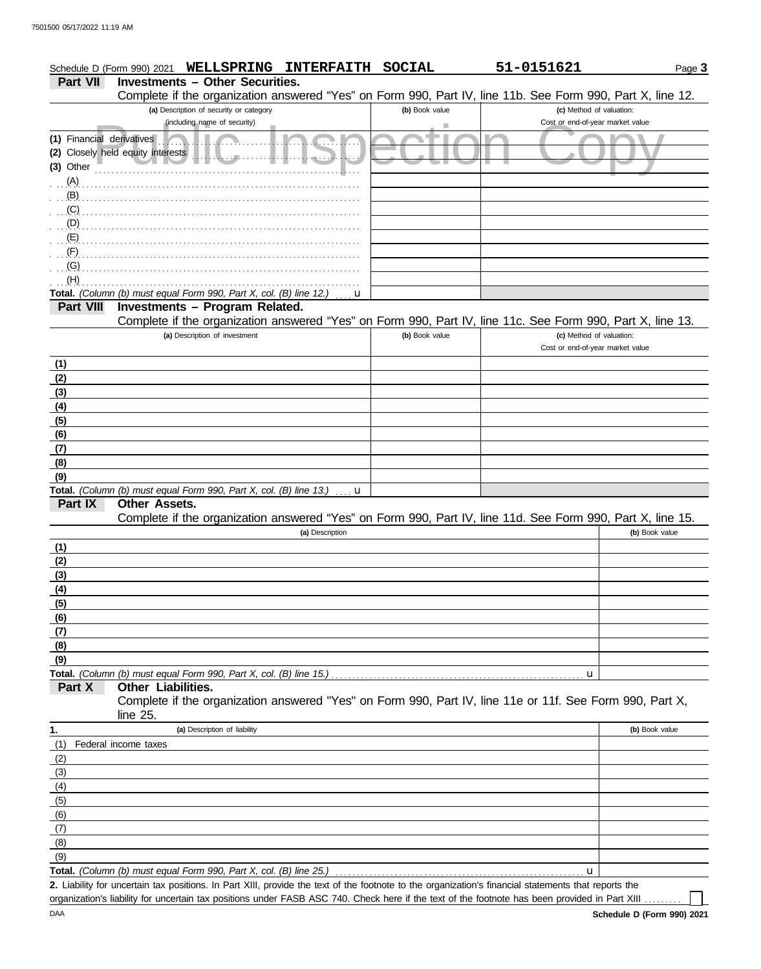|                           | <b>INTERFAITH</b><br><b>WELLSPRING</b><br>Schedule D (Form 990) 2021                                       | <b>SOCIAL</b>  | 51-0151621                       | Page 3         |
|---------------------------|------------------------------------------------------------------------------------------------------------|----------------|----------------------------------|----------------|
| <b>Part VII</b>           | <b>Investments - Other Securities.</b>                                                                     |                |                                  |                |
|                           | Complete if the organization answered "Yes" on Form 990, Part IV, line 11b. See Form 990, Part X, line 12. |                |                                  |                |
|                           | (a) Description of security or category                                                                    | (b) Book value | (c) Method of valuation:         |                |
|                           | (including name of security)                                                                               | ٠              | Cost or end-of-year market value |                |
| (1) Financial derivatives |                                                                                                            |                |                                  |                |
|                           | (2) Closely held equity interests<br>. <del>.</del> .                                                      |                |                                  |                |
| $(3)$ Other               |                                                                                                            |                |                                  |                |
| (A)                       |                                                                                                            |                |                                  |                |
| (B)                       |                                                                                                            |                |                                  |                |
| (C)                       |                                                                                                            |                |                                  |                |
| $\cdot$ (D)               |                                                                                                            |                |                                  |                |
| (E)                       |                                                                                                            |                |                                  |                |
| (F)                       |                                                                                                            |                |                                  |                |
| (G)                       |                                                                                                            |                |                                  |                |
| (H)                       |                                                                                                            |                |                                  |                |
|                           | Total. (Column (b) must equal Form 990, Part X, col. (B) line 12.)<br>u                                    |                |                                  |                |
| <b>Part VIII</b>          | Investments - Program Related.                                                                             |                |                                  |                |
|                           | Complete if the organization answered "Yes" on Form 990, Part IV, line 11c. See Form 990, Part X, line 13. |                |                                  |                |
|                           | (a) Description of investment                                                                              | (b) Book value | (c) Method of valuation:         |                |
|                           |                                                                                                            |                | Cost or end-of-year market value |                |
| (1)                       |                                                                                                            |                |                                  |                |
| (2)                       |                                                                                                            |                |                                  |                |
| (3)                       |                                                                                                            |                |                                  |                |
| (4)                       |                                                                                                            |                |                                  |                |
| (5)                       |                                                                                                            |                |                                  |                |
| (6)                       |                                                                                                            |                |                                  |                |
| (7)                       |                                                                                                            |                |                                  |                |
| (8)                       |                                                                                                            |                |                                  |                |
| (9)                       |                                                                                                            |                |                                  |                |
|                           | Total. (Column (b) must equal Form 990, Part X, col. (B) line 13.)<br>u                                    |                |                                  |                |
| Part IX                   | Other Assets.                                                                                              |                |                                  |                |
|                           | Complete if the organization answered "Yes" on Form 990, Part IV, line 11d. See Form 990, Part X, line 15. |                |                                  |                |
|                           | (a) Description                                                                                            |                |                                  | (b) Book value |
| (1)                       |                                                                                                            |                |                                  |                |
| (2)                       |                                                                                                            |                |                                  |                |
| (3)                       |                                                                                                            |                |                                  |                |
| (4)                       |                                                                                                            |                |                                  |                |
| (5)                       |                                                                                                            |                |                                  |                |
| (6)                       |                                                                                                            |                |                                  |                |
| (7)                       |                                                                                                            |                |                                  |                |
| (8)                       |                                                                                                            |                |                                  |                |
| (9)                       |                                                                                                            |                |                                  |                |
|                           |                                                                                                            |                | $\mathbf u$                      |                |
| Part X                    | <b>Other Liabilities.</b>                                                                                  |                |                                  |                |
|                           | Complete if the organization answered "Yes" on Form 990, Part IV, line 11e or 11f. See Form 990, Part X,   |                |                                  |                |
|                           | line $25$ .                                                                                                |                |                                  |                |
| 1.                        | (a) Description of liability                                                                               |                |                                  | (b) Book value |
| (1)                       | Federal income taxes                                                                                       |                |                                  |                |
| (2)                       |                                                                                                            |                |                                  |                |
| (3)                       |                                                                                                            |                |                                  |                |
| (4)                       |                                                                                                            |                |                                  |                |
| (5)                       |                                                                                                            |                |                                  |                |
| (6)                       |                                                                                                            |                |                                  |                |
| (7)                       |                                                                                                            |                |                                  |                |
| (8)                       |                                                                                                            |                |                                  |                |
| (9)                       |                                                                                                            |                |                                  |                |
|                           |                                                                                                            |                |                                  |                |

Liability for uncertain tax positions. In Part XIII, provide the text of the footnote to the organization's financial statements that reports the **2.** Total. *(Column (b) must equal Form 990, Part X, col. (B) line 25.)*  $|u|$ 

organization's liability for uncertain tax positions under FASB ASC 740. Check here if the text of the footnote has been provided in Part XIII .

 $\perp$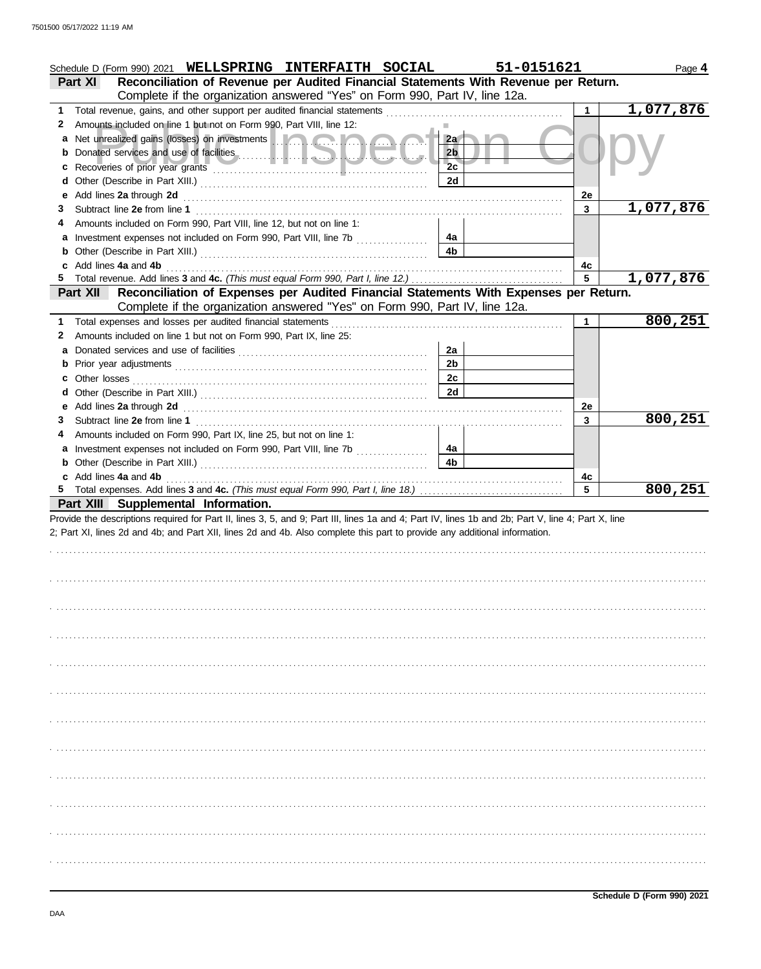|   | Schedule D (Form 990) 2021 WELLSPRING INTERFAITH SOCIAL                                                                                                                                                                              | 51-0151621     |             | Page 4    |
|---|--------------------------------------------------------------------------------------------------------------------------------------------------------------------------------------------------------------------------------------|----------------|-------------|-----------|
|   | Reconciliation of Revenue per Audited Financial Statements With Revenue per Return.<br><b>Part XI</b>                                                                                                                                |                |             |           |
|   | Complete if the organization answered "Yes" on Form 990, Part IV, line 12a.                                                                                                                                                          |                |             |           |
| 1 | Total revenue, gains, and other support per audited financial statements                                                                                                                                                             |                | 1           | 1,077,876 |
| 2 | Amounts included on line 1 but not on Form 990, Part VIII, line 12:                                                                                                                                                                  |                |             |           |
| а | Net unrealized gains (losses) on investments <b>and a strategie of the strategie of the strategie of the strategie of the strategie of the strategie of the strategie of the strategie of the strategie of the strategie of the </b> | 2a             |             |           |
| b | Donated services and use of facilities <b>Constitution</b> and the service of the service of the service of the service of the service of the service of the service of the service of the service of the service of the service of  | 2 <sub>b</sub> |             |           |
| с |                                                                                                                                                                                                                                      | 2c             |             |           |
| d |                                                                                                                                                                                                                                      | 2d             |             |           |
| е | Add lines 2a through 2d [11] March 19 (2014) 19 (2015) 19 (2016) 19 (2016) 19 (2016) 19 (2016) 19 (2016) 19 (2016) 19 (2016) 19 (2016) 19 (2016) 19 (2016) 19 (2016) 19 (2016) 19 (2016) 19 (2016) 19 (2016) 19 (2016) 19 (201       |                | 2e          |           |
| З |                                                                                                                                                                                                                                      |                | 3           | 1,077,876 |
|   | Amounts included on Form 990, Part VIII, line 12, but not on line 1:                                                                                                                                                                 |                |             |           |
| а | Investment expenses not included on Form 990, Part VIII, line 7b [                                                                                                                                                                   | 4a             |             |           |
| b |                                                                                                                                                                                                                                      | 4b             |             |           |
|   | Add lines 4a and 4b                                                                                                                                                                                                                  |                | 4c          |           |
|   | Total revenue. Add lines 3 and 4c. (This must equal Form 990, Part I, line 12.)                                                                                                                                                      |                | 5           | 1,077,876 |
|   | Reconciliation of Expenses per Audited Financial Statements With Expenses per Return.<br><b>Part XII</b>                                                                                                                             |                |             |           |
|   | Complete if the organization answered "Yes" on Form 990, Part IV, line 12a.                                                                                                                                                          |                |             |           |
|   | Total expenses and losses per audited financial statements                                                                                                                                                                           |                | $\mathbf 1$ | 800,251   |
| 2 | Amounts included on line 1 but not on Form 990, Part IX, line 25:                                                                                                                                                                    |                |             |           |
| а |                                                                                                                                                                                                                                      | 2a             |             |           |
| b |                                                                                                                                                                                                                                      | 2 <sub>b</sub> |             |           |
| с | Other losses                                                                                                                                                                                                                         | 2c             |             |           |
| d |                                                                                                                                                                                                                                      | 2d             |             |           |
| е |                                                                                                                                                                                                                                      |                | 2e          |           |
| З |                                                                                                                                                                                                                                      |                | 3           | 800, 251  |
|   | Amounts included on Form 990, Part IX, line 25, but not on line 1:                                                                                                                                                                   |                |             |           |
| а | Investment expenses not included on Form 990, Part VIII, line 7b [                                                                                                                                                                   | 4a             |             |           |
| b |                                                                                                                                                                                                                                      | 4 <sub>b</sub> |             |           |
|   |                                                                                                                                                                                                                                      |                |             |           |
|   |                                                                                                                                                                                                                                      |                |             |           |
|   | c Add lines 4a and 4b                                                                                                                                                                                                                |                | 4c          |           |
|   |                                                                                                                                                                                                                                      |                | 5           | 800,251   |
|   | Part XIII Supplemental Information.                                                                                                                                                                                                  |                |             |           |
|   | Provide the descriptions required for Part II, lines 3, 5, and 9; Part III, lines 1a and 4; Part IV, lines 1b and 2b; Part V, line 4; Part X, line                                                                                   |                |             |           |
|   | 2; Part XI, lines 2d and 4b; and Part XII, lines 2d and 4b. Also complete this part to provide any additional information.                                                                                                           |                |             |           |
|   |                                                                                                                                                                                                                                      |                |             |           |
|   |                                                                                                                                                                                                                                      |                |             |           |
|   |                                                                                                                                                                                                                                      |                |             |           |
|   |                                                                                                                                                                                                                                      |                |             |           |
|   |                                                                                                                                                                                                                                      |                |             |           |
|   |                                                                                                                                                                                                                                      |                |             |           |
|   |                                                                                                                                                                                                                                      |                |             |           |
|   |                                                                                                                                                                                                                                      |                |             |           |
|   |                                                                                                                                                                                                                                      |                |             |           |
|   |                                                                                                                                                                                                                                      |                |             |           |
|   |                                                                                                                                                                                                                                      |                |             |           |
|   |                                                                                                                                                                                                                                      |                |             |           |
|   |                                                                                                                                                                                                                                      |                |             |           |
|   |                                                                                                                                                                                                                                      |                |             |           |
|   |                                                                                                                                                                                                                                      |                |             |           |
|   |                                                                                                                                                                                                                                      |                |             |           |
|   |                                                                                                                                                                                                                                      |                |             |           |
|   |                                                                                                                                                                                                                                      |                |             |           |
|   |                                                                                                                                                                                                                                      |                |             |           |
|   |                                                                                                                                                                                                                                      |                |             |           |
|   |                                                                                                                                                                                                                                      |                |             |           |
|   |                                                                                                                                                                                                                                      |                |             |           |
|   |                                                                                                                                                                                                                                      |                |             |           |
|   |                                                                                                                                                                                                                                      |                |             |           |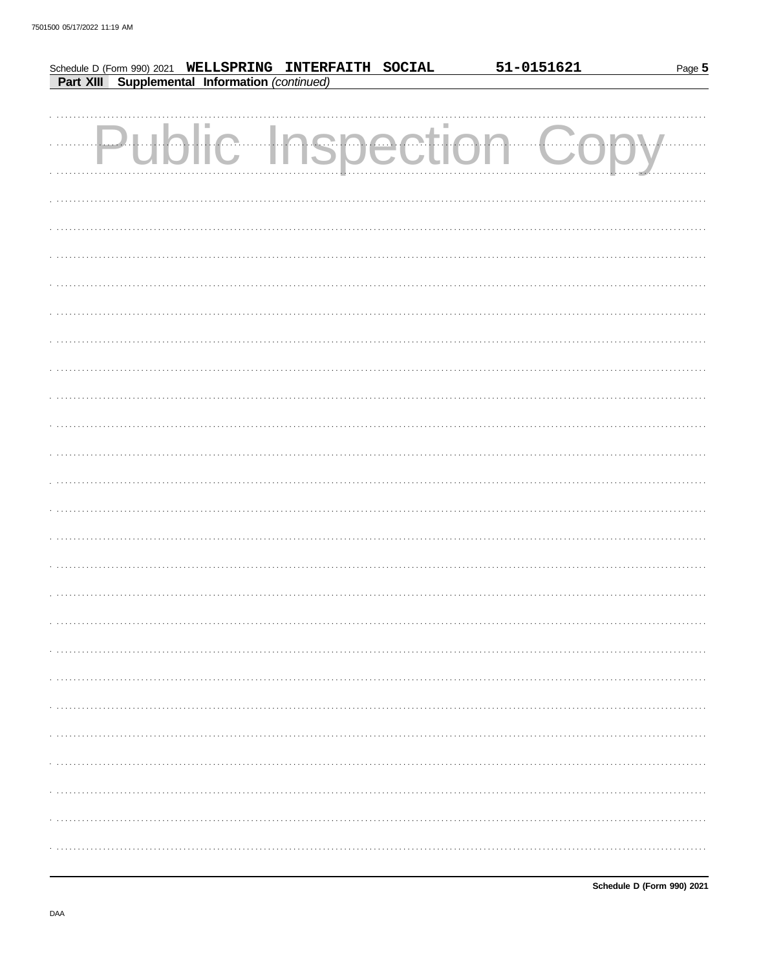|  |                                                                                                           | 51-0151621        | Page 5 |
|--|-----------------------------------------------------------------------------------------------------------|-------------------|--------|
|  | Schedule D (Form 990) 2021 WELLSPRING INTERFAITH SOCIAL<br>Part XIII Supplemental Information (continued) |                   |        |
|  |                                                                                                           |                   |        |
|  |                                                                                                           |                   |        |
|  |                                                                                                           | lic Inspection Gc |        |
|  |                                                                                                           |                   |        |
|  |                                                                                                           |                   |        |
|  |                                                                                                           |                   |        |
|  |                                                                                                           |                   |        |
|  |                                                                                                           |                   |        |
|  |                                                                                                           |                   |        |
|  |                                                                                                           |                   |        |
|  |                                                                                                           |                   |        |
|  |                                                                                                           |                   |        |
|  |                                                                                                           |                   |        |
|  |                                                                                                           |                   |        |
|  |                                                                                                           |                   |        |
|  |                                                                                                           |                   |        |
|  |                                                                                                           |                   |        |
|  |                                                                                                           |                   |        |
|  |                                                                                                           |                   |        |
|  |                                                                                                           |                   |        |
|  |                                                                                                           |                   |        |
|  |                                                                                                           |                   |        |
|  |                                                                                                           |                   |        |
|  |                                                                                                           |                   |        |
|  |                                                                                                           |                   |        |
|  |                                                                                                           |                   |        |
|  |                                                                                                           |                   |        |
|  |                                                                                                           |                   |        |
|  |                                                                                                           |                   |        |
|  |                                                                                                           |                   |        |
|  |                                                                                                           |                   |        |
|  |                                                                                                           |                   |        |
|  |                                                                                                           |                   |        |
|  |                                                                                                           |                   |        |
|  |                                                                                                           |                   |        |
|  |                                                                                                           |                   |        |
|  |                                                                                                           |                   |        |
|  |                                                                                                           |                   |        |
|  |                                                                                                           |                   |        |
|  |                                                                                                           |                   |        |
|  |                                                                                                           |                   |        |
|  |                                                                                                           |                   |        |
|  |                                                                                                           |                   |        |
|  |                                                                                                           |                   |        |
|  |                                                                                                           |                   |        |
|  |                                                                                                           |                   |        |
|  |                                                                                                           |                   |        |
|  |                                                                                                           |                   |        |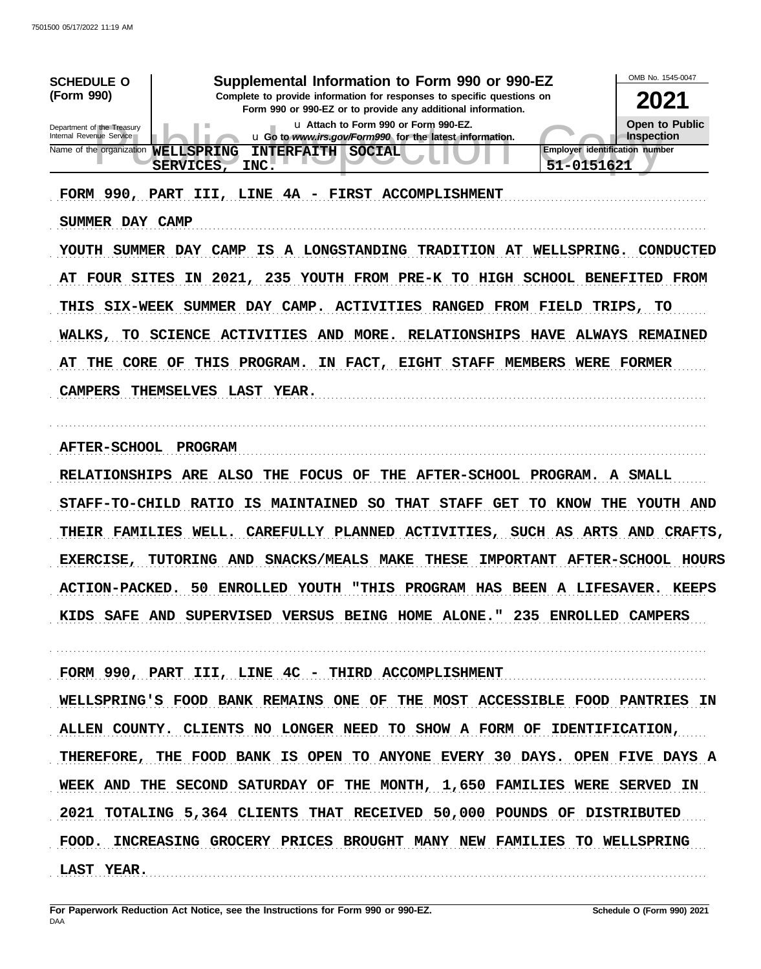| Supplemental Information to Form 990 or 990-EZ<br><b>SCHEDULE O</b><br>(Form 990)<br>Complete to provide information for responses to specific questions on<br>Form 990 or 990-EZ or to provide any additional information.<br>u Attach to Form 990 or Form 990-EZ.<br>Department of the Treasury<br>Internal Revenue Service<br>u Go to www.irs.gov/Form990 for the latest information.<br>Name of the organization<br><b>WELLSPRING</b><br><b>INTERFAITH SOCIAL</b><br>51-0151621<br>SERVICES,<br>INC.                                | OMB No. 1545-0047<br>2021<br><b>Open to Public</b><br>Inspection<br><b>Employer identification number</b> |
|-----------------------------------------------------------------------------------------------------------------------------------------------------------------------------------------------------------------------------------------------------------------------------------------------------------------------------------------------------------------------------------------------------------------------------------------------------------------------------------------------------------------------------------------|-----------------------------------------------------------------------------------------------------------|
| FORM 990, PART III, LINE 4A - FIRST ACCOMPLISHMENT<br>SUMMER DAY CAMP<br>YOUTH SUMMER DAY CAMP IS A LONGSTANDING TRADITION AT WELLSPRING. CONDUCTED<br>AT FOUR SITES IN 2021, 235 YOUTH FROM PRE-K TO HIGH SCHOOL BENEFITED FROM<br>THIS SIX-WEEK SUMMER DAY CAMP. ACTIVITIES RANGED FROM FIELD TRIPS, TO<br>WALKS, TO SCIENCE ACTIVITIES AND MORE. RELATIONSHIPS HAVE ALWAYS REMAINED<br>AT THE CORE OF THIS PROGRAM. IN FACT, EIGHT STAFF MEMBERS WERE FORMER<br><b>CAMPERS</b><br>THEMSELVES LAST YEAR.                              |                                                                                                           |
| AFTER-SCHOOL PROGRAM<br>RELATIONSHIPS ARE ALSO THE FOCUS OF THE AFTER-SCHOOL PROGRAM. A SMALL<br>STAFF-TO-CHILD RATIO IS MAINTAINED SO THAT STAFF GET TO KNOW THE YOUTH AND<br>THEIR FAMILIES WELL. CAREFULLY PLANNED ACTIVITIES, SUCH AS ARTS AND CRAFTS,<br>TUTORING AND SNACKS/MEALS MAKE THESE IMPORTANT AFTER-SCHOOL HOURS<br><b>EXERCISE,</b><br>ACTION-PACKED. 50 ENROLLED YOUTH "THIS PROGRAM HAS BEEN A LIFESAVER. K<br>KIDS SAFE AND SUPERVISED VERSUS BEING HOME ALONE." 235 ENROLLED CAMPERS                                | <b>KEEPS</b>                                                                                              |
| FORM 990, PART III, LINE 4C - THIRD ACCOMPLISHMENT<br>WELLSPRING'S FOOD BANK REMAINS ONE OF THE MOST ACCESSIBLE FOOD PANTRIES IN<br>ALLEN COUNTY. CLIENTS NO LONGER NEED TO SHOW A FORM OF IDENTIFICATION,<br>THEREFORE, THE FOOD BANK IS OPEN TO ANYONE EVERY 30 DAYS. OPEN FIVE DAYS A<br>WEEK AND THE SECOND SATURDAY OF THE MONTH, 1,650 FAMILIES WERE SERVED IN<br>2021 TOTALING 5,364 CLIENTS THAT RECEIVED 50,000 POUNDS OF DISTRIBUTED<br>FOOD. INCREASING GROCERY PRICES BROUGHT MANY NEW FAMILIES TO WELLSPRING<br>LAST YEAR. |                                                                                                           |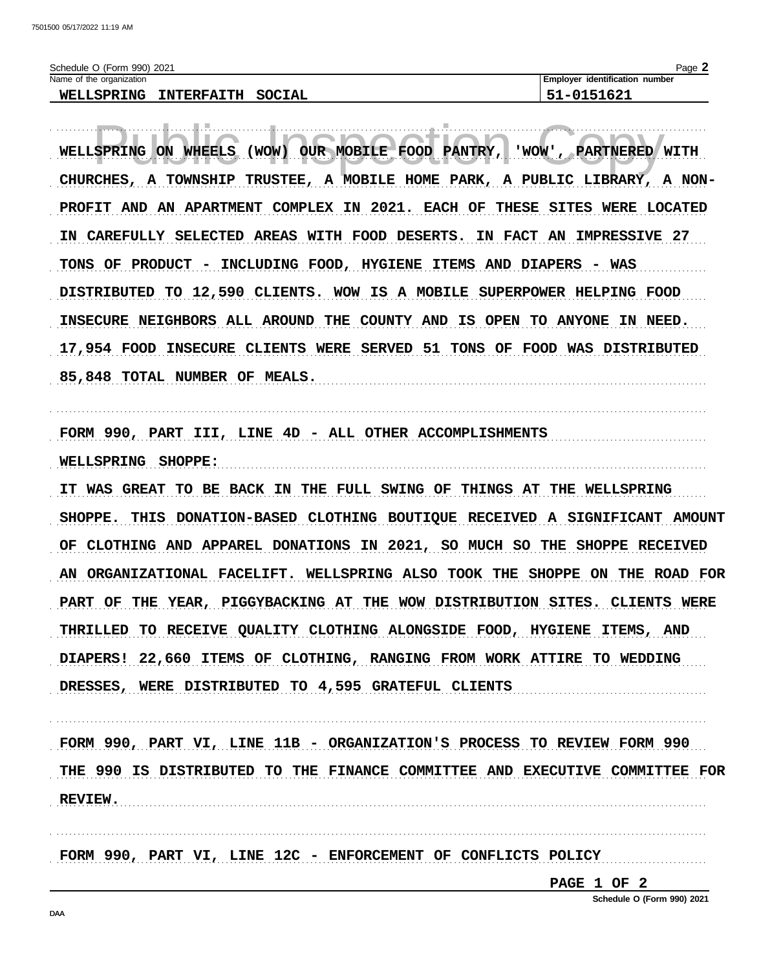| 2021<br>990)<br>(Form<br>Schedule C<br>וטכ                                 | Page                                   |
|----------------------------------------------------------------------------|----------------------------------------|
| Name of<br>t the organization                                              | identification<br>number<br>. Emplover |
| mu<br>TNTERFA.<br>anc<br>TNG<br>WET J<br>51 K<br><u>. .</u><br>.<br>.<br>. | .                                      |

WELLSPRING ON WHEELS (WOW) OUR MOBILE FOOD PANTRY, 'WOW', PARTNERED WITH CHURCHES, A TOWNSHIP TRUSTEE, A MOBILE HOME PARK, A PUBLIC LIBRARY, A NON-PROFIT AND AN APARTMENT COMPLEX IN 2021. EACH OF THESE SITES WERE LOCATED IN CAREFULLY SELECTED AREAS WITH FOOD DESERTS. IN FACT AN IMPRESSIVE 27 TONS OF PRODUCT - INCLUDING FOOD, HYGIENE ITEMS AND DIAPERS - WAS DISTRIBUTED TO 12,590 CLIENTS. WOW IS A MOBILE SUPERPOWER HELPING FOOD INSECURE NEIGHBORS ALL AROUND THE COUNTY AND IS OPEN TO ANYONE IN NEED. 17,954 FOOD INSECURE CLIENTS WERE SERVED 51 TONS OF FOOD WAS DISTRIBUTED 85,848 TOTAL NUMBER OF MEALS.

FORM 990, PART III, LINE 4D - ALL OTHER ACCOMPLISHMENTS WELLSPRING SHOPPE:

IT WAS GREAT TO BE BACK IN THE FULL SWING OF THINGS AT THE WELLSPRING SHOPPE. THIS DONATION-BASED CLOTHING BOUTIQUE RECEIVED A SIGNIFICANT AMOUNT OF CLOTHING AND APPAREL DONATIONS IN 2021, SO MUCH SO THE SHOPPE RECEIVED AN ORGANIZATIONAL FACELIFT. WELLSPRING ALSO TOOK THE SHOPPE ON THE ROAD FOR PART OF THE YEAR, PIGGYBACKING AT THE WOW DISTRIBUTION SITES. CLIENTS WERE THRILLED TO RECEIVE QUALITY CLOTHING ALONGSIDE FOOD, HYGIENE ITEMS, AND DIAPERS! 22,660 ITEMS OF CLOTHING, RANGING FROM WORK ATTIRE TO WEDDING DRESSES, WERE DISTRIBUTED TO 4,595 GRATEFUL CLIENTS

FORM 990, PART VI, LINE 11B - ORGANIZATION'S PROCESS TO REVIEW FORM 990 THE 990 IS DISTRIBUTED TO THE FINANCE COMMITTEE AND EXECUTIVE COMMITTEE FOR REVIEW.

FORM 990, PART VI, LINE 12C - ENFORCEMENT OF CONFLICTS POLICY

PAGE 1 OF 2